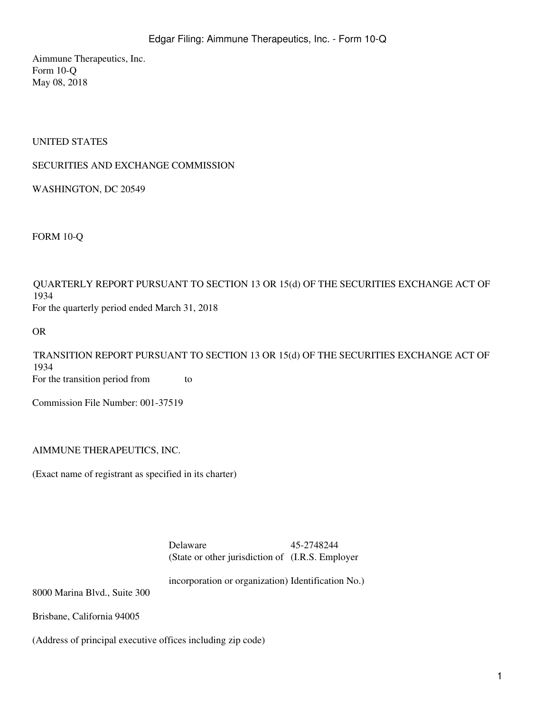Aimmune Therapeutics, Inc. Form 10-Q May 08, 2018

### UNITED STATES

### SECURITIES AND EXCHANGE COMMISSION

WASHINGTON, DC 20549

FORM 10-Q

QUARTERLY REPORT PURSUANT TO SECTION 13 OR 15(d) OF THE SECURITIES EXCHANGE ACT OF 1934 For the quarterly period ended March 31, 2018

OR

TRANSITION REPORT PURSUANT TO SECTION 13 OR 15(d) OF THE SECURITIES EXCHANGE ACT OF 1934 For the transition period from to

Commission File Number: 001-37519

AIMMUNE THERAPEUTICS, INC.

(Exact name of registrant as specified in its charter)

Delaware 45-2748244 (State or other jurisdiction of (I.R.S. Employer

incorporation or organization) Identification No.)

8000 Marina Blvd., Suite 300

Brisbane, California 94005

(Address of principal executive offices including zip code)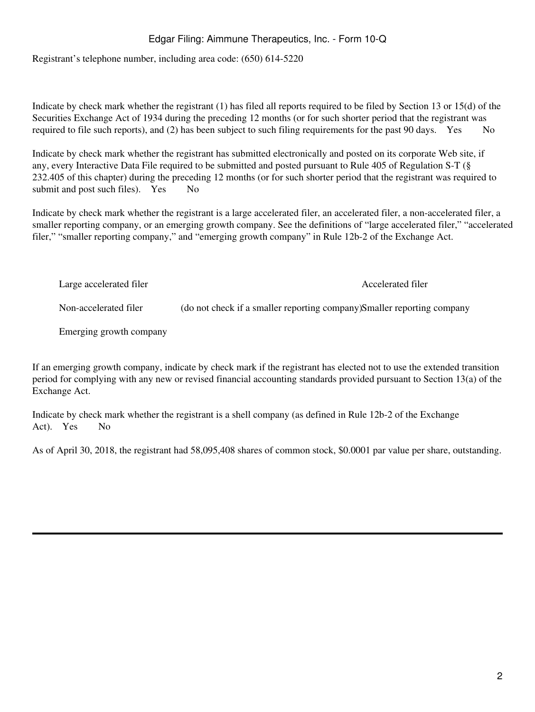Registrant's telephone number, including area code: (650) 614-5220

Indicate by check mark whether the registrant (1) has filed all reports required to be filed by Section 13 or 15(d) of the Securities Exchange Act of 1934 during the preceding 12 months (or for such shorter period that the registrant was required to file such reports), and (2) has been subject to such filing requirements for the past 90 days. Yes  $\overline{N}$ 

Indicate by check mark whether the registrant has submitted electronically and posted on its corporate Web site, if any, every Interactive Data File required to be submitted and posted pursuant to Rule 405 of Regulation S-T (§ 232.405 of this chapter) during the preceding 12 months (or for such shorter period that the registrant was required to submit and post such files). Yes No

Indicate by check mark whether the registrant is a large accelerated filer, an accelerated filer, a non-accelerated filer, a smaller reporting company, or an emerging growth company. See the definitions of "large accelerated filer," "accelerated filer," "smaller reporting company," and "emerging growth company" in Rule 12b-2 of the Exchange Act.

Large accelerated filer and the accelerated filer and the Accelerated filer and Accelerated filer Non-accelerated filer (do not check if a smaller reporting company)Smaller reporting company Emerging growth company

If an emerging growth company, indicate by check mark if the registrant has elected not to use the extended transition period for complying with any new or revised financial accounting standards provided pursuant to Section 13(a) of the Exchange Act.

Indicate by check mark whether the registrant is a shell company (as defined in Rule 12b-2 of the Exchange Act). Yes No

As of April 30, 2018, the registrant had 58,095,408 shares of common stock, \$0.0001 par value per share, outstanding.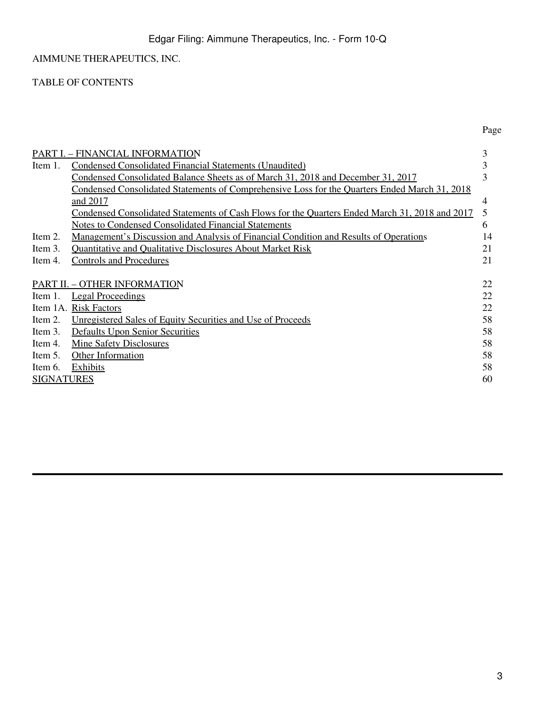TABLE OF CONTENTS

|                   | PART I. – FINANCIAL INFORMATION                                                                      | 3  |
|-------------------|------------------------------------------------------------------------------------------------------|----|
| Item 1.           | <b>Condensed Consolidated Financial Statements (Unaudited)</b>                                       | 3  |
|                   | Condensed Consolidated Balance Sheets as of March 31, 2018 and December 31, 2017                     | 3  |
|                   | <u>Condensed Consolidated Statements of Comprehensive Loss for the Quarters Ended March 31, 2018</u> |    |
|                   | and 2017                                                                                             | 4  |
|                   | Condensed Consolidated Statements of Cash Flows for the Quarters Ended March 31, 2018 and 2017       | 5  |
|                   | <b>Notes to Condensed Consolidated Financial Statements</b>                                          | 6  |
| Item 2.           | <u>Management's Discussion and Analysis of Financial Condition and Results of Operations</u>         | 14 |
| Item 3.           | <b>Quantitative and Qualitative Disclosures About Market Risk</b>                                    | 21 |
| Item 4.           | <b>Controls and Procedures</b>                                                                       | 21 |
|                   |                                                                                                      |    |
|                   | PART II. - OTHER INFORMATION                                                                         | 22 |
| Item 1.           | <b>Legal Proceedings</b>                                                                             | 22 |
|                   | Item 1A. Risk Factors                                                                                | 22 |
| Item 2.           | Unregistered Sales of Equity Securities and Use of Proceeds                                          | 58 |
| Item 3.           | <b>Defaults Upon Senior Securities</b>                                                               | 58 |
| Item 4.           | <b>Mine Safety Disclosures</b>                                                                       | 58 |
| Item 5.           | <b>Other Information</b>                                                                             | 58 |
| Item 6.           | <b>Exhibits</b>                                                                                      | 58 |
| <b>SIGNATURES</b> |                                                                                                      | 60 |

Page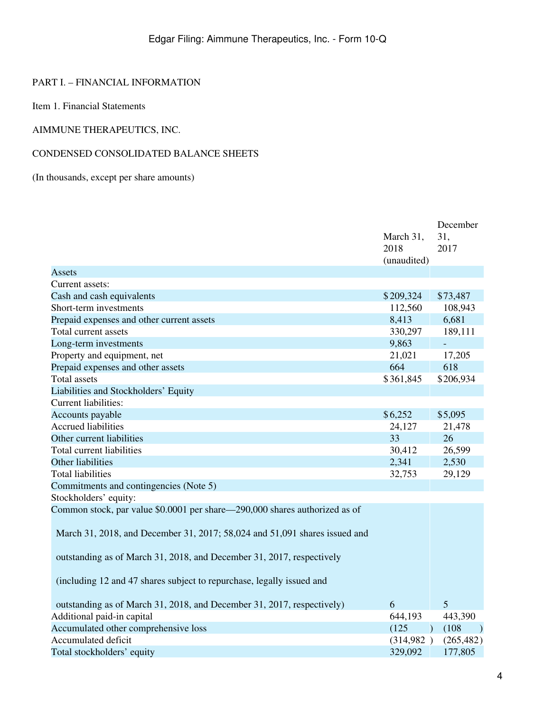## <span id="page-3-0"></span>PART I. – FINANCIAL INFORMATION

<span id="page-3-1"></span>Item 1. Financial Statements

## AIMMUNE THERAPEUTICS, INC.

### <span id="page-3-2"></span>CONDENSED CONSOLIDATED BALANCE SHEETS

## (In thousands, except per share amounts)

|                                                                            | March 31,<br>2018<br>(unaudited) | December<br>31.<br>2017  |
|----------------------------------------------------------------------------|----------------------------------|--------------------------|
| Assets                                                                     |                                  |                          |
| Current assets:                                                            |                                  |                          |
| Cash and cash equivalents                                                  | \$209,324                        | \$73,487                 |
| Short-term investments                                                     | 112,560                          | 108,943                  |
| Prepaid expenses and other current assets                                  | 8,413                            | 6,681                    |
| Total current assets                                                       | 330,297                          | 189,111                  |
| Long-term investments                                                      | 9,863                            | $\overline{\phantom{a}}$ |
| Property and equipment, net                                                | 21,021                           | 17,205                   |
| Prepaid expenses and other assets                                          | 664                              | 618                      |
| <b>Total assets</b>                                                        | \$361,845                        | \$206,934                |
| Liabilities and Stockholders' Equity                                       |                                  |                          |
| <b>Current liabilities:</b>                                                |                                  |                          |
| Accounts payable                                                           | \$6,252                          | \$5,095                  |
| <b>Accrued liabilities</b>                                                 | 24,127                           | 21,478                   |
| Other current liabilities                                                  | 33                               | 26                       |
| Total current liabilities                                                  | 30,412                           | 26,599                   |
| Other liabilities                                                          | 2,341                            | 2,530                    |
| <b>Total liabilities</b>                                                   | 32,753                           | 29,129                   |
| Commitments and contingencies (Note 5)                                     |                                  |                          |
| Stockholders' equity:                                                      |                                  |                          |
| Common stock, par value \$0.0001 per share-290,000 shares authorized as of |                                  |                          |
| March 31, 2018, and December 31, 2017; 58,024 and 51,091 shares issued and |                                  |                          |
| outstanding as of March 31, 2018, and December 31, 2017, respectively      |                                  |                          |
| (including 12 and 47 shares subject to repurchase, legally issued and      |                                  |                          |
| outstanding as of March 31, 2018, and December 31, 2017, respectively)     | 6                                | 5                        |
| Additional paid-in capital                                                 | 644,193                          | 443,390                  |
| Accumulated other comprehensive loss                                       | (125)<br>$\Box$                  | (108)<br>$\rightarrow$   |
| Accumulated deficit                                                        | (314,982)                        | (265, 482)               |
| Total stockholders' equity                                                 | 329,092                          | 177,805                  |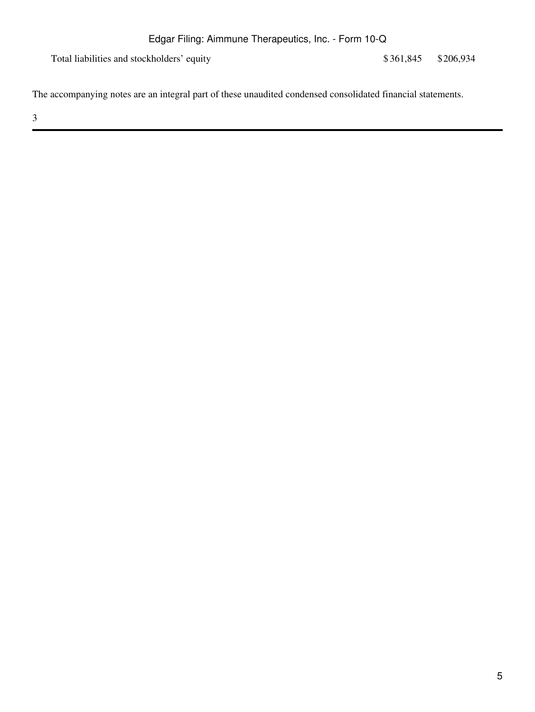Total liabilities and stockholders' equity \$361,845 \$206,934

The accompanying notes are an integral part of these unaudited condensed consolidated financial statements.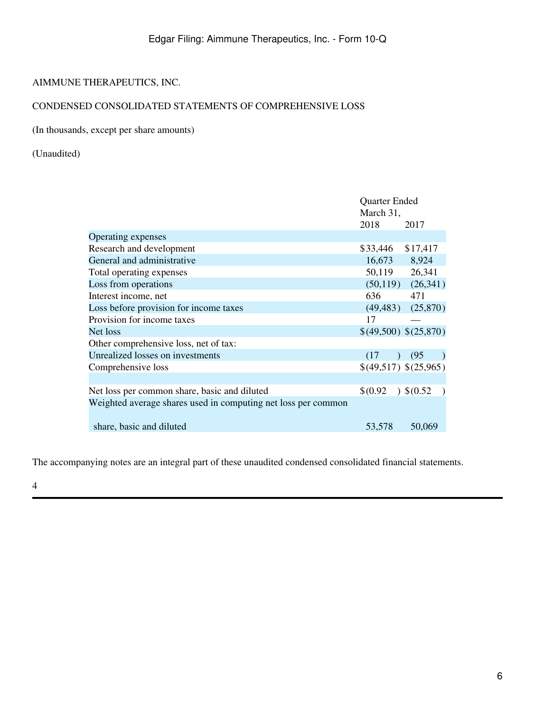# <span id="page-5-0"></span>CONDENSED CONSOLIDATED STATEMENTS OF COMPREHENSIVE LOSS

## (In thousands, except per share amounts)

## (Unaudited)

|                                                               | Quarter Ended<br>March 31, |                         |
|---------------------------------------------------------------|----------------------------|-------------------------|
|                                                               | 2018                       | 2017                    |
| Operating expenses                                            |                            |                         |
| Research and development                                      | \$33,446                   | \$17,417                |
| General and administrative                                    | 16,673 8,924               |                         |
| Total operating expenses                                      | 50,119 26,341              |                         |
| Loss from operations                                          |                            | $(50,119)$ $(26,341)$   |
| Interest income, net                                          | 636                        | 471                     |
| Loss before provision for income taxes                        |                            | $(49, 483)$ $(25, 870)$ |
| Provision for income taxes                                    | 17                         |                         |
| Net loss                                                      |                            | \$(49,500) \$(25,870)   |
| Other comprehensive loss, net of tax:                         |                            |                         |
| Unrealized losses on investments                              | (17)                       | (95)                    |
| Comprehensive loss                                            |                            | \$(49,517) \$(25,965)   |
|                                                               |                            |                         |
| Net loss per common share, basic and diluted                  | $$^{(0.92)}$               | $\big)$ \$(0.52)        |
| Weighted average shares used in computing net loss per common |                            |                         |
| share, basic and diluted                                      | 53,578                     | 50,069                  |

The accompanying notes are an integral part of these unaudited condensed consolidated financial statements.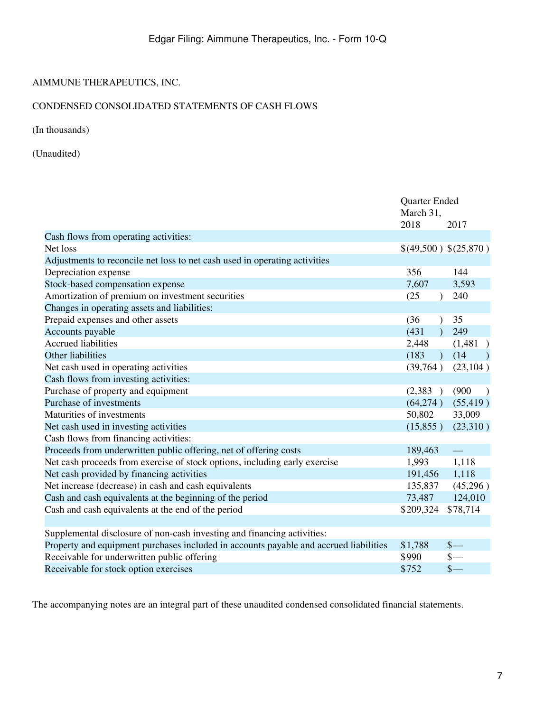# <span id="page-6-0"></span>CONDENSED CONSOLIDATED STATEMENTS OF CASH FLOWS

(In thousands)

(Unaudited)

|                                                                                       | Quarter Ended<br>March 31, |                       |
|---------------------------------------------------------------------------------------|----------------------------|-----------------------|
|                                                                                       | 2018                       | 2017                  |
| Cash flows from operating activities:                                                 |                            |                       |
| Net loss                                                                              |                            | \$(49,500) \$(25,870) |
| Adjustments to reconcile net loss to net cash used in operating activities            |                            |                       |
| Depreciation expense                                                                  | 356                        | 144                   |
| Stock-based compensation expense                                                      | 7,607                      | 3,593                 |
| Amortization of premium on investment securities                                      | (25)<br>$\lambda$          | 240                   |
| Changes in operating assets and liabilities:                                          |                            |                       |
| Prepaid expenses and other assets                                                     | (36)<br>$\lambda$          | 35                    |
| Accounts payable                                                                      | (431)<br>$\lambda$         | 249                   |
| <b>Accrued liabilities</b>                                                            | 2,448                      | (1,481)               |
| Other liabilities                                                                     | (183)                      | (14)                  |
| Net cash used in operating activities                                                 | (39,764)                   | (23, 104)             |
| Cash flows from investing activities:                                                 |                            |                       |
| Purchase of property and equipment                                                    | (2,383)                    | (900)                 |
| Purchase of investments                                                               | (64,274)                   | (55, 419)             |
| Maturities of investments                                                             | 50,802                     | 33,009                |
| Net cash used in investing activities                                                 | (15,855)                   | (23,310)              |
| Cash flows from financing activities:                                                 |                            |                       |
| Proceeds from underwritten public offering, net of offering costs                     | 189,463                    |                       |
| Net cash proceeds from exercise of stock options, including early exercise            | 1,993                      | 1,118                 |
| Net cash provided by financing activities                                             | 191,456                    | 1,118                 |
| Net increase (decrease) in cash and cash equivalents                                  | 135,837                    | (45,296)              |
| Cash and cash equivalents at the beginning of the period                              | 73,487                     | 124,010               |
| Cash and cash equivalents at the end of the period                                    | \$209,324                  | \$78,714              |
|                                                                                       |                            |                       |
| Supplemental disclosure of non-cash investing and financing activities:               |                            |                       |
| Property and equipment purchases included in accounts payable and accrued liabilities | \$1,788                    | $\frac{1}{2}$         |
| Receivable for underwritten public offering                                           | \$990                      | $\frac{1}{2}$         |
| Receivable for stock option exercises                                                 | \$752                      | $\frac{1}{2}$         |

The accompanying notes are an integral part of these unaudited condensed consolidated financial statements.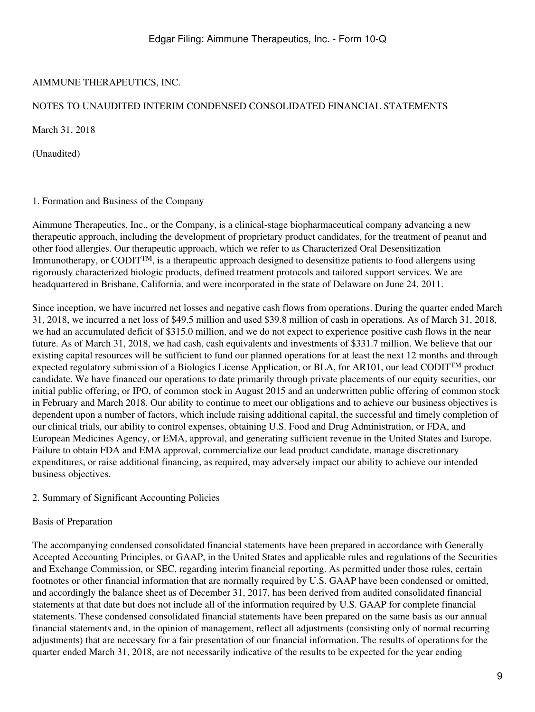## <span id="page-8-0"></span>NOTES TO UNAUDITED INTERIM CONDENSED CONSOLIDATED FINANCIAL STATEMENTS

March 31, 2018

(Unaudited)

## 1. Formation and Business of the Company

Aimmune Therapeutics, Inc., or the Company, is a clinical-stage biopharmaceutical company advancing a new therapeutic approach, including the development of proprietary product candidates, for the treatment of peanut and other food allergies. Our therapeutic approach, which we refer to as Characterized Oral Desensitization Immunotherapy, or CODITTM, is a therapeutic approach designed to desensitize patients to food allergens using rigorously characterized biologic products, defined treatment protocols and tailored support services. We are headquartered in Brisbane, California, and were incorporated in the state of Delaware on June 24, 2011.

Since inception, we have incurred net losses and negative cash flows from operations. During the quarter ended March 31, 2018, we incurred a net loss of \$49.5 million and used \$39.8 million of cash in operations. As of March 31, 2018, we had an accumulated deficit of \$315.0 million, and we do not expect to experience positive cash flows in the near future. As of March 31, 2018, we had cash, cash equivalents and investments of \$331.7 million. We believe that our existing capital resources will be sufficient to fund our planned operations for at least the next 12 months and through expected regulatory submission of a Biologics License Application, or BLA, for AR101, our lead CODITTM product candidate. We have financed our operations to date primarily through private placements of our equity securities, our initial public offering, or IPO, of common stock in August 2015 and an underwritten public offering of common stock in February and March 2018. Our ability to continue to meet our obligations and to achieve our business objectives is dependent upon a number of factors, which include raising additional capital, the successful and timely completion of our clinical trials, our ability to control expenses, obtaining U.S. Food and Drug Administration, or FDA, and European Medicines Agency, or EMA, approval, and generating sufficient revenue in the United States and Europe. Failure to obtain FDA and EMA approval, commercialize our lead product candidate, manage discretionary expenditures, or raise additional financing, as required, may adversely impact our ability to achieve our intended business objectives.

### 2. Summary of Significant Accounting Policies

## Basis of Preparation

The accompanying condensed consolidated financial statements have been prepared in accordance with Generally Accepted Accounting Principles, or GAAP, in the United States and applicable rules and regulations of the Securities and Exchange Commission, or SEC, regarding interim financial reporting. As permitted under those rules, certain footnotes or other financial information that are normally required by U.S. GAAP have been condensed or omitted, and accordingly the balance sheet as of December 31, 2017, has been derived from audited consolidated financial statements at that date but does not include all of the information required by U.S. GAAP for complete financial statements. These condensed consolidated financial statements have been prepared on the same basis as our annual financial statements and, in the opinion of management, reflect all adjustments (consisting only of normal recurring adjustments) that are necessary for a fair presentation of our financial information. The results of operations for the quarter ended March 31, 2018, are not necessarily indicative of the results to be expected for the year ending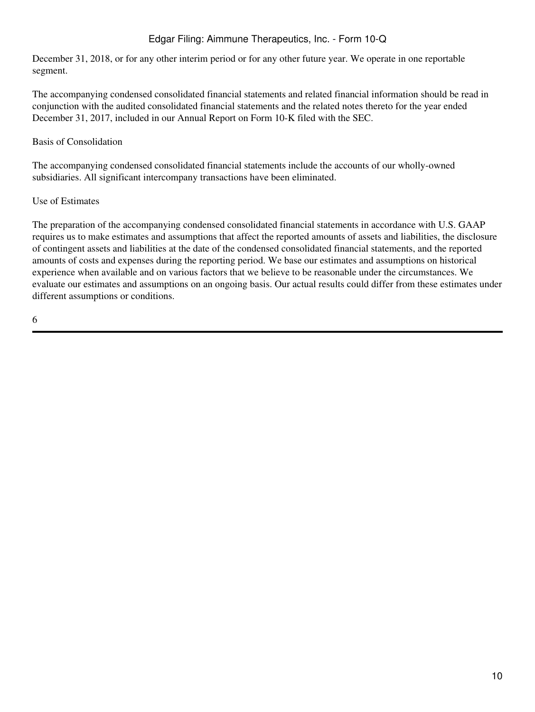December 31, 2018, or for any other interim period or for any other future year. We operate in one reportable segment.

The accompanying condensed consolidated financial statements and related financial information should be read in conjunction with the audited consolidated financial statements and the related notes thereto for the year ended December 31, 2017, included in our Annual Report on Form 10-K filed with the SEC.

## Basis of Consolidation

The accompanying condensed consolidated financial statements include the accounts of our wholly-owned subsidiaries. All significant intercompany transactions have been eliminated.

### Use of Estimates

The preparation of the accompanying condensed consolidated financial statements in accordance with U.S. GAAP requires us to make estimates and assumptions that affect the reported amounts of assets and liabilities, the disclosure of contingent assets and liabilities at the date of the condensed consolidated financial statements, and the reported amounts of costs and expenses during the reporting period. We base our estimates and assumptions on historical experience when available and on various factors that we believe to be reasonable under the circumstances. We evaluate our estimates and assumptions on an ongoing basis. Our actual results could differ from these estimates under different assumptions or conditions.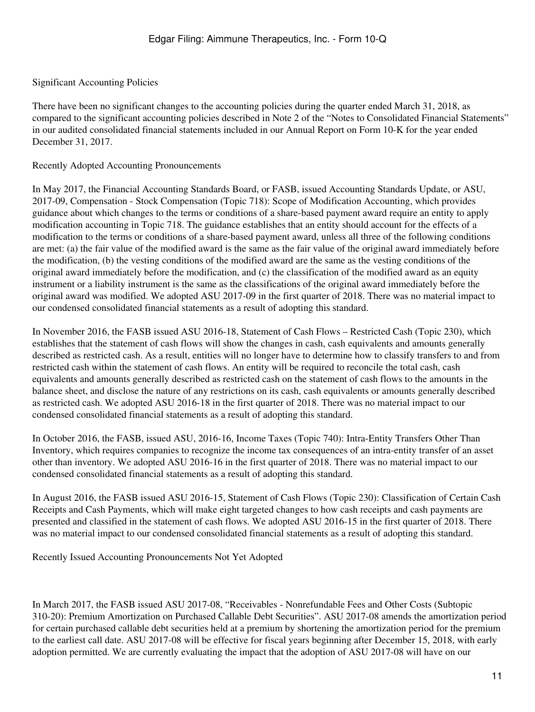## Significant Accounting Policies

There have been no significant changes to the accounting policies during the quarter ended March 31, 2018, as compared to the significant accounting policies described in Note 2 of the "Notes to Consolidated Financial Statements" in our audited consolidated financial statements included in our Annual Report on Form 10-K for the year ended December 31, 2017.

#### Recently Adopted Accounting Pronouncements

In May 2017, the Financial Accounting Standards Board, or FASB, issued Accounting Standards Update, or ASU, 2017-09, Compensation - Stock Compensation (Topic 718): Scope of Modification Accounting, which provides guidance about which changes to the terms or conditions of a share-based payment award require an entity to apply modification accounting in Topic 718. The guidance establishes that an entity should account for the effects of a modification to the terms or conditions of a share-based payment award, unless all three of the following conditions are met: (a) the fair value of the modified award is the same as the fair value of the original award immediately before the modification, (b) the vesting conditions of the modified award are the same as the vesting conditions of the original award immediately before the modification, and (c) the classification of the modified award as an equity instrument or a liability instrument is the same as the classifications of the original award immediately before the original award was modified. We adopted ASU 2017-09 in the first quarter of 2018. There was no material impact to our condensed consolidated financial statements as a result of adopting this standard.

In November 2016, the FASB issued ASU 2016-18, Statement of Cash Flows – Restricted Cash (Topic 230), which establishes that the statement of cash flows will show the changes in cash, cash equivalents and amounts generally described as restricted cash. As a result, entities will no longer have to determine how to classify transfers to and from restricted cash within the statement of cash flows. An entity will be required to reconcile the total cash, cash equivalents and amounts generally described as restricted cash on the statement of cash flows to the amounts in the balance sheet, and disclose the nature of any restrictions on its cash, cash equivalents or amounts generally described as restricted cash. We adopted ASU 2016-18 in the first quarter of 2018. There was no material impact to our condensed consolidated financial statements as a result of adopting this standard.

In October 2016, the FASB, issued ASU, 2016-16, Income Taxes (Topic 740): Intra-Entity Transfers Other Than Inventory, which requires companies to recognize the income tax consequences of an intra-entity transfer of an asset other than inventory. We adopted ASU 2016-16 in the first quarter of 2018. There was no material impact to our condensed consolidated financial statements as a result of adopting this standard.

In August 2016, the FASB issued ASU 2016-15, Statement of Cash Flows (Topic 230): Classification of Certain Cash Receipts and Cash Payments, which will make eight targeted changes to how cash receipts and cash payments are presented and classified in the statement of cash flows. We adopted ASU 2016-15 in the first quarter of 2018. There was no material impact to our condensed consolidated financial statements as a result of adopting this standard.

Recently Issued Accounting Pronouncements Not Yet Adopted

In March 2017, the FASB issued ASU 2017-08, "Receivables - Nonrefundable Fees and Other Costs (Subtopic 310-20): Premium Amortization on Purchased Callable Debt Securities". ASU 2017-08 amends the amortization period for certain purchased callable debt securities held at a premium by shortening the amortization period for the premium to the earliest call date. ASU 2017-08 will be effective for fiscal years beginning after December 15, 2018, with early adoption permitted. We are currently evaluating the impact that the adoption of ASU 2017-08 will have on our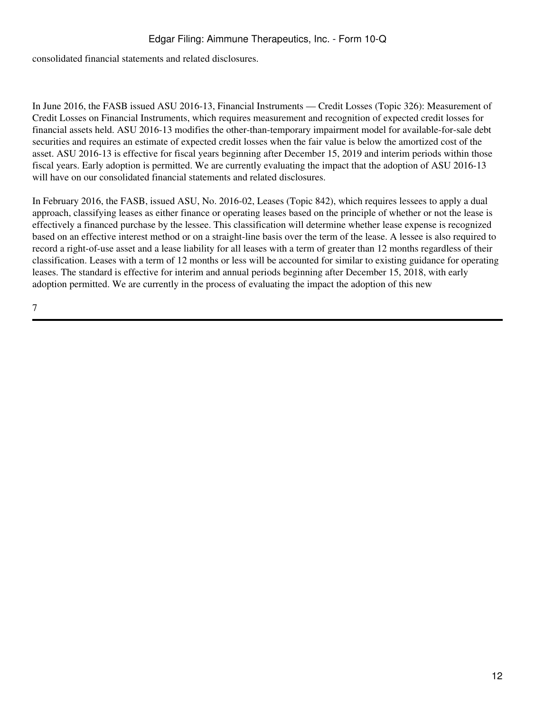consolidated financial statements and related disclosures.

In June 2016, the FASB issued ASU 2016-13, Financial Instruments — Credit Losses (Topic 326): Measurement of Credit Losses on Financial Instruments, which requires measurement and recognition of expected credit losses for financial assets held. ASU 2016-13 modifies the other-than-temporary impairment model for available-for-sale debt securities and requires an estimate of expected credit losses when the fair value is below the amortized cost of the asset. ASU 2016-13 is effective for fiscal years beginning after December 15, 2019 and interim periods within those fiscal years. Early adoption is permitted. We are currently evaluating the impact that the adoption of ASU 2016-13 will have on our consolidated financial statements and related disclosures.

In February 2016, the FASB, issued ASU, No. 2016-02, Leases (Topic 842), which requires lessees to apply a dual approach, classifying leases as either finance or operating leases based on the principle of whether or not the lease is effectively a financed purchase by the lessee. This classification will determine whether lease expense is recognized based on an effective interest method or on a straight-line basis over the term of the lease. A lessee is also required to record a right-of-use asset and a lease liability for all leases with a term of greater than 12 months regardless of their classification. Leases with a term of 12 months or less will be accounted for similar to existing guidance for operating leases. The standard is effective for interim and annual periods beginning after December 15, 2018, with early adoption permitted. We are currently in the process of evaluating the impact the adoption of this new

7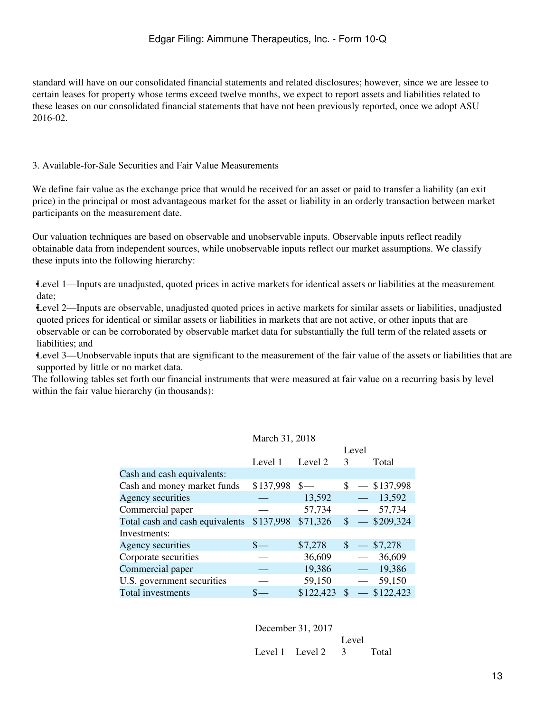standard will have on our consolidated financial statements and related disclosures; however, since we are lessee to certain leases for property whose terms exceed twelve months, we expect to report assets and liabilities related to these leases on our consolidated financial statements that have not been previously reported, once we adopt ASU 2016-02.

### 3. Available-for-Sale Securities and Fair Value Measurements

We define fair value as the exchange price that would be received for an asset or paid to transfer a liability (an exit price) in the principal or most advantageous market for the asset or liability in an orderly transaction between market participants on the measurement date.

Our valuation techniques are based on observable and unobservable inputs. Observable inputs reflect readily obtainable data from independent sources, while unobservable inputs reflect our market assumptions. We classify these inputs into the following hierarchy:

•Level 1—Inputs are unadjusted, quoted prices in active markets for identical assets or liabilities at the measurement date;

•Level 2—Inputs are observable, unadjusted quoted prices in active markets for similar assets or liabilities, unadjusted quoted prices for identical or similar assets or liabilities in markets that are not active, or other inputs that are observable or can be corroborated by observable market data for substantially the full term of the related assets or liabilities; and

•Level 3—Unobservable inputs that are significant to the measurement of the fair value of the assets or liabilities that are supported by little or no market data.

The following tables set forth our financial instruments that were measured at fair value on a recurring basis by level within the fair value hierarchy (in thousands):

| March 31, 2018 |  |  |
|----------------|--|--|
|----------------|--|--|

|                                 |           |           | Level                    |                              |
|---------------------------------|-----------|-----------|--------------------------|------------------------------|
|                                 | Level 1   | Level 2   | 3                        | Total                        |
| Cash and cash equivalents:      |           |           |                          |                              |
| Cash and money market funds     | \$137,998 | $s-$      |                          | $$ - $137,998$               |
| Agency securities               |           | 13,592    | بك                       | 13,592                       |
| Commercial paper                |           | 57,734    | $\overline{\phantom{0}}$ | 57,734                       |
| Total cash and cash equivalents | \$137,998 | \$71,326  |                          | $\frac{\$}{\$}$ - \\$209,324 |
| Investments:                    |           |           |                          |                              |
| Agency securities               |           | \$7,278   | $\sqrt[3]{ }$            | \$7,278                      |
| Corporate securities            |           | 36,609    | $\overline{\phantom{m}}$ | 36,609                       |
| Commercial paper                |           | 19,386    | $\overline{\phantom{m}}$ | 19,386                       |
| U.S. government securities      |           | 59,150    | $\overline{\phantom{m}}$ | 59,150                       |
| Total investments               |           | \$122,423 | \$                       | \$122,423                    |

December 31, 2017

Level 1 Level 2 Level 3 Total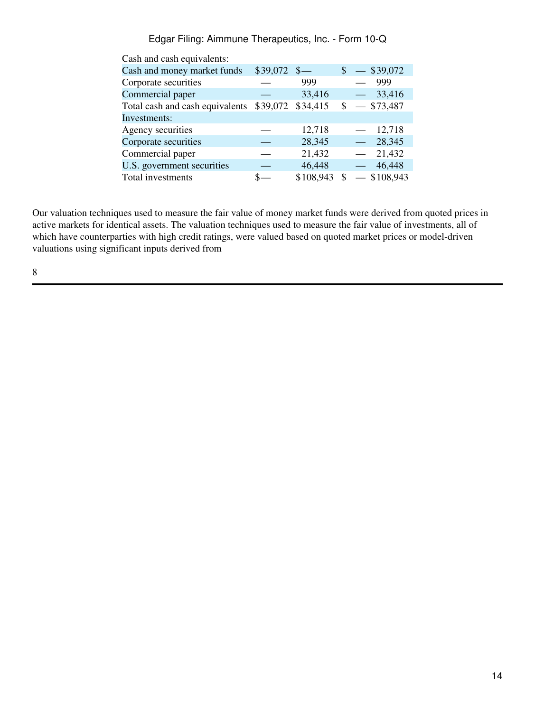| Cash and cash equivalents: |           |                           |                                    |  |  |  |  |
|----------------------------|-----------|---------------------------|------------------------------------|--|--|--|--|
|                            |           |                           | $\$\sim$39,072$                    |  |  |  |  |
|                            | 999       |                           | 999                                |  |  |  |  |
|                            | 33,416    |                           | 33,416<br>$\overline{\phantom{0}}$ |  |  |  |  |
|                            | \$34,415  |                           | $$ - $73,487$                      |  |  |  |  |
|                            |           |                           |                                    |  |  |  |  |
|                            | 12,718    |                           | 12,718<br>$\overline{\phantom{0}}$ |  |  |  |  |
|                            | 28,345    |                           | 28,345                             |  |  |  |  |
|                            | 21,432    |                           | 21,432                             |  |  |  |  |
|                            | 46,448    |                           | 46,448<br>$\overline{\phantom{0}}$ |  |  |  |  |
|                            | \$108,943 | \$.                       | \$108,943                          |  |  |  |  |
|                            |           | $$39,072$ \$-<br>\$39,072 |                                    |  |  |  |  |

Our valuation techniques used to measure the fair value of money market funds were derived from quoted prices in active markets for identical assets. The valuation techniques used to measure the fair value of investments, all of which have counterparties with high credit ratings, were valued based on quoted market prices or model-driven valuations using significant inputs derived from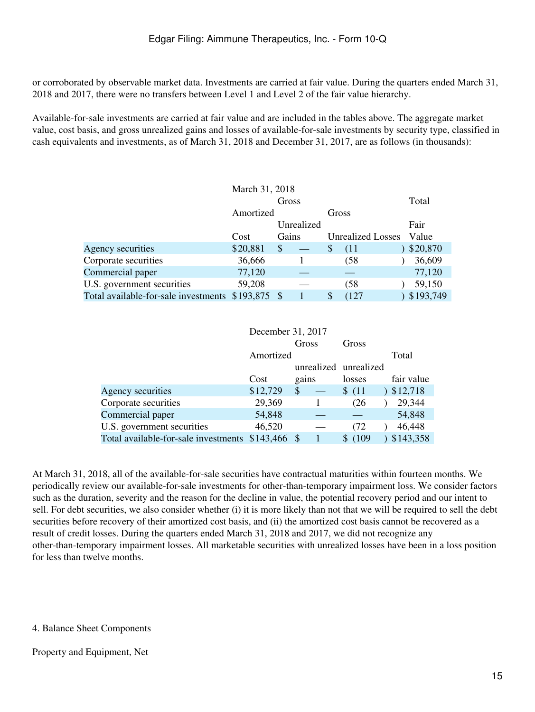or corroborated by observable market data. Investments are carried at fair value. During the quarters ended March 31, 2018 and 2017, there were no transfers between Level 1 and Level 2 of the fair value hierarchy.

Available-for-sale investments are carried at fair value and are included in the tables above. The aggregate market value, cost basis, and gross unrealized gains and losses of available-for-sale investments by security type, classified in cash equivalents and investments, as of March 31, 2018 and December 31, 2017, are as follows (in thousands):

| March 31, 2018                                    |                    |            |                          |           |  |
|---------------------------------------------------|--------------------|------------|--------------------------|-----------|--|
|                                                   |                    | Total      |                          |           |  |
|                                                   | Amortized<br>Gross |            |                          |           |  |
|                                                   |                    | Unrealized |                          | Fair      |  |
|                                                   | Cost               | Gains      | <b>Unrealized Losses</b> | Value     |  |
| Agency securities                                 | \$20,881           | \$         | $\mathcal{S}$<br>(11)    | \$20,870  |  |
| Corporate securities                              | 36,666             |            | (58)                     | 36,609    |  |
| Commercial paper                                  | 77,120             |            |                          | 77,120    |  |
| U.S. government securities                        | 59,208             |            | (58                      | 59,150    |  |
| Total available-for-sale investments \$193,875 \$ |                    |            | (127)<br>S               | \$193,749 |  |

|                                      | December 31, 2017 |    |       |                       |   |            |
|--------------------------------------|-------------------|----|-------|-----------------------|---|------------|
|                                      |                   |    | Gross | Gross                 |   |            |
|                                      | Amortized         |    |       |                       |   | Total      |
|                                      |                   |    |       | unrealized unrealized |   |            |
|                                      | Cost              |    | gains | losses                |   | fair value |
| Agency securities                    | \$12,729          | \$ |       | \$(11)                | 1 | \$12,718   |
| Corporate securities                 | 29,369            |    |       | (26)                  |   | 29,344     |
| Commercial paper                     | 54,848            |    |       |                       |   | 54,848     |
| U.S. government securities           | 46,520            |    |       | (72)                  |   | 46,448     |
| Total available-for-sale investments | $$143,466$ \\$    |    |       | (109<br>S.            |   | \$143,358  |

At March 31, 2018, all of the available-for-sale securities have contractual maturities within fourteen months. We periodically review our available-for-sale investments for other-than-temporary impairment loss. We consider factors such as the duration, severity and the reason for the decline in value, the potential recovery period and our intent to sell. For debt securities, we also consider whether (i) it is more likely than not that we will be required to sell the debt securities before recovery of their amortized cost basis, and (ii) the amortized cost basis cannot be recovered as a result of credit losses. During the quarters ended March 31, 2018 and 2017, we did not recognize any other-than-temporary impairment losses. All marketable securities with unrealized losses have been in a loss position for less than twelve months.

### 4. Balance Sheet Components

### Property and Equipment, Net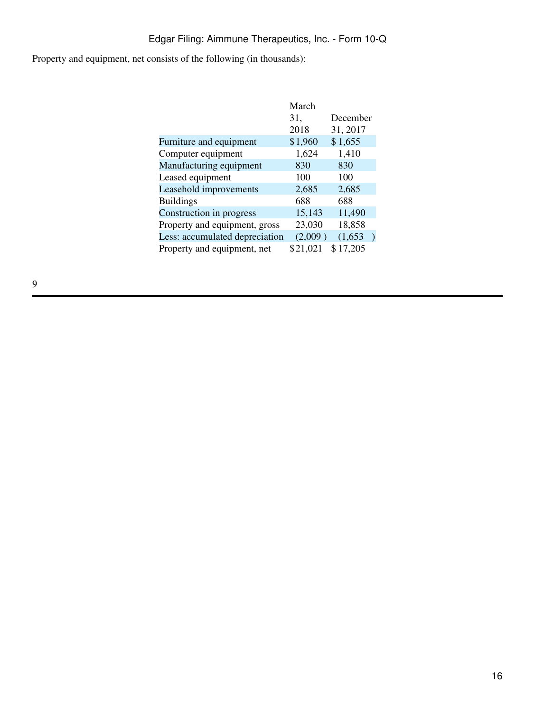Property and equipment, net consists of the following (in thousands):

|                                | March<br>31,<br>2018 | December<br>31, 2017 |  |
|--------------------------------|----------------------|----------------------|--|
| Furniture and equipment        | \$1,960              | \$1,655              |  |
| Computer equipment             | 1,624                | 1,410                |  |
| Manufacturing equipment        | 830                  | 830                  |  |
| Leased equipment               | 100                  | 100                  |  |
| Leasehold improvements         | 2,685                | 2,685                |  |
| <b>Buildings</b>               | 688                  | 688                  |  |
| Construction in progress       | 15,143               | 11,490               |  |
| Property and equipment, gross  | 23,030               | 18,858               |  |
| Less: accumulated depreciation | (2,009)              | (1,653)              |  |
| Property and equipment, net    | \$21,021             | \$17,205             |  |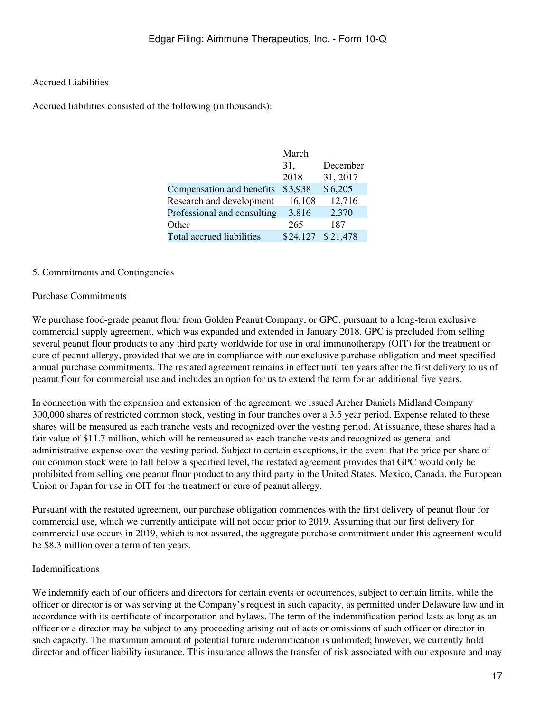## Accrued Liabilities

Accrued liabilities consisted of the following (in thousands):

|                             | March    |          |
|-----------------------------|----------|----------|
|                             | 31,      | December |
|                             | 2018     | 31, 2017 |
| Compensation and benefits   | \$3,938  | \$6,205  |
| Research and development    | 16,108   | 12,716   |
| Professional and consulting | 3,816    | 2,370    |
| Other                       | 265      | 187      |
| Total accrued liabilities   | \$24,127 | \$21,478 |
|                             |          |          |

#### 5. Commitments and Contingencies

#### Purchase Commitments

We purchase food-grade peanut flour from Golden Peanut Company, or GPC, pursuant to a long-term exclusive commercial supply agreement, which was expanded and extended in January 2018. GPC is precluded from selling several peanut flour products to any third party worldwide for use in oral immunotherapy (OIT) for the treatment or cure of peanut allergy, provided that we are in compliance with our exclusive purchase obligation and meet specified annual purchase commitments. The restated agreement remains in effect until ten years after the first delivery to us of peanut flour for commercial use and includes an option for us to extend the term for an additional five years.

In connection with the expansion and extension of the agreement, we issued Archer Daniels Midland Company 300,000 shares of restricted common stock, vesting in four tranches over a 3.5 year period. Expense related to these shares will be measured as each tranche vests and recognized over the vesting period. At issuance, these shares had a fair value of \$11.7 million, which will be remeasured as each tranche vests and recognized as general and administrative expense over the vesting period. Subject to certain exceptions, in the event that the price per share of our common stock were to fall below a specified level, the restated agreement provides that GPC would only be prohibited from selling one peanut flour product to any third party in the United States, Mexico, Canada, the European Union or Japan for use in OIT for the treatment or cure of peanut allergy.

Pursuant with the restated agreement, our purchase obligation commences with the first delivery of peanut flour for commercial use, which we currently anticipate will not occur prior to 2019. Assuming that our first delivery for commercial use occurs in 2019, which is not assured, the aggregate purchase commitment under this agreement would be \$8.3 million over a term of ten years.

#### Indemnifications

We indemnify each of our officers and directors for certain events or occurrences, subject to certain limits, while the officer or director is or was serving at the Company's request in such capacity, as permitted under Delaware law and in accordance with its certificate of incorporation and bylaws. The term of the indemnification period lasts as long as an officer or a director may be subject to any proceeding arising out of acts or omissions of such officer or director in such capacity. The maximum amount of potential future indemnification is unlimited; however, we currently hold director and officer liability insurance. This insurance allows the transfer of risk associated with our exposure and may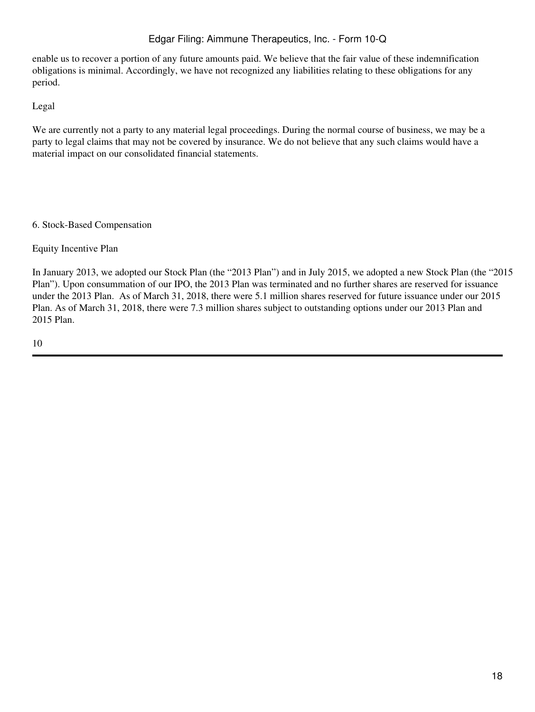enable us to recover a portion of any future amounts paid. We believe that the fair value of these indemnification obligations is minimal. Accordingly, we have not recognized any liabilities relating to these obligations for any period.

Legal

We are currently not a party to any material legal proceedings. During the normal course of business, we may be a party to legal claims that may not be covered by insurance. We do not believe that any such claims would have a material impact on our consolidated financial statements.

### 6. Stock-Based Compensation

Equity Incentive Plan

In January 2013, we adopted our Stock Plan (the "2013 Plan") and in July 2015, we adopted a new Stock Plan (the "2015 Plan"). Upon consummation of our IPO, the 2013 Plan was terminated and no further shares are reserved for issuance under the 2013 Plan. As of March 31, 2018, there were 5.1 million shares reserved for future issuance under our 2015 Plan. As of March 31, 2018, there were 7.3 million shares subject to outstanding options under our 2013 Plan and 2015 Plan.

10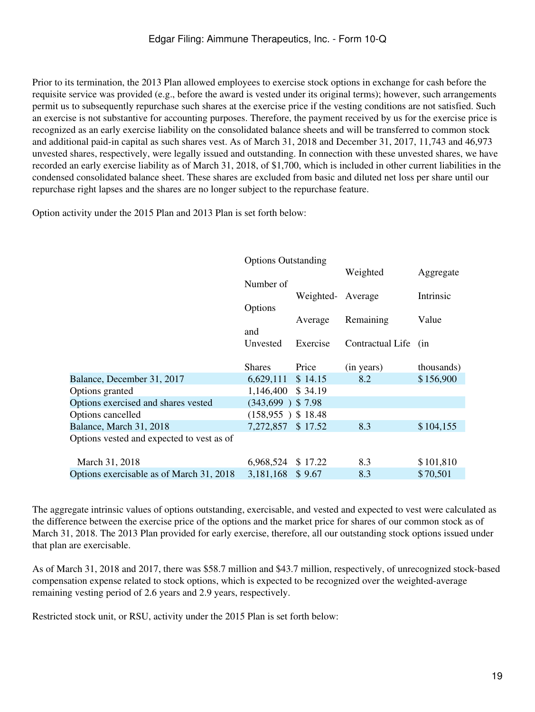Prior to its termination, the 2013 Plan allowed employees to exercise stock options in exchange for cash before the requisite service was provided (e.g., before the award is vested under its original terms); however, such arrangements permit us to subsequently repurchase such shares at the exercise price if the vesting conditions are not satisfied. Such an exercise is not substantive for accounting purposes. Therefore, the payment received by us for the exercise price is recognized as an early exercise liability on the consolidated balance sheets and will be transferred to common stock and additional paid-in capital as such shares vest. As of March 31, 2018 and December 31, 2017, 11,743 and 46,973 unvested shares, respectively, were legally issued and outstanding. In connection with these unvested shares, we have recorded an early exercise liability as of March 31, 2018, of \$1,700, which is included in other current liabilities in the condensed consolidated balance sheet. These shares are excluded from basic and diluted net loss per share until our repurchase right lapses and the shares are no longer subject to the repurchase feature.

Option activity under the 2015 Plan and 2013 Plan is set forth below:

|                                           | <b>Options Outstanding</b> |           |                      |            |
|-------------------------------------------|----------------------------|-----------|----------------------|------------|
|                                           |                            |           | Weighted             | Aggregate  |
|                                           | Number of                  |           |                      |            |
|                                           |                            | Weighted- | Average              | Intrinsic  |
|                                           | Options                    |           |                      |            |
|                                           |                            | Average   | Remaining            | Value      |
|                                           | and                        |           |                      |            |
|                                           | Unvested                   | Exercise  | Contractual Life (in |            |
|                                           |                            |           |                      |            |
|                                           | <b>Shares</b>              | Price     | (in years)           | thousands) |
| Balance, December 31, 2017                | 6,629,111                  | \$14.15   | 8.2                  | \$156,900  |
| Options granted                           | 1,146,400                  | \$34.19   |                      |            |
| Options exercised and shares vested       | $(343,699)$ \$7.98         |           |                      |            |
| Options cancelled                         | $(158,955)$ \$ 18.48       |           |                      |            |
| Balance, March 31, 2018                   | 7,272,857                  | \$17.52   | 8.3                  | \$104,155  |
| Options vested and expected to vest as of |                            |           |                      |            |
|                                           |                            |           |                      |            |
| March 31, 2018                            | 6,968,524                  | \$17.22   | 8.3                  | \$101,810  |
| Options exercisable as of March 31, 2018  | 3,181,168                  | \$9.67    | 8.3                  | \$70,501   |

The aggregate intrinsic values of options outstanding, exercisable, and vested and expected to vest were calculated as the difference between the exercise price of the options and the market price for shares of our common stock as of March 31, 2018. The 2013 Plan provided for early exercise, therefore, all our outstanding stock options issued under that plan are exercisable.

As of March 31, 2018 and 2017, there was \$58.7 million and \$43.7 million, respectively, of unrecognized stock-based compensation expense related to stock options, which is expected to be recognized over the weighted-average remaining vesting period of 2.6 years and 2.9 years, respectively.

Restricted stock unit, or RSU, activity under the 2015 Plan is set forth below: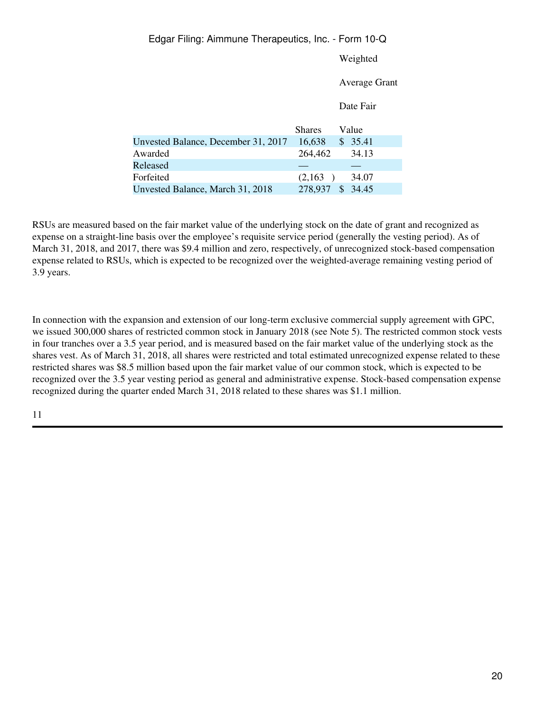#### Weighted

#### Average Grant

Date Fair

|                                     | <b>Shares</b> | Value |
|-------------------------------------|---------------|-------|
| Unvested Balance, December 31, 2017 | 16,638<br>\$. | 35.41 |
| Awarded                             | 264,462       | 34.13 |
| Released                            |               |       |
| Forfeited                           | (2,163)       | 34.07 |
| Unvested Balance, March 31, 2018    | 278,937       | 34.45 |

RSUs are measured based on the fair market value of the underlying stock on the date of grant and recognized as expense on a straight-line basis over the employee's requisite service period (generally the vesting period). As of March 31, 2018, and 2017, there was \$9.4 million and zero, respectively, of unrecognized stock-based compensation expense related to RSUs, which is expected to be recognized over the weighted-average remaining vesting period of 3.9 years.

In connection with the expansion and extension of our long-term exclusive commercial supply agreement with GPC, we issued 300,000 shares of restricted common stock in January 2018 (see Note 5). The restricted common stock vests in four tranches over a 3.5 year period, and is measured based on the fair market value of the underlying stock as the shares vest. As of March 31, 2018, all shares were restricted and total estimated unrecognized expense related to these restricted shares was \$8.5 million based upon the fair market value of our common stock, which is expected to be recognized over the 3.5 year vesting period as general and administrative expense. Stock-based compensation expense recognized during the quarter ended March 31, 2018 related to these shares was \$1.1 million.

# 11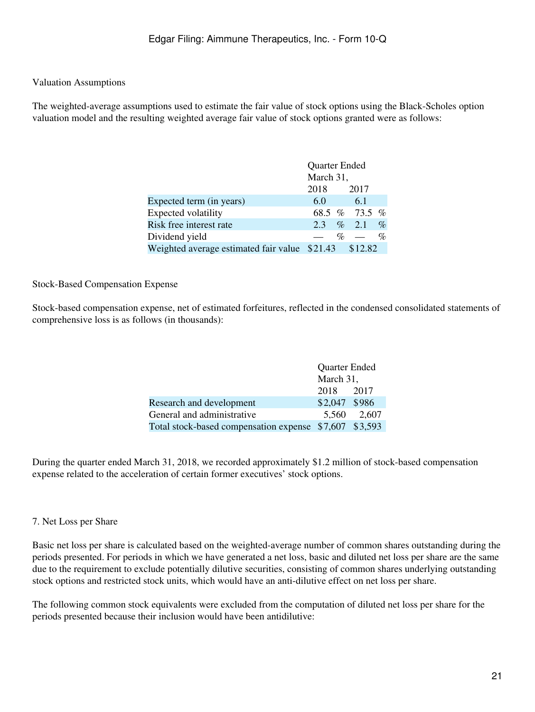## Valuation Assumptions

The weighted-average assumptions used to estimate the fair value of stock options using the Black-Scholes option valuation model and the resulting weighted average fair value of stock options granted were as follows:

|                                               | Quarter Ended |  |               |      |
|-----------------------------------------------|---------------|--|---------------|------|
|                                               | March 31,     |  |               |      |
|                                               | 2018          |  | 2017          |      |
| Expected term (in years)                      | 6.0           |  | 6.1           |      |
| Expected volatility                           |               |  | 68.5 % 73.5 % |      |
| Risk free interest rate                       | 2.3           |  | $\%$ 2.1      | $\%$ |
| Dividend yield                                |               |  | $\%$ —        | $\%$ |
| Weighted average estimated fair value \$21.43 |               |  | \$12.82       |      |

#### Stock-Based Compensation Expense

Stock-based compensation expense, net of estimated forfeitures, reflected in the condensed consolidated statements of comprehensive loss is as follows (in thousands):

|                                                        | Quarter Ended |             |  |
|--------------------------------------------------------|---------------|-------------|--|
|                                                        | March 31,     |             |  |
|                                                        | 2018 2017     |             |  |
| Research and development                               | \$2,047 \$986 |             |  |
| General and administrative                             |               | 5.560 2.607 |  |
| Total stock-based compensation expense \$7,607 \$3,593 |               |             |  |

During the quarter ended March 31, 2018, we recorded approximately \$1.2 million of stock-based compensation expense related to the acceleration of certain former executives' stock options.

### 7. Net Loss per Share

Basic net loss per share is calculated based on the weighted-average number of common shares outstanding during the periods presented. For periods in which we have generated a net loss, basic and diluted net loss per share are the same due to the requirement to exclude potentially dilutive securities, consisting of common shares underlying outstanding stock options and restricted stock units, which would have an anti-dilutive effect on net loss per share.

The following common stock equivalents were excluded from the computation of diluted net loss per share for the periods presented because their inclusion would have been antidilutive: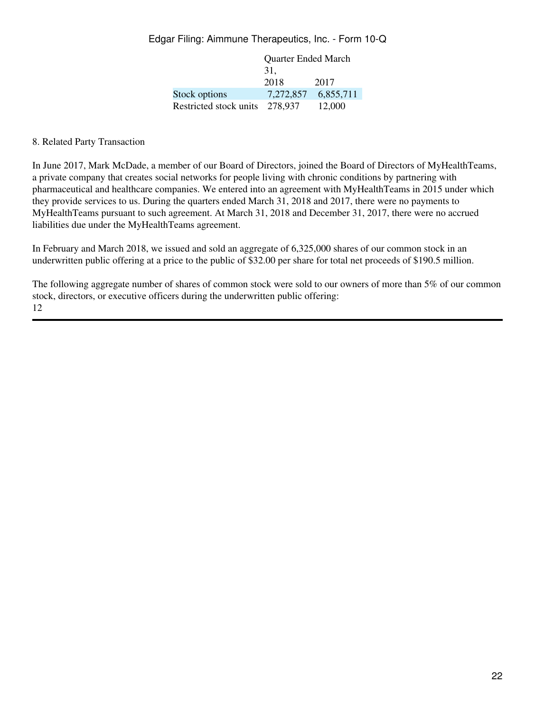|                        | <b>Quarter Ended March</b> |           |  |  |
|------------------------|----------------------------|-----------|--|--|
|                        | 31.                        |           |  |  |
|                        | 2018                       | 2017      |  |  |
| Stock options          | 7,272,857                  | 6,855,711 |  |  |
| Restricted stock units | 278.937                    | 12,000    |  |  |

8. Related Party Transaction

In June 2017, Mark McDade, a member of our Board of Directors, joined the Board of Directors of MyHealthTeams, a private company that creates social networks for people living with chronic conditions by partnering with pharmaceutical and healthcare companies. We entered into an agreement with MyHealthTeams in 2015 under which they provide services to us. During the quarters ended March 31, 2018 and 2017, there were no payments to MyHealthTeams pursuant to such agreement. At March 31, 2018 and December 31, 2017, there were no accrued liabilities due under the MyHealthTeams agreement.

In February and March 2018, we issued and sold an aggregate of 6,325,000 shares of our common stock in an underwritten public offering at a price to the public of \$32.00 per share for total net proceeds of \$190.5 million.

The following aggregate number of shares of common stock were sold to our owners of more than 5% of our common stock, directors, or executive officers during the underwritten public offering: 12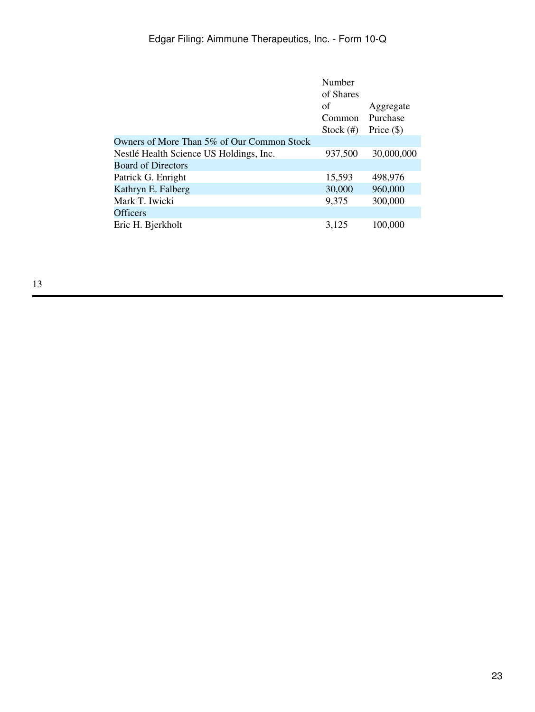| 30,000,000 |
|------------|
|            |
|            |
|            |
|            |
|            |
|            |
|            |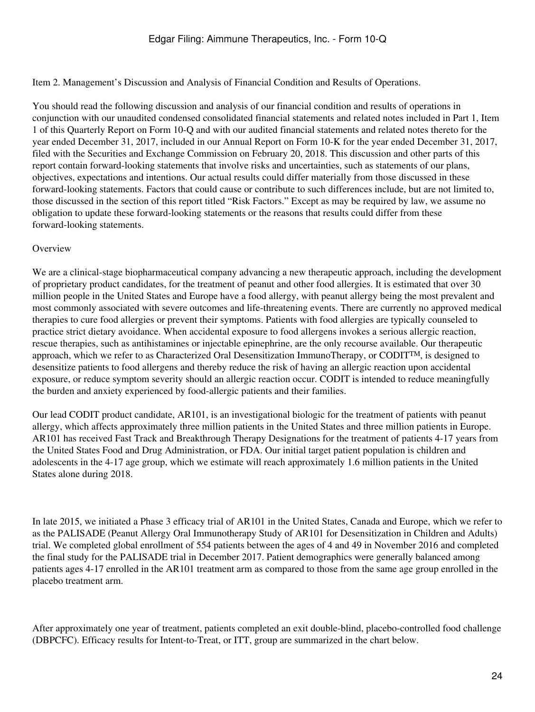<span id="page-23-0"></span>Item 2. Management's Discussion and Analysis of Financial Condition and Results of Operations.

You should read the following discussion and analysis of our financial condition and results of operations in conjunction with our unaudited condensed consolidated financial statements and related notes included in Part 1, Item 1 of this Quarterly Report on Form 10-Q and with our audited financial statements and related notes thereto for the year ended December 31, 2017, included in our Annual Report on Form 10-K for the year ended December 31, 2017, filed with the Securities and Exchange Commission on February 20, 2018. This discussion and other parts of this report contain forward-looking statements that involve risks and uncertainties, such as statements of our plans, objectives, expectations and intentions. Our actual results could differ materially from those discussed in these forward-looking statements. Factors that could cause or contribute to such differences include, but are not limited to, those discussed in the section of this report titled "Risk Factors." Except as may be required by law, we assume no obligation to update these forward-looking statements or the reasons that results could differ from these forward-looking statements.

#### **Overview**

We are a clinical-stage biopharmaceutical company advancing a new therapeutic approach, including the development of proprietary product candidates, for the treatment of peanut and other food allergies. It is estimated that over 30 million people in the United States and Europe have a food allergy, with peanut allergy being the most prevalent and most commonly associated with severe outcomes and life-threatening events. There are currently no approved medical therapies to cure food allergies or prevent their symptoms. Patients with food allergies are typically counseled to practice strict dietary avoidance. When accidental exposure to food allergens invokes a serious allergic reaction, rescue therapies, such as antihistamines or injectable epinephrine, are the only recourse available. Our therapeutic approach, which we refer to as Characterized Oral Desensitization ImmunoTherapy, or CODITTM, is designed to desensitize patients to food allergens and thereby reduce the risk of having an allergic reaction upon accidental exposure, or reduce symptom severity should an allergic reaction occur. CODIT is intended to reduce meaningfully the burden and anxiety experienced by food-allergic patients and their families.

Our lead CODIT product candidate, AR101, is an investigational biologic for the treatment of patients with peanut allergy, which affects approximately three million patients in the United States and three million patients in Europe. AR101 has received Fast Track and Breakthrough Therapy Designations for the treatment of patients 4-17 years from the United States Food and Drug Administration, or FDA. Our initial target patient population is children and adolescents in the 4-17 age group, which we estimate will reach approximately 1.6 million patients in the United States alone during 2018.

In late 2015, we initiated a Phase 3 efficacy trial of AR101 in the United States, Canada and Europe, which we refer to as the PALISADE (Peanut Allergy Oral Immunotherapy Study of AR101 for Desensitization in Children and Adults) trial. We completed global enrollment of 554 patients between the ages of 4 and 49 in November 2016 and completed the final study for the PALISADE trial in December 2017. Patient demographics were generally balanced among patients ages 4-17 enrolled in the AR101 treatment arm as compared to those from the same age group enrolled in the placebo treatment arm.

After approximately one year of treatment, patients completed an exit double-blind, placebo-controlled food challenge (DBPCFC). Efficacy results for Intent-to-Treat, or ITT, group are summarized in the chart below.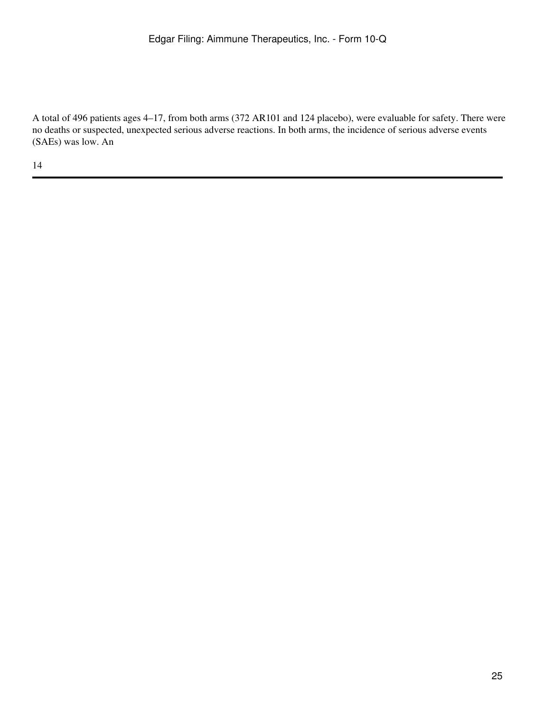A total of 496 patients ages 4–17, from both arms (372 AR101 and 124 placebo), were evaluable for safety. There were no deaths or suspected, unexpected serious adverse reactions. In both arms, the incidence of serious adverse events (SAEs) was low. An

14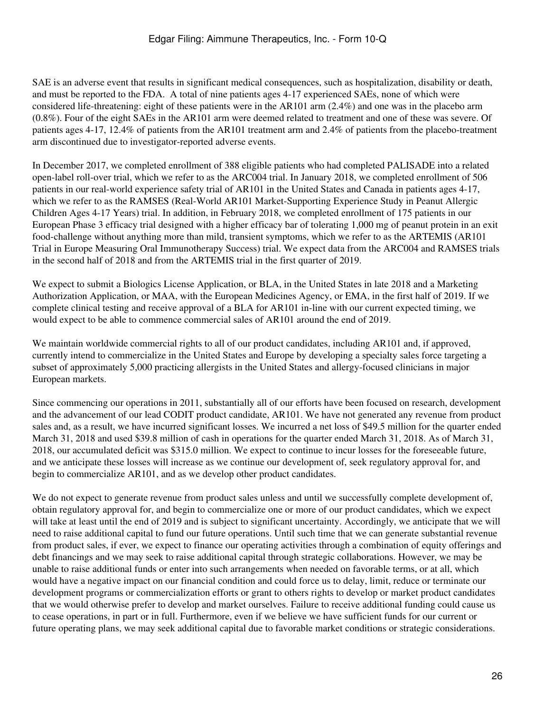SAE is an adverse event that results in significant medical consequences, such as hospitalization, disability or death, and must be reported to the FDA. A total of nine patients ages 4-17 experienced SAEs, none of which were considered life-threatening: eight of these patients were in the AR101 arm (2.4%) and one was in the placebo arm (0.8%). Four of the eight SAEs in the AR101 arm were deemed related to treatment and one of these was severe. Of patients ages 4-17, 12.4% of patients from the AR101 treatment arm and 2.4% of patients from the placebo-treatment arm discontinued due to investigator-reported adverse events.

In December 2017, we completed enrollment of 388 eligible patients who had completed PALISADE into a related open-label roll-over trial, which we refer to as the ARC004 trial. In January 2018, we completed enrollment of 506 patients in our real-world experience safety trial of AR101 in the United States and Canada in patients ages 4-17, which we refer to as the RAMSES (Real-World AR101 Market-Supporting Experience Study in Peanut Allergic Children Ages 4-17 Years) trial. In addition, in February 2018, we completed enrollment of 175 patients in our European Phase 3 efficacy trial designed with a higher efficacy bar of tolerating 1,000 mg of peanut protein in an exit food-challenge without anything more than mild, transient symptoms, which we refer to as the ARTEMIS (AR101 Trial in Europe Measuring Oral Immunotherapy Success) trial. We expect data from the ARC004 and RAMSES trials in the second half of 2018 and from the ARTEMIS trial in the first quarter of 2019.

We expect to submit a Biologics License Application, or BLA, in the United States in late 2018 and a Marketing Authorization Application, or MAA, with the European Medicines Agency, or EMA, in the first half of 2019. If we complete clinical testing and receive approval of a BLA for AR101 in-line with our current expected timing, we would expect to be able to commence commercial sales of AR101 around the end of 2019.

We maintain worldwide commercial rights to all of our product candidates, including AR101 and, if approved, currently intend to commercialize in the United States and Europe by developing a specialty sales force targeting a subset of approximately 5,000 practicing allergists in the United States and allergy-focused clinicians in major European markets.

Since commencing our operations in 2011, substantially all of our efforts have been focused on research, development and the advancement of our lead CODIT product candidate, AR101. We have not generated any revenue from product sales and, as a result, we have incurred significant losses. We incurred a net loss of \$49.5 million for the quarter ended March 31, 2018 and used \$39.8 million of cash in operations for the quarter ended March 31, 2018. As of March 31, 2018, our accumulated deficit was \$315.0 million. We expect to continue to incur losses for the foreseeable future, and we anticipate these losses will increase as we continue our development of, seek regulatory approval for, and begin to commercialize AR101, and as we develop other product candidates.

We do not expect to generate revenue from product sales unless and until we successfully complete development of, obtain regulatory approval for, and begin to commercialize one or more of our product candidates, which we expect will take at least until the end of 2019 and is subject to significant uncertainty. Accordingly, we anticipate that we will need to raise additional capital to fund our future operations. Until such time that we can generate substantial revenue from product sales, if ever, we expect to finance our operating activities through a combination of equity offerings and debt financings and we may seek to raise additional capital through strategic collaborations. However, we may be unable to raise additional funds or enter into such arrangements when needed on favorable terms, or at all, which would have a negative impact on our financial condition and could force us to delay, limit, reduce or terminate our development programs or commercialization efforts or grant to others rights to develop or market product candidates that we would otherwise prefer to develop and market ourselves. Failure to receive additional funding could cause us to cease operations, in part or in full. Furthermore, even if we believe we have sufficient funds for our current or future operating plans, we may seek additional capital due to favorable market conditions or strategic considerations.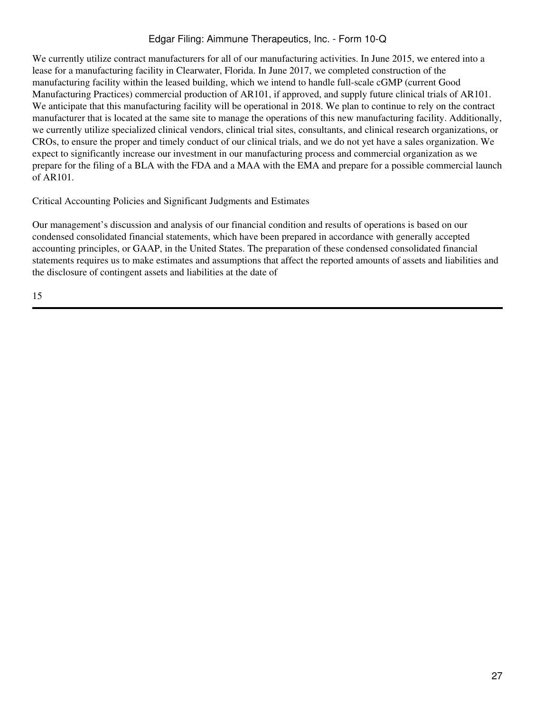We currently utilize contract manufacturers for all of our manufacturing activities. In June 2015, we entered into a lease for a manufacturing facility in Clearwater, Florida. In June 2017, we completed construction of the manufacturing facility within the leased building, which we intend to handle full-scale cGMP (current Good Manufacturing Practices) commercial production of AR101, if approved, and supply future clinical trials of AR101. We anticipate that this manufacturing facility will be operational in 2018. We plan to continue to rely on the contract manufacturer that is located at the same site to manage the operations of this new manufacturing facility. Additionally, we currently utilize specialized clinical vendors, clinical trial sites, consultants, and clinical research organizations, or CROs, to ensure the proper and timely conduct of our clinical trials, and we do not yet have a sales organization. We expect to significantly increase our investment in our manufacturing process and commercial organization as we prepare for the filing of a BLA with the FDA and a MAA with the EMA and prepare for a possible commercial launch of AR101.

## Critical Accounting Policies and Significant Judgments and Estimates

Our management's discussion and analysis of our financial condition and results of operations is based on our condensed consolidated financial statements, which have been prepared in accordance with generally accepted accounting principles, or GAAP, in the United States. The preparation of these condensed consolidated financial statements requires us to make estimates and assumptions that affect the reported amounts of assets and liabilities and the disclosure of contingent assets and liabilities at the date of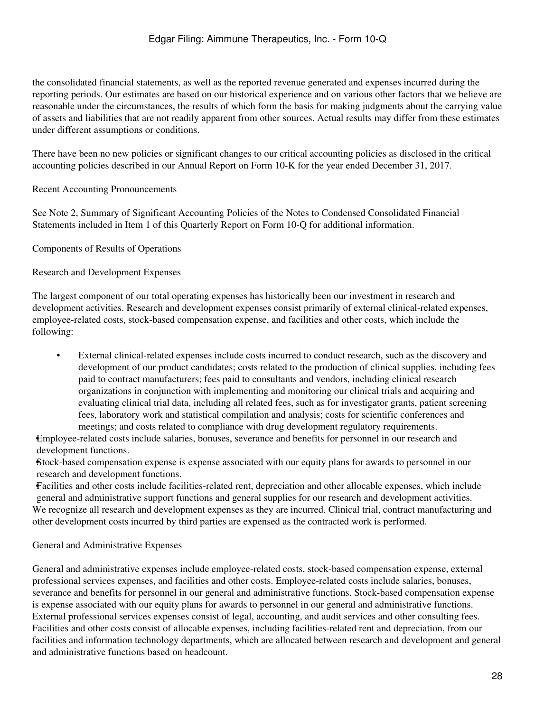the consolidated financial statements, as well as the reported revenue generated and expenses incurred during the reporting periods. Our estimates are based on our historical experience and on various other factors that we believe are reasonable under the circumstances, the results of which form the basis for making judgments about the carrying value of assets and liabilities that are not readily apparent from other sources. Actual results may differ from these estimates under different assumptions or conditions.

There have been no new policies or significant changes to our critical accounting policies as disclosed in the critical accounting policies described in our Annual Report on Form 10-K for the year ended December 31, 2017.

### Recent Accounting Pronouncements

See Note 2, Summary of Significant Accounting Policies of the Notes to Condensed Consolidated Financial Statements included in Item 1 of this Quarterly Report on Form 10-Q for additional information.

Components of Results of Operations

#### Research and Development Expenses

The largest component of our total operating expenses has historically been our investment in research and development activities. Research and development expenses consist primarily of external clinical-related expenses, employee-related costs, stock-based compensation expense, and facilities and other costs, which include the following:

• External clinical-related expenses include costs incurred to conduct research, such as the discovery and development of our product candidates; costs related to the production of clinical supplies, including fees paid to contract manufacturers; fees paid to consultants and vendors, including clinical research organizations in conjunction with implementing and monitoring our clinical trials and acquiring and evaluating clinical trial data, including all related fees, such as for investigator grants, patient screening fees, laboratory work and statistical compilation and analysis; costs for scientific conferences and meetings; and costs related to compliance with drug development regulatory requirements.

•Employee-related costs include salaries, bonuses, severance and benefits for personnel in our research and development functions.

•Stock-based compensation expense is expense associated with our equity plans for awards to personnel in our research and development functions.

•Facilities and other costs include facilities-related rent, depreciation and other allocable expenses, which include general and administrative support functions and general supplies for our research and development activities. We recognize all research and development expenses as they are incurred. Clinical trial, contract manufacturing and other development costs incurred by third parties are expensed as the contracted work is performed.

General and Administrative Expenses

General and administrative expenses include employee-related costs, stock-based compensation expense, external professional services expenses, and facilities and other costs. Employee-related costs include salaries, bonuses, severance and benefits for personnel in our general and administrative functions. Stock-based compensation expense is expense associated with our equity plans for awards to personnel in our general and administrative functions. External professional services expenses consist of legal, accounting, and audit services and other consulting fees. Facilities and other costs consist of allocable expenses, including facilities-related rent and depreciation, from our facilities and information technology departments, which are allocated between research and development and general and administrative functions based on headcount.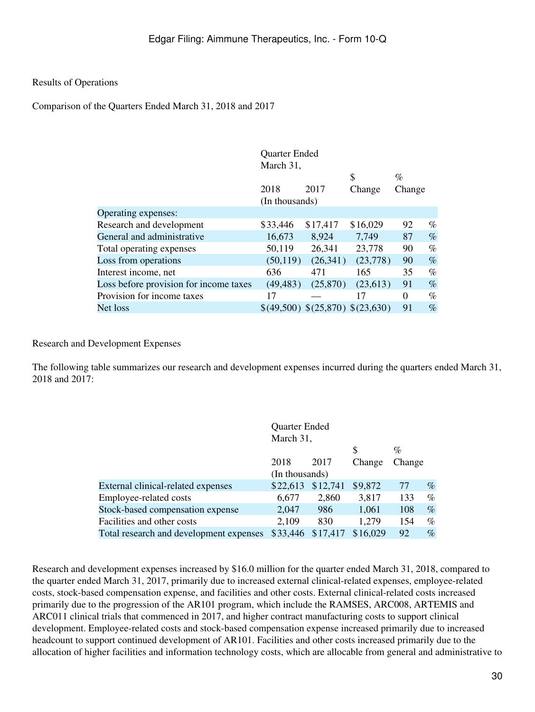### Results of Operations

Comparison of the Quarters Ended March 31, 2018 and 2017

|                                        | Quarter Ended<br>March 31, |                                  |          |          |      |
|----------------------------------------|----------------------------|----------------------------------|----------|----------|------|
|                                        |                            |                                  | \$       | $\%$     |      |
|                                        | 2018                       | 2017                             | Change   | Change   |      |
|                                        | (In thousands)             |                                  |          |          |      |
| Operating expenses:                    |                            |                                  |          |          |      |
| Research and development               | \$33,446                   | \$17,417                         | \$16,029 | 92       | $\%$ |
| General and administrative             | 16,673                     | 8,924                            | 7,749    | 87       | $\%$ |
| Total operating expenses               | 50,119                     | 26,341                           | 23,778   | 90       | $\%$ |
| Loss from operations                   | (50, 119)                  | (26,341)                         | (23,778) | 90       | $\%$ |
| Interest income, net                   | 636                        | 471                              | 165      | 35       | $\%$ |
| Loss before provision for income taxes | (49, 483)                  | (25,870)                         | (23,613) | 91       | $\%$ |
| Provision for income taxes             | 17                         |                                  | 17       | $\Omega$ | $\%$ |
| Net loss                               |                            | \$(49,500) \$(25,870) \$(23,630) |          | 91       | $\%$ |
|                                        |                            |                                  |          |          |      |

#### Research and Development Expenses

The following table summarizes our research and development expenses incurred during the quarters ended March 31, 2018 and 2017:

|                                         | Quarter Ended  |          |          |        |      |
|-----------------------------------------|----------------|----------|----------|--------|------|
|                                         | March 31,      |          |          |        |      |
|                                         |                |          | \$       | $\%$   |      |
|                                         | 2018           | 2017     | Change   | Change |      |
|                                         | (In thousands) |          |          |        |      |
| External clinical-related expenses      | \$22,613       | \$12,741 | \$9,872  | 77     | $\%$ |
| Employee-related costs                  | 6,677          | 2,860    | 3,817    | 133    | %    |
| Stock-based compensation expense        | 2,047          | 986      | 1,061    | 108    | $\%$ |
| Facilities and other costs              | 2,109          | 830      | 1,279    | 154    | $\%$ |
| Total research and development expenses | \$33,446       | \$17,417 | \$16,029 | 92     | $\%$ |

Research and development expenses increased by \$16.0 million for the quarter ended March 31, 2018, compared to the quarter ended March 31, 2017, primarily due to increased external clinical-related expenses, employee-related costs, stock-based compensation expense, and facilities and other costs. External clinical-related costs increased primarily due to the progression of the AR101 program, which include the RAMSES, ARC008, ARTEMIS and ARC011 clinical trials that commenced in 2017, and higher contract manufacturing costs to support clinical development. Employee-related costs and stock-based compensation expense increased primarily due to increased headcount to support continued development of AR101. Facilities and other costs increased primarily due to the allocation of higher facilities and information technology costs, which are allocable from general and administrative to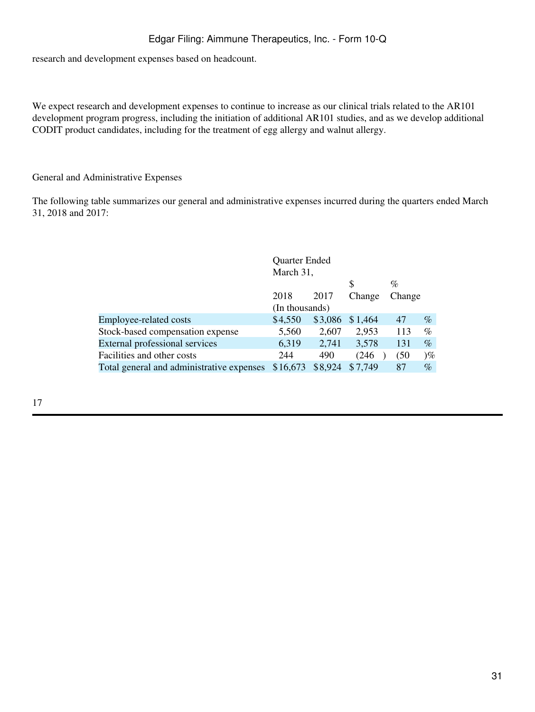research and development expenses based on headcount.

We expect research and development expenses to continue to increase as our clinical trials related to the AR101 development program progress, including the initiation of additional AR101 studies, and as we develop additional CODIT product candidates, including for the treatment of egg allergy and walnut allergy.

#### General and Administrative Expenses

The following table summarizes our general and administrative expenses incurred during the quarters ended March 31, 2018 and 2017:

|                                           | Quarter Ended  |         |         |        |       |
|-------------------------------------------|----------------|---------|---------|--------|-------|
|                                           | March 31,      |         |         |        |       |
|                                           |                |         | \$      | $\%$   |       |
|                                           | 2018           | 2017    | Change  | Change |       |
|                                           | (In thousands) |         |         |        |       |
| Employee-related costs                    | \$4,550        | \$3,086 | \$1,464 | 47     | $\%$  |
| Stock-based compensation expense          | 5,560          | 2,607   | 2,953   | 113    | $\%$  |
| External professional services            | 6,319          | 2,741   | 3,578   | 131    | $\%$  |
| Facilities and other costs                | 244            | 490     | (246    | (50)   | $)\%$ |
| Total general and administrative expenses | \$16,673       | \$8,924 | \$7,749 | 87     | $\%$  |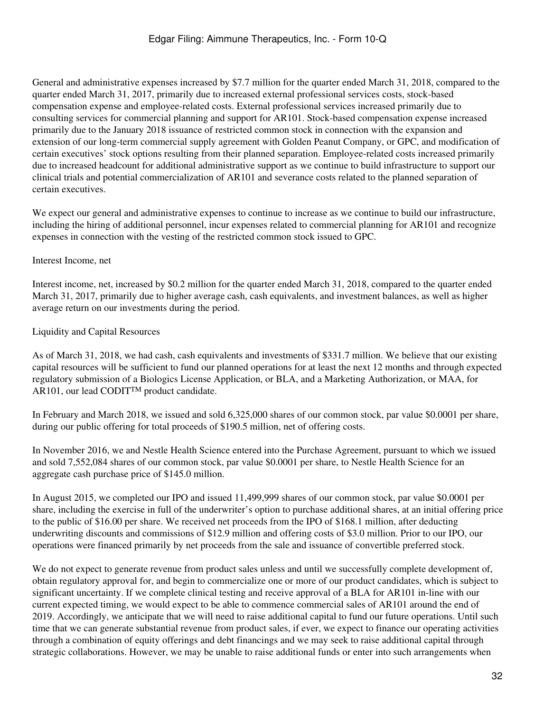General and administrative expenses increased by \$7.7 million for the quarter ended March 31, 2018, compared to the quarter ended March 31, 2017, primarily due to increased external professional services costs, stock-based compensation expense and employee-related costs. External professional services increased primarily due to consulting services for commercial planning and support for AR101. Stock-based compensation expense increased primarily due to the January 2018 issuance of restricted common stock in connection with the expansion and extension of our long-term commercial supply agreement with Golden Peanut Company, or GPC, and modification of certain executives' stock options resulting from their planned separation. Employee-related costs increased primarily due to increased headcount for additional administrative support as we continue to build infrastructure to support our clinical trials and potential commercialization of AR101 and severance costs related to the planned separation of certain executives.

We expect our general and administrative expenses to continue to increase as we continue to build our infrastructure, including the hiring of additional personnel, incur expenses related to commercial planning for AR101 and recognize expenses in connection with the vesting of the restricted common stock issued to GPC.

## Interest Income, net

Interest income, net, increased by \$0.2 million for the quarter ended March 31, 2018, compared to the quarter ended March 31, 2017, primarily due to higher average cash, cash equivalents, and investment balances, as well as higher average return on our investments during the period.

## Liquidity and Capital Resources

As of March 31, 2018, we had cash, cash equivalents and investments of \$331.7 million. We believe that our existing capital resources will be sufficient to fund our planned operations for at least the next 12 months and through expected regulatory submission of a Biologics License Application, or BLA, and a Marketing Authorization, or MAA, for AR101, our lead CODIT™ product candidate.

In February and March 2018, we issued and sold 6,325,000 shares of our common stock, par value \$0.0001 per share, during our public offering for total proceeds of \$190.5 million, net of offering costs.

In November 2016, we and Nestle Health Science entered into the Purchase Agreement, pursuant to which we issued and sold 7,552,084 shares of our common stock, par value \$0.0001 per share, to Nestle Health Science for an aggregate cash purchase price of \$145.0 million.

In August 2015, we completed our IPO and issued 11,499,999 shares of our common stock, par value \$0.0001 per share, including the exercise in full of the underwriter's option to purchase additional shares, at an initial offering price to the public of \$16.00 per share. We received net proceeds from the IPO of \$168.1 million, after deducting underwriting discounts and commissions of \$12.9 million and offering costs of \$3.0 million. Prior to our IPO, our operations were financed primarily by net proceeds from the sale and issuance of convertible preferred stock.

We do not expect to generate revenue from product sales unless and until we successfully complete development of, obtain regulatory approval for, and begin to commercialize one or more of our product candidates, which is subject to significant uncertainty. If we complete clinical testing and receive approval of a BLA for AR101 in-line with our current expected timing, we would expect to be able to commence commercial sales of AR101 around the end of 2019. Accordingly, we anticipate that we will need to raise additional capital to fund our future operations. Until such time that we can generate substantial revenue from product sales, if ever, we expect to finance our operating activities through a combination of equity offerings and debt financings and we may seek to raise additional capital through strategic collaborations. However, we may be unable to raise additional funds or enter into such arrangements when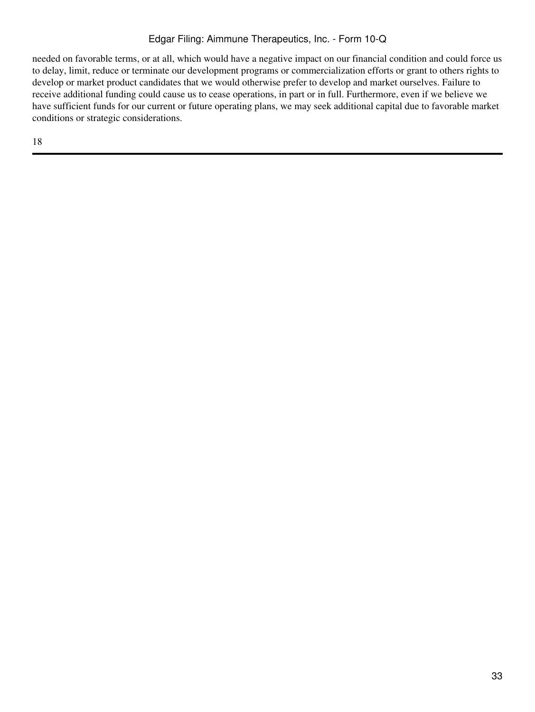needed on favorable terms, or at all, which would have a negative impact on our financial condition and could force us to delay, limit, reduce or terminate our development programs or commercialization efforts or grant to others rights to develop or market product candidates that we would otherwise prefer to develop and market ourselves. Failure to receive additional funding could cause us to cease operations, in part or in full. Furthermore, even if we believe we have sufficient funds for our current or future operating plans, we may seek additional capital due to favorable market conditions or strategic considerations.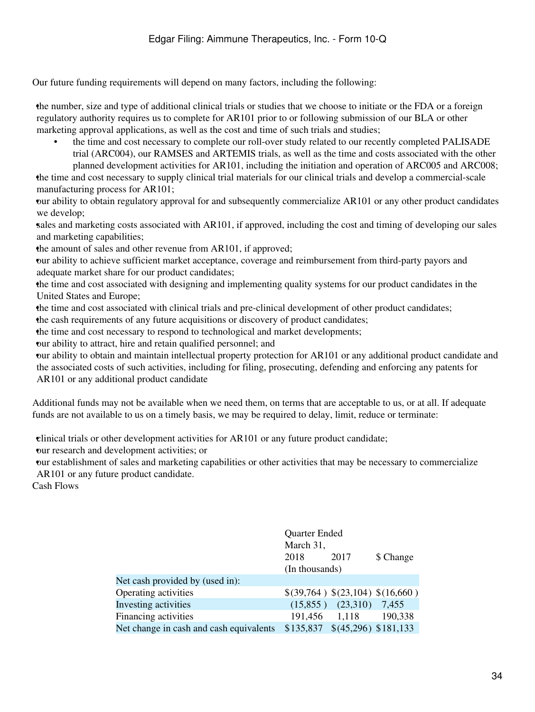Our future funding requirements will depend on many factors, including the following:

•the number, size and type of additional clinical trials or studies that we choose to initiate or the FDA or a foreign regulatory authority requires us to complete for AR101 prior to or following submission of our BLA or other marketing approval applications, as well as the cost and time of such trials and studies;

• the time and cost necessary to complete our roll-over study related to our recently completed PALISADE trial (ARC004), our RAMSES and ARTEMIS trials, as well as the time and costs associated with the other planned development activities for AR101, including the initiation and operation of ARC005 and ARC008;

•the time and cost necessary to supply clinical trial materials for our clinical trials and develop a commercial-scale manufacturing process for AR101;

•our ability to obtain regulatory approval for and subsequently commercialize AR101 or any other product candidates we develop;

•sales and marketing costs associated with AR101, if approved, including the cost and timing of developing our sales and marketing capabilities;

the amount of sales and other revenue from AR101, if approved;

•our ability to achieve sufficient market acceptance, coverage and reimbursement from third-party payors and adequate market share for our product candidates;

•the time and cost associated with designing and implementing quality systems for our product candidates in the United States and Europe;

•the time and cost associated with clinical trials and pre-clinical development of other product candidates; •the cash requirements of any future acquisitions or discovery of product candidates;

•the time and cost necessary to respond to technological and market developments;

•our ability to attract, hire and retain qualified personnel; and

•our ability to obtain and maintain intellectual property protection for AR101 or any additional product candidate and the associated costs of such activities, including for filing, prosecuting, defending and enforcing any patents for AR101 or any additional product candidate

Additional funds may not be available when we need them, on terms that are acceptable to us, or at all. If adequate funds are not available to us on a timely basis, we may be required to delay, limit, reduce or terminate:

•clinical trials or other development activities for AR101 or any future product candidate;

•our research and development activities; or

•our establishment of sales and marketing capabilities or other activities that may be necessary to commercialize AR101 or any future product candidate.

Cash Flows

|                                         | Quarter Ended<br>March 31,<br>2018 | \$ Change                         |         |
|-----------------------------------------|------------------------------------|-----------------------------------|---------|
|                                         | (In thousands)                     | 2017                              |         |
| Net cash provided by (used in):         |                                    |                                   |         |
| Operating activities                    |                                    | \$(39,764) \$(23,104) \$(16,660)  |         |
| Investing activities                    | (15,855)                           | (23,310)                          | 7,455   |
| Financing activities                    | 191,456                            | 1,118                             | 190,338 |
| Net change in cash and cash equivalents |                                    | $$135,837$ $$(45,296)$ $$181,133$ |         |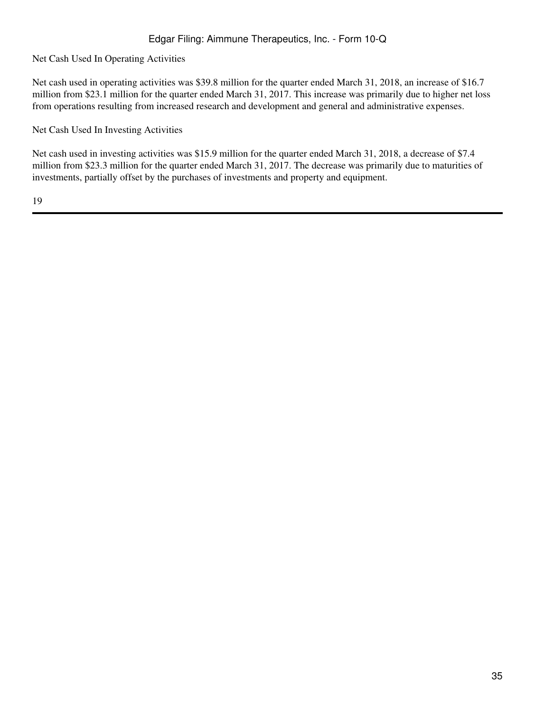Net Cash Used In Operating Activities

Net cash used in operating activities was \$39.8 million for the quarter ended March 31, 2018, an increase of \$16.7 million from \$23.1 million for the quarter ended March 31, 2017. This increase was primarily due to higher net loss from operations resulting from increased research and development and general and administrative expenses.

Net Cash Used In Investing Activities

Net cash used in investing activities was \$15.9 million for the quarter ended March 31, 2018, a decrease of \$7.4 million from \$23.3 million for the quarter ended March 31, 2017. The decrease was primarily due to maturities of investments, partially offset by the purchases of investments and property and equipment.

19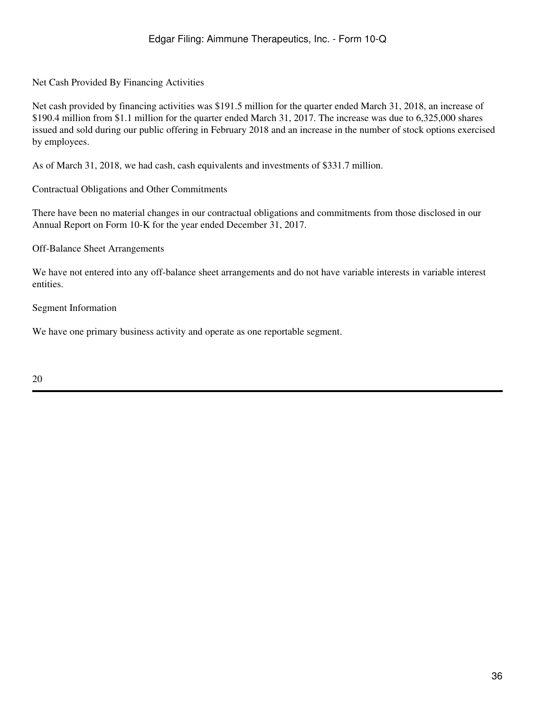Net Cash Provided By Financing Activities

Net cash provided by financing activities was \$191.5 million for the quarter ended March 31, 2018, an increase of \$190.4 million from \$1.1 million for the quarter ended March 31, 2017. The increase was due to 6,325,000 shares issued and sold during our public offering in February 2018 and an increase in the number of stock options exercised by employees.

As of March 31, 2018, we had cash, cash equivalents and investments of \$331.7 million.

Contractual Obligations and Other Commitments

There have been no material changes in our contractual obligations and commitments from those disclosed in our Annual Report on Form 10-K for the year ended December 31, 2017.

Off-Balance Sheet Arrangements

We have not entered into any off-balance sheet arrangements and do not have variable interests in variable interest entities.

Segment Information

We have one primary business activity and operate as one reportable segment.

20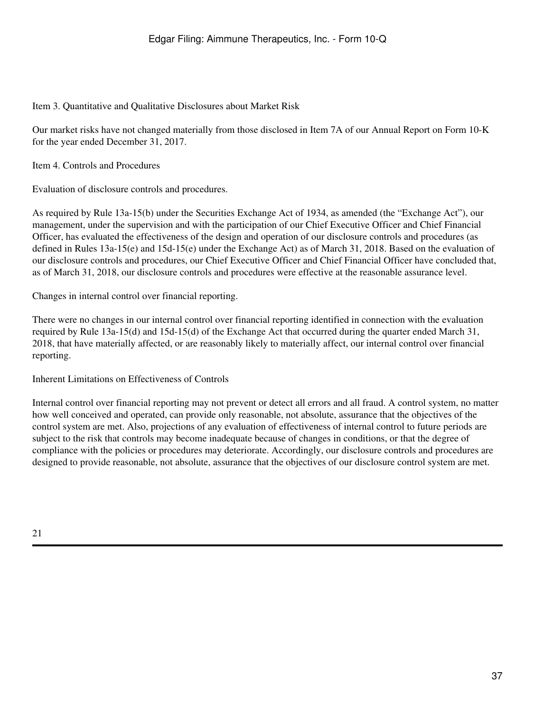Item 3. Quantitative and Qualitative Disclosures about Market Risk

Our market risks have not changed materially from those disclosed in Item 7A of our Annual Report on Form 10-K for the year ended December 31, 2017.

Item 4. Controls and Procedures

Evaluation of disclosure controls and procedures.

As required by Rule 13a-15(b) under the Securities Exchange Act of 1934, as amended (the "Exchange Act"), our management, under the supervision and with the participation of our Chief Executive Officer and Chief Financial Officer, has evaluated the effectiveness of the design and operation of our disclosure controls and procedures (as defined in Rules 13a-15(e) and 15d-15(e) under the Exchange Act) as of March 31, 2018. Based on the evaluation of our disclosure controls and procedures, our Chief Executive Officer and Chief Financial Officer have concluded that, as of March 31, 2018, our disclosure controls and procedures were effective at the reasonable assurance level.

Changes in internal control over financial reporting.

There were no changes in our internal control over financial reporting identified in connection with the evaluation required by Rule 13a-15(d) and 15d-15(d) of the Exchange Act that occurred during the quarter ended March 31, 2018, that have materially affected, or are reasonably likely to materially affect, our internal control over financial reporting.

Inherent Limitations on Effectiveness of Controls

Internal control over financial reporting may not prevent or detect all errors and all fraud. A control system, no matter how well conceived and operated, can provide only reasonable, not absolute, assurance that the objectives of the control system are met. Also, projections of any evaluation of effectiveness of internal control to future periods are subject to the risk that controls may become inadequate because of changes in conditions, or that the degree of compliance with the policies or procedures may deteriorate. Accordingly, our disclosure controls and procedures are designed to provide reasonable, not absolute, assurance that the objectives of our disclosure control system are met.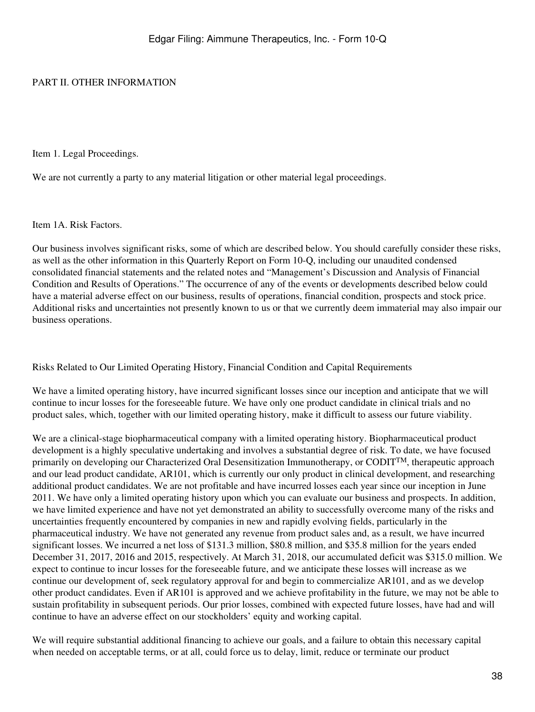#### PART II. OTHER INFORMATION

Item 1. Legal Proceedings.

We are not currently a party to any material litigation or other material legal proceedings.

Item 1A. Risk Factors.

Our business involves significant risks, some of which are described below. You should carefully consider these risks, as well as the other information in this Quarterly Report on Form 10-Q, including our unaudited condensed consolidated financial statements and the related notes and "Management's Discussion and Analysis of Financial Condition and Results of Operations." The occurrence of any of the events or developments described below could have a material adverse effect on our business, results of operations, financial condition, prospects and stock price. Additional risks and uncertainties not presently known to us or that we currently deem immaterial may also impair our business operations.

Risks Related to Our Limited Operating History, Financial Condition and Capital Requirements

We have a limited operating history, have incurred significant losses since our inception and anticipate that we will continue to incur losses for the foreseeable future. We have only one product candidate in clinical trials and no product sales, which, together with our limited operating history, make it difficult to assess our future viability.

We are a clinical-stage biopharmaceutical company with a limited operating history. Biopharmaceutical product development is a highly speculative undertaking and involves a substantial degree of risk. To date, we have focused primarily on developing our Characterized Oral Desensitization Immunotherapy, or CODITTM, therapeutic approach and our lead product candidate, AR101, which is currently our only product in clinical development, and researching additional product candidates. We are not profitable and have incurred losses each year since our inception in June 2011. We have only a limited operating history upon which you can evaluate our business and prospects. In addition, we have limited experience and have not yet demonstrated an ability to successfully overcome many of the risks and uncertainties frequently encountered by companies in new and rapidly evolving fields, particularly in the pharmaceutical industry. We have not generated any revenue from product sales and, as a result, we have incurred significant losses. We incurred a net loss of \$131.3 million, \$80.8 million, and \$35.8 million for the years ended December 31, 2017, 2016 and 2015, respectively. At March 31, 2018, our accumulated deficit was \$315.0 million. We expect to continue to incur losses for the foreseeable future, and we anticipate these losses will increase as we continue our development of, seek regulatory approval for and begin to commercialize AR101, and as we develop other product candidates. Even if AR101 is approved and we achieve profitability in the future, we may not be able to sustain profitability in subsequent periods. Our prior losses, combined with expected future losses, have had and will continue to have an adverse effect on our stockholders' equity and working capital.

We will require substantial additional financing to achieve our goals, and a failure to obtain this necessary capital when needed on acceptable terms, or at all, could force us to delay, limit, reduce or terminate our product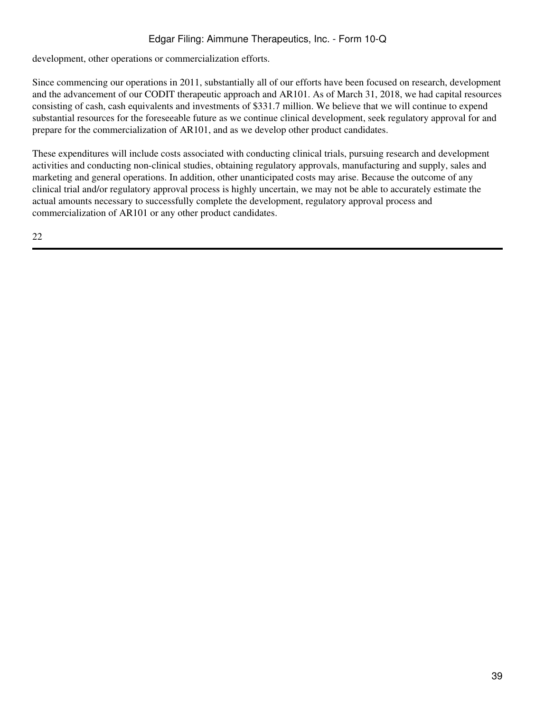development, other operations or commercialization efforts.

Since commencing our operations in 2011, substantially all of our efforts have been focused on research, development and the advancement of our CODIT therapeutic approach and AR101. As of March 31, 2018, we had capital resources consisting of cash, cash equivalents and investments of \$331.7 million. We believe that we will continue to expend substantial resources for the foreseeable future as we continue clinical development, seek regulatory approval for and prepare for the commercialization of AR101, and as we develop other product candidates.

These expenditures will include costs associated with conducting clinical trials, pursuing research and development activities and conducting non-clinical studies, obtaining regulatory approvals, manufacturing and supply, sales and marketing and general operations. In addition, other unanticipated costs may arise. Because the outcome of any clinical trial and/or regulatory approval process is highly uncertain, we may not be able to accurately estimate the actual amounts necessary to successfully complete the development, regulatory approval process and commercialization of AR101 or any other product candidates.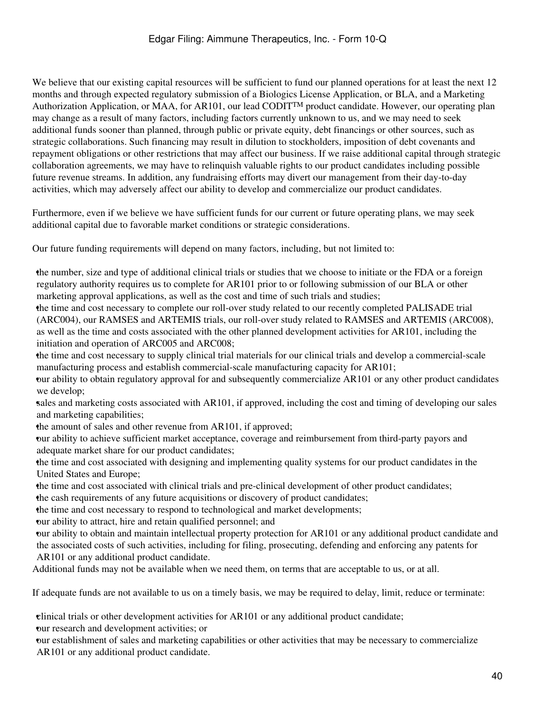We believe that our existing capital resources will be sufficient to fund our planned operations for at least the next 12 months and through expected regulatory submission of a Biologics License Application, or BLA, and a Marketing Authorization Application, or MAA, for AR101, our lead CODIT<sup>TM</sup> product candidate. However, our operating plan may change as a result of many factors, including factors currently unknown to us, and we may need to seek additional funds sooner than planned, through public or private equity, debt financings or other sources, such as strategic collaborations. Such financing may result in dilution to stockholders, imposition of debt covenants and repayment obligations or other restrictions that may affect our business. If we raise additional capital through strategic collaboration agreements, we may have to relinquish valuable rights to our product candidates including possible future revenue streams. In addition, any fundraising efforts may divert our management from their day-to-day activities, which may adversely affect our ability to develop and commercialize our product candidates.

Furthermore, even if we believe we have sufficient funds for our current or future operating plans, we may seek additional capital due to favorable market conditions or strategic considerations.

Our future funding requirements will depend on many factors, including, but not limited to:

•the number, size and type of additional clinical trials or studies that we choose to initiate or the FDA or a foreign regulatory authority requires us to complete for AR101 prior to or following submission of our BLA or other marketing approval applications, as well as the cost and time of such trials and studies;

•the time and cost necessary to complete our roll-over study related to our recently completed PALISADE trial (ARC004), our RAMSES and ARTEMIS trials, our roll-over study related to RAMSES and ARTEMIS (ARC008), as well as the time and costs associated with the other planned development activities for AR101, including the initiation and operation of ARC005 and ARC008;

•the time and cost necessary to supply clinical trial materials for our clinical trials and develop a commercial-scale manufacturing process and establish commercial-scale manufacturing capacity for AR101;

•our ability to obtain regulatory approval for and subsequently commercialize AR101 or any other product candidates we develop;

•sales and marketing costs associated with AR101, if approved, including the cost and timing of developing our sales and marketing capabilities;

the amount of sales and other revenue from AR101, if approved;

•our ability to achieve sufficient market acceptance, coverage and reimbursement from third-party payors and adequate market share for our product candidates;

•the time and cost associated with designing and implementing quality systems for our product candidates in the United States and Europe;

•the time and cost associated with clinical trials and pre-clinical development of other product candidates; •the cash requirements of any future acquisitions or discovery of product candidates;

•the time and cost necessary to respond to technological and market developments;

•our ability to attract, hire and retain qualified personnel; and

•our ability to obtain and maintain intellectual property protection for AR101 or any additional product candidate and the associated costs of such activities, including for filing, prosecuting, defending and enforcing any patents for AR101 or any additional product candidate.

Additional funds may not be available when we need them, on terms that are acceptable to us, or at all.

If adequate funds are not available to us on a timely basis, we may be required to delay, limit, reduce or terminate:

•clinical trials or other development activities for AR101 or any additional product candidate;

•our research and development activities; or

•our establishment of sales and marketing capabilities or other activities that may be necessary to commercialize AR101 or any additional product candidate.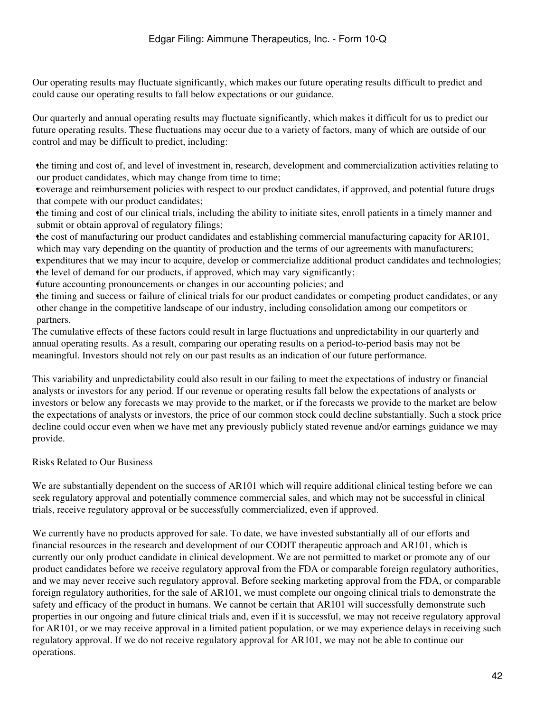Our operating results may fluctuate significantly, which makes our future operating results difficult to predict and could cause our operating results to fall below expectations or our guidance.

Our quarterly and annual operating results may fluctuate significantly, which makes it difficult for us to predict our future operating results. These fluctuations may occur due to a variety of factors, many of which are outside of our control and may be difficult to predict, including:

•the timing and cost of, and level of investment in, research, development and commercialization activities relating to our product candidates, which may change from time to time;

•coverage and reimbursement policies with respect to our product candidates, if approved, and potential future drugs that compete with our product candidates;

•the timing and cost of our clinical trials, including the ability to initiate sites, enroll patients in a timely manner and submit or obtain approval of regulatory filings;

•the cost of manufacturing our product candidates and establishing commercial manufacturing capacity for AR101, which may vary depending on the quantity of production and the terms of our agreements with manufacturers; •expenditures that we may incur to acquire, develop or commercialize additional product candidates and technologies; •the level of demand for our products, if approved, which may vary significantly;

•future accounting pronouncements or changes in our accounting policies; and

•the timing and success or failure of clinical trials for our product candidates or competing product candidates, or any other change in the competitive landscape of our industry, including consolidation among our competitors or partners.

The cumulative effects of these factors could result in large fluctuations and unpredictability in our quarterly and annual operating results. As a result, comparing our operating results on a period-to-period basis may not be meaningful. Investors should not rely on our past results as an indication of our future performance.

This variability and unpredictability could also result in our failing to meet the expectations of industry or financial analysts or investors for any period. If our revenue or operating results fall below the expectations of analysts or investors or below any forecasts we may provide to the market, or if the forecasts we provide to the market are below the expectations of analysts or investors, the price of our common stock could decline substantially. Such a stock price decline could occur even when we have met any previously publicly stated revenue and/or earnings guidance we may provide.

#### Risks Related to Our Business

We are substantially dependent on the success of AR101 which will require additional clinical testing before we can seek regulatory approval and potentially commence commercial sales, and which may not be successful in clinical trials, receive regulatory approval or be successfully commercialized, even if approved.

We currently have no products approved for sale. To date, we have invested substantially all of our efforts and financial resources in the research and development of our CODIT therapeutic approach and AR101, which is currently our only product candidate in clinical development. We are not permitted to market or promote any of our product candidates before we receive regulatory approval from the FDA or comparable foreign regulatory authorities, and we may never receive such regulatory approval. Before seeking marketing approval from the FDA, or comparable foreign regulatory authorities, for the sale of AR101, we must complete our ongoing clinical trials to demonstrate the safety and efficacy of the product in humans. We cannot be certain that AR101 will successfully demonstrate such properties in our ongoing and future clinical trials and, even if it is successful, we may not receive regulatory approval for AR101, or we may receive approval in a limited patient population, or we may experience delays in receiving such regulatory approval. If we do not receive regulatory approval for AR101, we may not be able to continue our operations.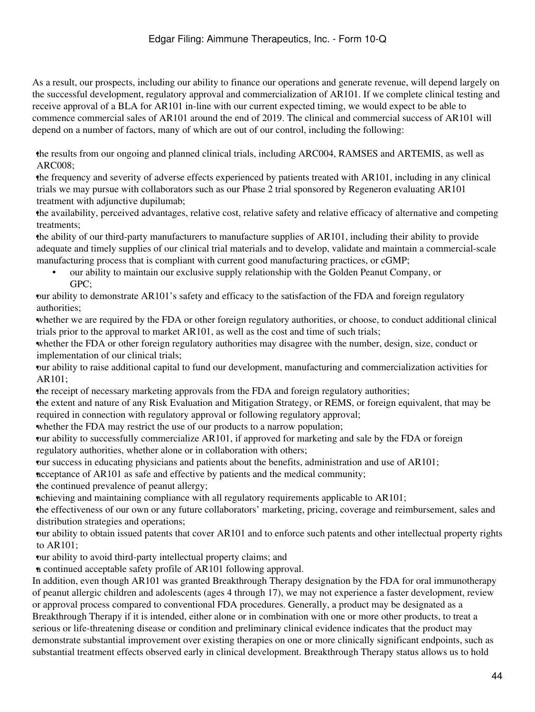As a result, our prospects, including our ability to finance our operations and generate revenue, will depend largely on the successful development, regulatory approval and commercialization of AR101. If we complete clinical testing and receive approval of a BLA for AR101 in-line with our current expected timing, we would expect to be able to commence commercial sales of AR101 around the end of 2019. The clinical and commercial success of AR101 will depend on a number of factors, many of which are out of our control, including the following:

•the results from our ongoing and planned clinical trials, including ARC004, RAMSES and ARTEMIS, as well as ARC008;

•the frequency and severity of adverse effects experienced by patients treated with AR101, including in any clinical trials we may pursue with collaborators such as our Phase 2 trial sponsored by Regeneron evaluating AR101 treatment with adjunctive dupilumab;

•the availability, perceived advantages, relative cost, relative safety and relative efficacy of alternative and competing treatments;

•the ability of our third-party manufacturers to manufacture supplies of AR101, including their ability to provide adequate and timely supplies of our clinical trial materials and to develop, validate and maintain a commercial-scale manufacturing process that is compliant with current good manufacturing practices, or cGMP;

• our ability to maintain our exclusive supply relationship with the Golden Peanut Company, or GPC;

•our ability to demonstrate AR101's safety and efficacy to the satisfaction of the FDA and foreign regulatory authorities;

whether we are required by the FDA or other foreign regulatory authorities, or choose, to conduct additional clinical trials prior to the approval to market AR101, as well as the cost and time of such trials;

•whether the FDA or other foreign regulatory authorities may disagree with the number, design, size, conduct or implementation of our clinical trials;

•our ability to raise additional capital to fund our development, manufacturing and commercialization activities for AR101;

•the receipt of necessary marketing approvals from the FDA and foreign regulatory authorities;

•the extent and nature of any Risk Evaluation and Mitigation Strategy, or REMS, or foreign equivalent, that may be required in connection with regulatory approval or following regulatory approval;

whether the FDA may restrict the use of our products to a narrow population;

•our ability to successfully commercialize AR101, if approved for marketing and sale by the FDA or foreign regulatory authorities, whether alone or in collaboration with others;

•our success in educating physicians and patients about the benefits, administration and use of AR101;

neceptance of AR101 as safe and effective by patients and the medical community;

•the continued prevalence of peanut allergy;

•achieving and maintaining compliance with all regulatory requirements applicable to AR101;

•the effectiveness of our own or any future collaborators' marketing, pricing, coverage and reimbursement, sales and distribution strategies and operations;

•our ability to obtain issued patents that cover AR101 and to enforce such patents and other intellectual property rights to AR101;

•our ability to avoid third-party intellectual property claims; and

•a continued acceptable safety profile of AR101 following approval.

In addition, even though AR101 was granted Breakthrough Therapy designation by the FDA for oral immunotherapy of peanut allergic children and adolescents (ages 4 through 17), we may not experience a faster development, review or approval process compared to conventional FDA procedures. Generally, a product may be designated as a Breakthrough Therapy if it is intended, either alone or in combination with one or more other products, to treat a serious or life-threatening disease or condition and preliminary clinical evidence indicates that the product may demonstrate substantial improvement over existing therapies on one or more clinically significant endpoints, such as substantial treatment effects observed early in clinical development. Breakthrough Therapy status allows us to hold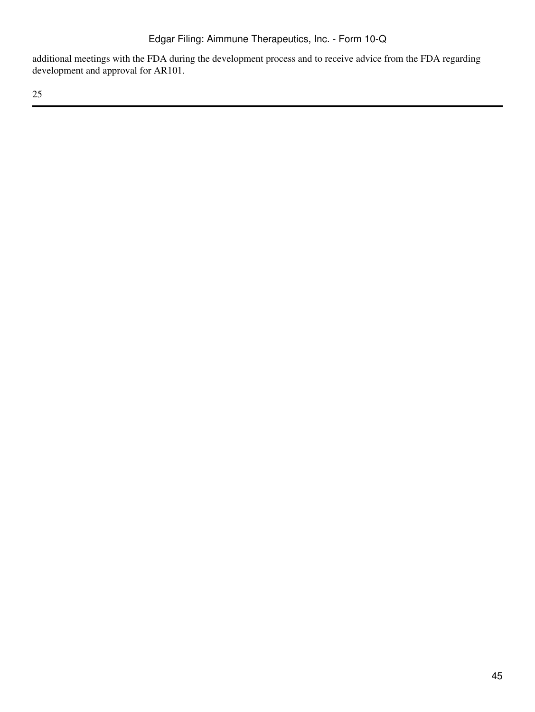additional meetings with the FDA during the development process and to receive advice from the FDA regarding development and approval for AR101.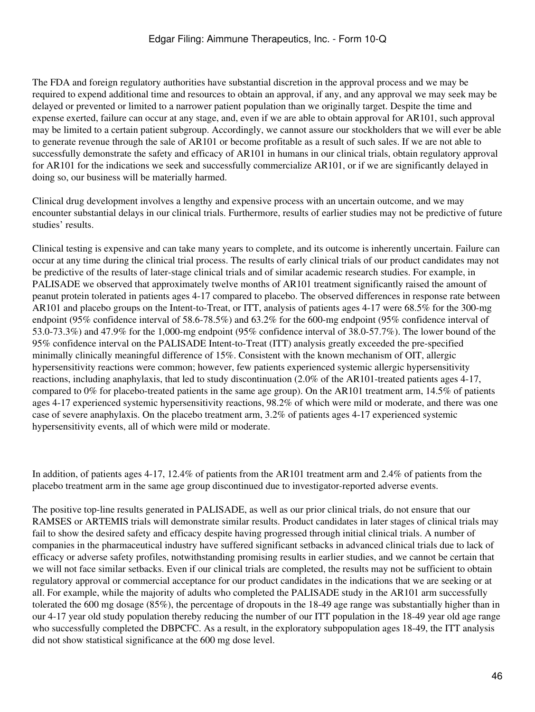The FDA and foreign regulatory authorities have substantial discretion in the approval process and we may be required to expend additional time and resources to obtain an approval, if any, and any approval we may seek may be delayed or prevented or limited to a narrower patient population than we originally target. Despite the time and expense exerted, failure can occur at any stage, and, even if we are able to obtain approval for AR101, such approval may be limited to a certain patient subgroup. Accordingly, we cannot assure our stockholders that we will ever be able to generate revenue through the sale of AR101 or become profitable as a result of such sales. If we are not able to successfully demonstrate the safety and efficacy of AR101 in humans in our clinical trials, obtain regulatory approval for AR101 for the indications we seek and successfully commercialize AR101, or if we are significantly delayed in doing so, our business will be materially harmed.

Clinical drug development involves a lengthy and expensive process with an uncertain outcome, and we may encounter substantial delays in our clinical trials. Furthermore, results of earlier studies may not be predictive of future studies' results.

Clinical testing is expensive and can take many years to complete, and its outcome is inherently uncertain. Failure can occur at any time during the clinical trial process. The results of early clinical trials of our product candidates may not be predictive of the results of later-stage clinical trials and of similar academic research studies. For example, in PALISADE we observed that approximately twelve months of AR101 treatment significantly raised the amount of peanut protein tolerated in patients ages 4-17 compared to placebo. The observed differences in response rate between AR101 and placebo groups on the Intent-to-Treat, or ITT, analysis of patients ages 4-17 were 68.5% for the 300-mg endpoint (95% confidence interval of 58.6-78.5%) and 63.2% for the 600-mg endpoint (95% confidence interval of 53.0-73.3%) and 47.9% for the 1,000-mg endpoint (95% confidence interval of 38.0-57.7%). The lower bound of the 95% confidence interval on the PALISADE Intent-to-Treat (ITT) analysis greatly exceeded the pre-specified minimally clinically meaningful difference of 15%. Consistent with the known mechanism of OIT, allergic hypersensitivity reactions were common; however, few patients experienced systemic allergic hypersensitivity reactions, including anaphylaxis, that led to study discontinuation (2.0% of the AR101-treated patients ages 4-17, compared to 0% for placebo-treated patients in the same age group). On the AR101 treatment arm, 14.5% of patients ages 4-17 experienced systemic hypersensitivity reactions, 98.2% of which were mild or moderate, and there was one case of severe anaphylaxis. On the placebo treatment arm, 3.2% of patients ages 4-17 experienced systemic hypersensitivity events, all of which were mild or moderate.

In addition, of patients ages 4-17, 12.4% of patients from the AR101 treatment arm and 2.4% of patients from the placebo treatment arm in the same age group discontinued due to investigator-reported adverse events.

The positive top-line results generated in PALISADE, as well as our prior clinical trials, do not ensure that our RAMSES or ARTEMIS trials will demonstrate similar results. Product candidates in later stages of clinical trials may fail to show the desired safety and efficacy despite having progressed through initial clinical trials. A number of companies in the pharmaceutical industry have suffered significant setbacks in advanced clinical trials due to lack of efficacy or adverse safety profiles, notwithstanding promising results in earlier studies, and we cannot be certain that we will not face similar setbacks. Even if our clinical trials are completed, the results may not be sufficient to obtain regulatory approval or commercial acceptance for our product candidates in the indications that we are seeking or at all. For example, while the majority of adults who completed the PALISADE study in the AR101 arm successfully tolerated the 600 mg dosage (85%), the percentage of dropouts in the 18-49 age range was substantially higher than in our 4-17 year old study population thereby reducing the number of our ITT population in the 18-49 year old age range who successfully completed the DBPCFC. As a result, in the exploratory subpopulation ages 18-49, the ITT analysis did not show statistical significance at the 600 mg dose level.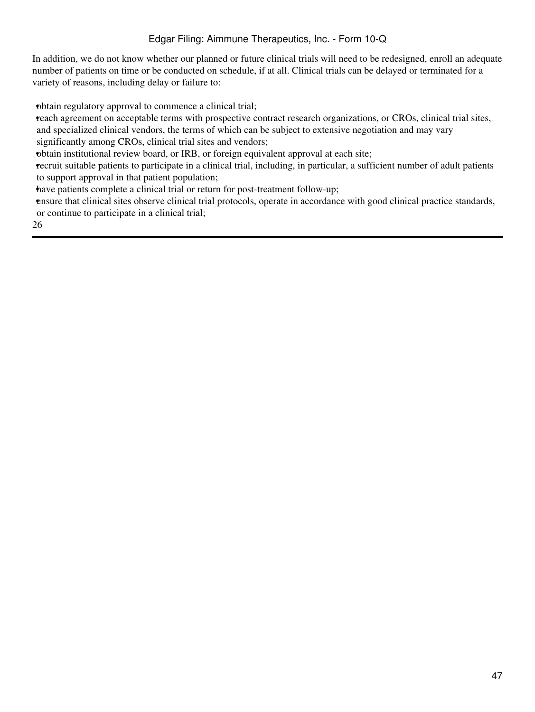In addition, we do not know whether our planned or future clinical trials will need to be redesigned, enroll an adequate number of patients on time or be conducted on schedule, if at all. Clinical trials can be delayed or terminated for a variety of reasons, including delay or failure to:

•obtain regulatory approval to commence a clinical trial;

•reach agreement on acceptable terms with prospective contract research organizations, or CROs, clinical trial sites, and specialized clinical vendors, the terms of which can be subject to extensive negotiation and may vary significantly among CROs, clinical trial sites and vendors;

•obtain institutional review board, or IRB, or foreign equivalent approval at each site;

•recruit suitable patients to participate in a clinical trial, including, in particular, a sufficient number of adult patients to support approval in that patient population;

have patients complete a clinical trial or return for post-treatment follow-up;

•ensure that clinical sites observe clinical trial protocols, operate in accordance with good clinical practice standards, or continue to participate in a clinical trial;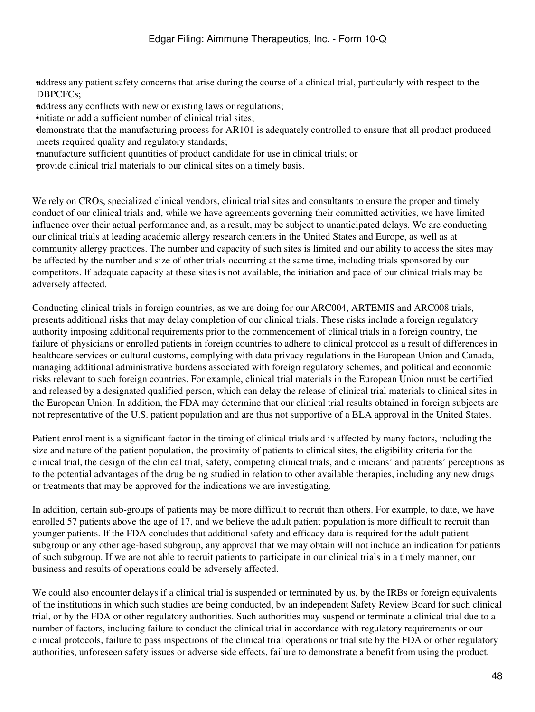•address any patient safety concerns that arise during the course of a clinical trial, particularly with respect to the DBPCFCs;

•address any conflicts with new or existing laws or regulations;

initiate or add a sufficient number of clinical trial sites;

•demonstrate that the manufacturing process for AR101 is adequately controlled to ensure that all product produced meets required quality and regulatory standards;

•manufacture sufficient quantities of product candidate for use in clinical trials; or

•provide clinical trial materials to our clinical sites on a timely basis.

We rely on CROs, specialized clinical vendors, clinical trial sites and consultants to ensure the proper and timely conduct of our clinical trials and, while we have agreements governing their committed activities, we have limited influence over their actual performance and, as a result, may be subject to unanticipated delays. We are conducting our clinical trials at leading academic allergy research centers in the United States and Europe, as well as at community allergy practices. The number and capacity of such sites is limited and our ability to access the sites may be affected by the number and size of other trials occurring at the same time, including trials sponsored by our competitors. If adequate capacity at these sites is not available, the initiation and pace of our clinical trials may be adversely affected.

Conducting clinical trials in foreign countries, as we are doing for our ARC004, ARTEMIS and ARC008 trials, presents additional risks that may delay completion of our clinical trials. These risks include a foreign regulatory authority imposing additional requirements prior to the commencement of clinical trials in a foreign country, the failure of physicians or enrolled patients in foreign countries to adhere to clinical protocol as a result of differences in healthcare services or cultural customs, complying with data privacy regulations in the European Union and Canada, managing additional administrative burdens associated with foreign regulatory schemes, and political and economic risks relevant to such foreign countries. For example, clinical trial materials in the European Union must be certified and released by a designated qualified person, which can delay the release of clinical trial materials to clinical sites in the European Union. In addition, the FDA may determine that our clinical trial results obtained in foreign subjects are not representative of the U.S. patient population and are thus not supportive of a BLA approval in the United States.

Patient enrollment is a significant factor in the timing of clinical trials and is affected by many factors, including the size and nature of the patient population, the proximity of patients to clinical sites, the eligibility criteria for the clinical trial, the design of the clinical trial, safety, competing clinical trials, and clinicians' and patients' perceptions as to the potential advantages of the drug being studied in relation to other available therapies, including any new drugs or treatments that may be approved for the indications we are investigating.

In addition, certain sub-groups of patients may be more difficult to recruit than others. For example, to date, we have enrolled 57 patients above the age of 17, and we believe the adult patient population is more difficult to recruit than younger patients. If the FDA concludes that additional safety and efficacy data is required for the adult patient subgroup or any other age-based subgroup, any approval that we may obtain will not include an indication for patients of such subgroup. If we are not able to recruit patients to participate in our clinical trials in a timely manner, our business and results of operations could be adversely affected.

We could also encounter delays if a clinical trial is suspended or terminated by us, by the IRBs or foreign equivalents of the institutions in which such studies are being conducted, by an independent Safety Review Board for such clinical trial, or by the FDA or other regulatory authorities. Such authorities may suspend or terminate a clinical trial due to a number of factors, including failure to conduct the clinical trial in accordance with regulatory requirements or our clinical protocols, failure to pass inspections of the clinical trial operations or trial site by the FDA or other regulatory authorities, unforeseen safety issues or adverse side effects, failure to demonstrate a benefit from using the product,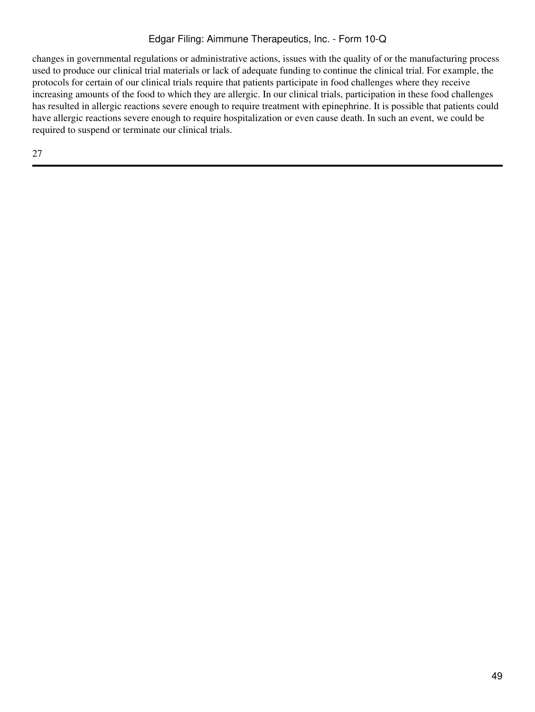changes in governmental regulations or administrative actions, issues with the quality of or the manufacturing process used to produce our clinical trial materials or lack of adequate funding to continue the clinical trial. For example, the protocols for certain of our clinical trials require that patients participate in food challenges where they receive increasing amounts of the food to which they are allergic. In our clinical trials, participation in these food challenges has resulted in allergic reactions severe enough to require treatment with epinephrine. It is possible that patients could have allergic reactions severe enough to require hospitalization or even cause death. In such an event, we could be required to suspend or terminate our clinical trials.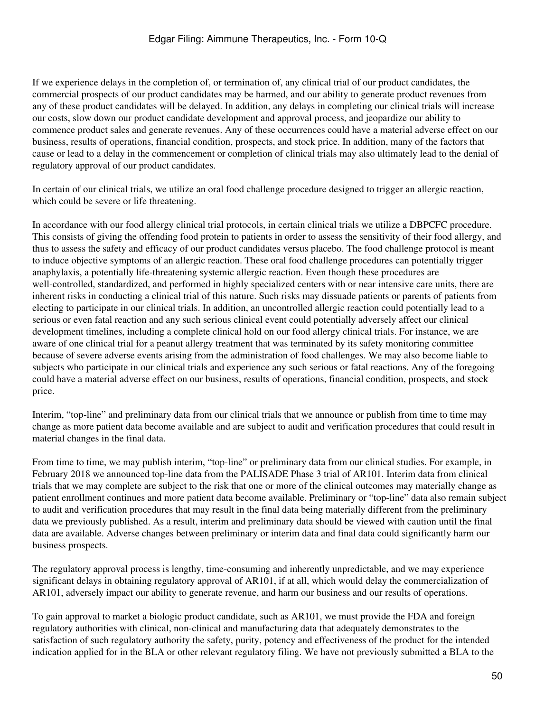If we experience delays in the completion of, or termination of, any clinical trial of our product candidates, the commercial prospects of our product candidates may be harmed, and our ability to generate product revenues from any of these product candidates will be delayed. In addition, any delays in completing our clinical trials will increase our costs, slow down our product candidate development and approval process, and jeopardize our ability to commence product sales and generate revenues. Any of these occurrences could have a material adverse effect on our business, results of operations, financial condition, prospects, and stock price. In addition, many of the factors that cause or lead to a delay in the commencement or completion of clinical trials may also ultimately lead to the denial of regulatory approval of our product candidates.

In certain of our clinical trials, we utilize an oral food challenge procedure designed to trigger an allergic reaction, which could be severe or life threatening.

In accordance with our food allergy clinical trial protocols, in certain clinical trials we utilize a DBPCFC procedure. This consists of giving the offending food protein to patients in order to assess the sensitivity of their food allergy, and thus to assess the safety and efficacy of our product candidates versus placebo. The food challenge protocol is meant to induce objective symptoms of an allergic reaction. These oral food challenge procedures can potentially trigger anaphylaxis, a potentially life-threatening systemic allergic reaction. Even though these procedures are well-controlled, standardized, and performed in highly specialized centers with or near intensive care units, there are inherent risks in conducting a clinical trial of this nature. Such risks may dissuade patients or parents of patients from electing to participate in our clinical trials. In addition, an uncontrolled allergic reaction could potentially lead to a serious or even fatal reaction and any such serious clinical event could potentially adversely affect our clinical development timelines, including a complete clinical hold on our food allergy clinical trials. For instance, we are aware of one clinical trial for a peanut allergy treatment that was terminated by its safety monitoring committee because of severe adverse events arising from the administration of food challenges. We may also become liable to subjects who participate in our clinical trials and experience any such serious or fatal reactions. Any of the foregoing could have a material adverse effect on our business, results of operations, financial condition, prospects, and stock price.

Interim, "top-line" and preliminary data from our clinical trials that we announce or publish from time to time may change as more patient data become available and are subject to audit and verification procedures that could result in material changes in the final data.

From time to time, we may publish interim, "top-line" or preliminary data from our clinical studies. For example, in February 2018 we announced top-line data from the PALISADE Phase 3 trial of AR101. Interim data from clinical trials that we may complete are subject to the risk that one or more of the clinical outcomes may materially change as patient enrollment continues and more patient data become available. Preliminary or "top-line" data also remain subject to audit and verification procedures that may result in the final data being materially different from the preliminary data we previously published. As a result, interim and preliminary data should be viewed with caution until the final data are available. Adverse changes between preliminary or interim data and final data could significantly harm our business prospects.

The regulatory approval process is lengthy, time-consuming and inherently unpredictable, and we may experience significant delays in obtaining regulatory approval of AR101, if at all, which would delay the commercialization of AR101, adversely impact our ability to generate revenue, and harm our business and our results of operations.

To gain approval to market a biologic product candidate, such as AR101, we must provide the FDA and foreign regulatory authorities with clinical, non-clinical and manufacturing data that adequately demonstrates to the satisfaction of such regulatory authority the safety, purity, potency and effectiveness of the product for the intended indication applied for in the BLA or other relevant regulatory filing. We have not previously submitted a BLA to the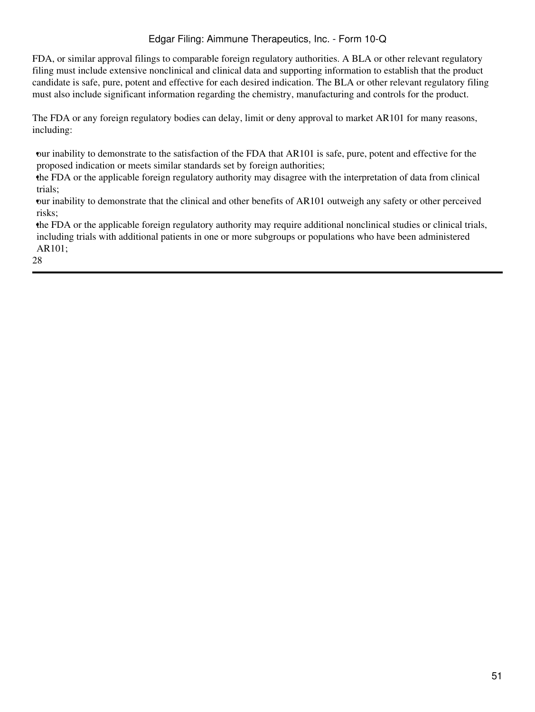FDA, or similar approval filings to comparable foreign regulatory authorities. A BLA or other relevant regulatory filing must include extensive nonclinical and clinical data and supporting information to establish that the product candidate is safe, pure, potent and effective for each desired indication. The BLA or other relevant regulatory filing must also include significant information regarding the chemistry, manufacturing and controls for the product.

The FDA or any foreign regulatory bodies can delay, limit or deny approval to market AR101 for many reasons, including:

•our inability to demonstrate to the satisfaction of the FDA that AR101 is safe, pure, potent and effective for the proposed indication or meets similar standards set by foreign authorities;

•the FDA or the applicable foreign regulatory authority may disagree with the interpretation of data from clinical trials;

•our inability to demonstrate that the clinical and other benefits of AR101 outweigh any safety or other perceived risks;

•the FDA or the applicable foreign regulatory authority may require additional nonclinical studies or clinical trials, including trials with additional patients in one or more subgroups or populations who have been administered AR101;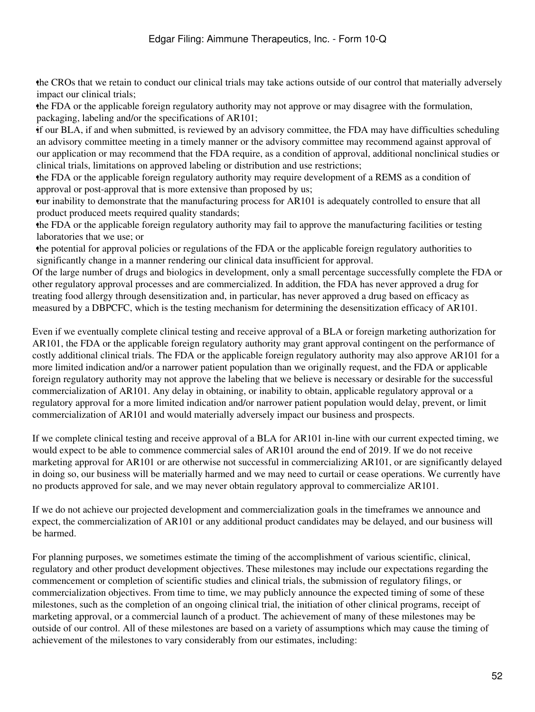•the CROs that we retain to conduct our clinical trials may take actions outside of our control that materially adversely impact our clinical trials;

•the FDA or the applicable foreign regulatory authority may not approve or may disagree with the formulation, packaging, labeling and/or the specifications of AR101;

•if our BLA, if and when submitted, is reviewed by an advisory committee, the FDA may have difficulties scheduling an advisory committee meeting in a timely manner or the advisory committee may recommend against approval of our application or may recommend that the FDA require, as a condition of approval, additional nonclinical studies or clinical trials, limitations on approved labeling or distribution and use restrictions;

•the FDA or the applicable foreign regulatory authority may require development of a REMS as a condition of approval or post-approval that is more extensive than proposed by us;

•our inability to demonstrate that the manufacturing process for AR101 is adequately controlled to ensure that all product produced meets required quality standards;

•the FDA or the applicable foreign regulatory authority may fail to approve the manufacturing facilities or testing laboratories that we use; or

•the potential for approval policies or regulations of the FDA or the applicable foreign regulatory authorities to significantly change in a manner rendering our clinical data insufficient for approval.

Of the large number of drugs and biologics in development, only a small percentage successfully complete the FDA or other regulatory approval processes and are commercialized. In addition, the FDA has never approved a drug for treating food allergy through desensitization and, in particular, has never approved a drug based on efficacy as measured by a DBPCFC, which is the testing mechanism for determining the desensitization efficacy of AR101.

Even if we eventually complete clinical testing and receive approval of a BLA or foreign marketing authorization for AR101, the FDA or the applicable foreign regulatory authority may grant approval contingent on the performance of costly additional clinical trials. The FDA or the applicable foreign regulatory authority may also approve AR101 for a more limited indication and/or a narrower patient population than we originally request, and the FDA or applicable foreign regulatory authority may not approve the labeling that we believe is necessary or desirable for the successful commercialization of AR101. Any delay in obtaining, or inability to obtain, applicable regulatory approval or a regulatory approval for a more limited indication and/or narrower patient population would delay, prevent, or limit commercialization of AR101 and would materially adversely impact our business and prospects.

If we complete clinical testing and receive approval of a BLA for AR101 in-line with our current expected timing, we would expect to be able to commence commercial sales of AR101 around the end of 2019. If we do not receive marketing approval for AR101 or are otherwise not successful in commercializing AR101, or are significantly delayed in doing so, our business will be materially harmed and we may need to curtail or cease operations. We currently have no products approved for sale, and we may never obtain regulatory approval to commercialize AR101.

If we do not achieve our projected development and commercialization goals in the timeframes we announce and expect, the commercialization of AR101 or any additional product candidates may be delayed, and our business will be harmed.

For planning purposes, we sometimes estimate the timing of the accomplishment of various scientific, clinical, regulatory and other product development objectives. These milestones may include our expectations regarding the commencement or completion of scientific studies and clinical trials, the submission of regulatory filings, or commercialization objectives. From time to time, we may publicly announce the expected timing of some of these milestones, such as the completion of an ongoing clinical trial, the initiation of other clinical programs, receipt of marketing approval, or a commercial launch of a product. The achievement of many of these milestones may be outside of our control. All of these milestones are based on a variety of assumptions which may cause the timing of achievement of the milestones to vary considerably from our estimates, including: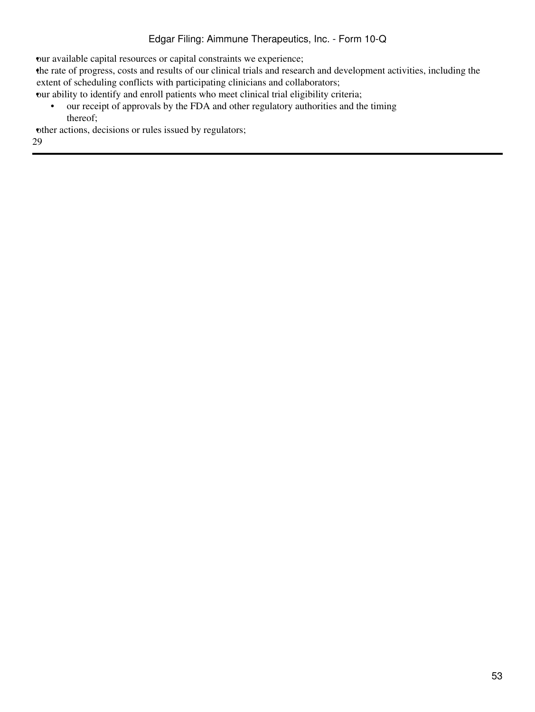•our available capital resources or capital constraints we experience;

•the rate of progress, costs and results of our clinical trials and research and development activities, including the extent of scheduling conflicts with participating clinicians and collaborators;

•our ability to identify and enroll patients who meet clinical trial eligibility criteria;

• our receipt of approvals by the FDA and other regulatory authorities and the timing thereof;

other actions, decisions or rules issued by regulators;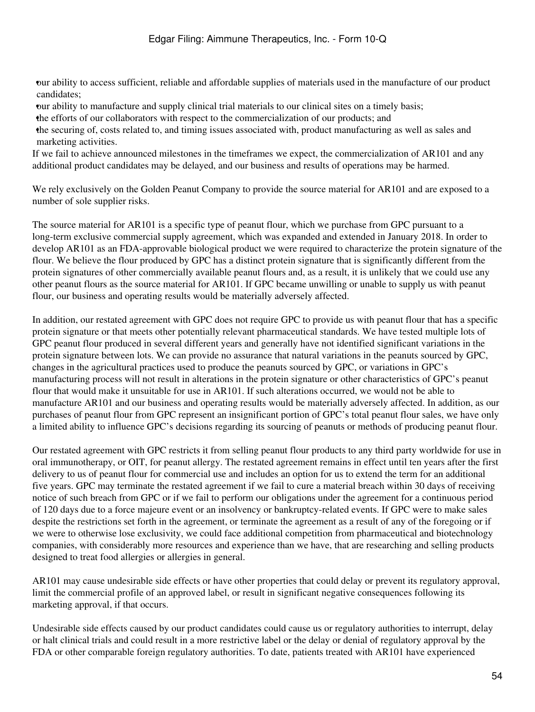•our ability to access sufficient, reliable and affordable supplies of materials used in the manufacture of our product candidates;

•our ability to manufacture and supply clinical trial materials to our clinical sites on a timely basis;

•the efforts of our collaborators with respect to the commercialization of our products; and

•the securing of, costs related to, and timing issues associated with, product manufacturing as well as sales and marketing activities.

If we fail to achieve announced milestones in the timeframes we expect, the commercialization of AR101 and any additional product candidates may be delayed, and our business and results of operations may be harmed.

We rely exclusively on the Golden Peanut Company to provide the source material for AR101 and are exposed to a number of sole supplier risks.

The source material for AR101 is a specific type of peanut flour, which we purchase from GPC pursuant to a long-term exclusive commercial supply agreement, which was expanded and extended in January 2018. In order to develop AR101 as an FDA-approvable biological product we were required to characterize the protein signature of the flour. We believe the flour produced by GPC has a distinct protein signature that is significantly different from the protein signatures of other commercially available peanut flours and, as a result, it is unlikely that we could use any other peanut flours as the source material for AR101. If GPC became unwilling or unable to supply us with peanut flour, our business and operating results would be materially adversely affected.

In addition, our restated agreement with GPC does not require GPC to provide us with peanut flour that has a specific protein signature or that meets other potentially relevant pharmaceutical standards. We have tested multiple lots of GPC peanut flour produced in several different years and generally have not identified significant variations in the protein signature between lots. We can provide no assurance that natural variations in the peanuts sourced by GPC, changes in the agricultural practices used to produce the peanuts sourced by GPC, or variations in GPC's manufacturing process will not result in alterations in the protein signature or other characteristics of GPC's peanut flour that would make it unsuitable for use in AR101. If such alterations occurred, we would not be able to manufacture AR101 and our business and operating results would be materially adversely affected. In addition, as our purchases of peanut flour from GPC represent an insignificant portion of GPC's total peanut flour sales, we have only a limited ability to influence GPC's decisions regarding its sourcing of peanuts or methods of producing peanut flour.

Our restated agreement with GPC restricts it from selling peanut flour products to any third party worldwide for use in oral immunotherapy, or OIT, for peanut allergy. The restated agreement remains in effect until ten years after the first delivery to us of peanut flour for commercial use and includes an option for us to extend the term for an additional five years. GPC may terminate the restated agreement if we fail to cure a material breach within 30 days of receiving notice of such breach from GPC or if we fail to perform our obligations under the agreement for a continuous period of 120 days due to a force majeure event or an insolvency or bankruptcy-related events. If GPC were to make sales despite the restrictions set forth in the agreement, or terminate the agreement as a result of any of the foregoing or if we were to otherwise lose exclusivity, we could face additional competition from pharmaceutical and biotechnology companies, with considerably more resources and experience than we have, that are researching and selling products designed to treat food allergies or allergies in general.

AR101 may cause undesirable side effects or have other properties that could delay or prevent its regulatory approval, limit the commercial profile of an approved label, or result in significant negative consequences following its marketing approval, if that occurs.

Undesirable side effects caused by our product candidates could cause us or regulatory authorities to interrupt, delay or halt clinical trials and could result in a more restrictive label or the delay or denial of regulatory approval by the FDA or other comparable foreign regulatory authorities. To date, patients treated with AR101 have experienced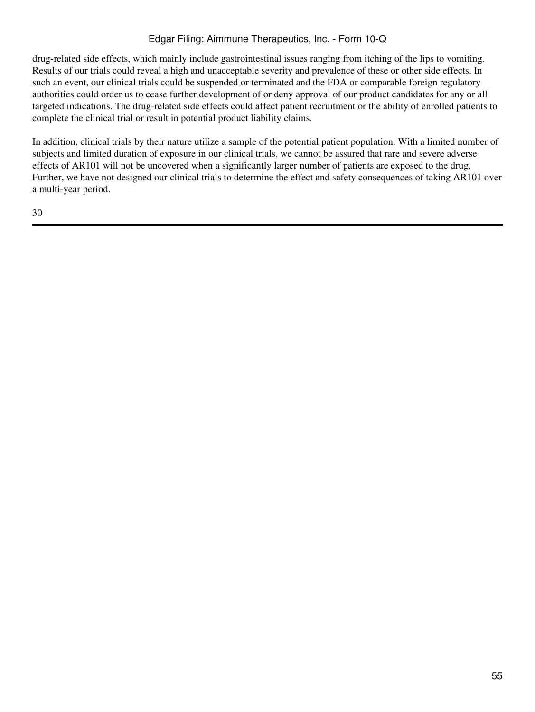drug-related side effects, which mainly include gastrointestinal issues ranging from itching of the lips to vomiting. Results of our trials could reveal a high and unacceptable severity and prevalence of these or other side effects. In such an event, our clinical trials could be suspended or terminated and the FDA or comparable foreign regulatory authorities could order us to cease further development of or deny approval of our product candidates for any or all targeted indications. The drug-related side effects could affect patient recruitment or the ability of enrolled patients to complete the clinical trial or result in potential product liability claims.

In addition, clinical trials by their nature utilize a sample of the potential patient population. With a limited number of subjects and limited duration of exposure in our clinical trials, we cannot be assured that rare and severe adverse effects of AR101 will not be uncovered when a significantly larger number of patients are exposed to the drug. Further, we have not designed our clinical trials to determine the effect and safety consequences of taking AR101 over a multi-year period.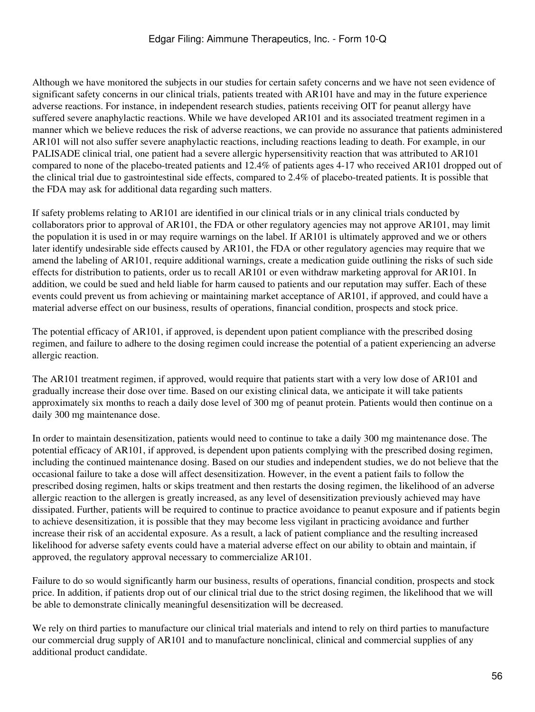Although we have monitored the subjects in our studies for certain safety concerns and we have not seen evidence of significant safety concerns in our clinical trials, patients treated with AR101 have and may in the future experience adverse reactions. For instance, in independent research studies, patients receiving OIT for peanut allergy have suffered severe anaphylactic reactions. While we have developed AR101 and its associated treatment regimen in a manner which we believe reduces the risk of adverse reactions, we can provide no assurance that patients administered AR101 will not also suffer severe anaphylactic reactions, including reactions leading to death. For example, in our PALISADE clinical trial, one patient had a severe allergic hypersensitivity reaction that was attributed to AR101 compared to none of the placebo-treated patients and 12.4% of patients ages 4-17 who received AR101 dropped out of the clinical trial due to gastrointestinal side effects, compared to 2.4% of placebo-treated patients. It is possible that the FDA may ask for additional data regarding such matters.

If safety problems relating to AR101 are identified in our clinical trials or in any clinical trials conducted by collaborators prior to approval of AR101, the FDA or other regulatory agencies may not approve AR101, may limit the population it is used in or may require warnings on the label. If AR101 is ultimately approved and we or others later identify undesirable side effects caused by AR101, the FDA or other regulatory agencies may require that we amend the labeling of AR101, require additional warnings, create a medication guide outlining the risks of such side effects for distribution to patients, order us to recall AR101 or even withdraw marketing approval for AR101. In addition, we could be sued and held liable for harm caused to patients and our reputation may suffer. Each of these events could prevent us from achieving or maintaining market acceptance of AR101, if approved, and could have a material adverse effect on our business, results of operations, financial condition, prospects and stock price.

The potential efficacy of AR101, if approved, is dependent upon patient compliance with the prescribed dosing regimen, and failure to adhere to the dosing regimen could increase the potential of a patient experiencing an adverse allergic reaction.

The AR101 treatment regimen, if approved, would require that patients start with a very low dose of AR101 and gradually increase their dose over time. Based on our existing clinical data, we anticipate it will take patients approximately six months to reach a daily dose level of 300 mg of peanut protein. Patients would then continue on a daily 300 mg maintenance dose.

In order to maintain desensitization, patients would need to continue to take a daily 300 mg maintenance dose. The potential efficacy of AR101, if approved, is dependent upon patients complying with the prescribed dosing regimen, including the continued maintenance dosing. Based on our studies and independent studies, we do not believe that the occasional failure to take a dose will affect desensitization. However, in the event a patient fails to follow the prescribed dosing regimen, halts or skips treatment and then restarts the dosing regimen, the likelihood of an adverse allergic reaction to the allergen is greatly increased, as any level of desensitization previously achieved may have dissipated. Further, patients will be required to continue to practice avoidance to peanut exposure and if patients begin to achieve desensitization, it is possible that they may become less vigilant in practicing avoidance and further increase their risk of an accidental exposure. As a result, a lack of patient compliance and the resulting increased likelihood for adverse safety events could have a material adverse effect on our ability to obtain and maintain, if approved, the regulatory approval necessary to commercialize AR101.

Failure to do so would significantly harm our business, results of operations, financial condition, prospects and stock price. In addition, if patients drop out of our clinical trial due to the strict dosing regimen, the likelihood that we will be able to demonstrate clinically meaningful desensitization will be decreased.

We rely on third parties to manufacture our clinical trial materials and intend to rely on third parties to manufacture our commercial drug supply of AR101 and to manufacture nonclinical, clinical and commercial supplies of any additional product candidate.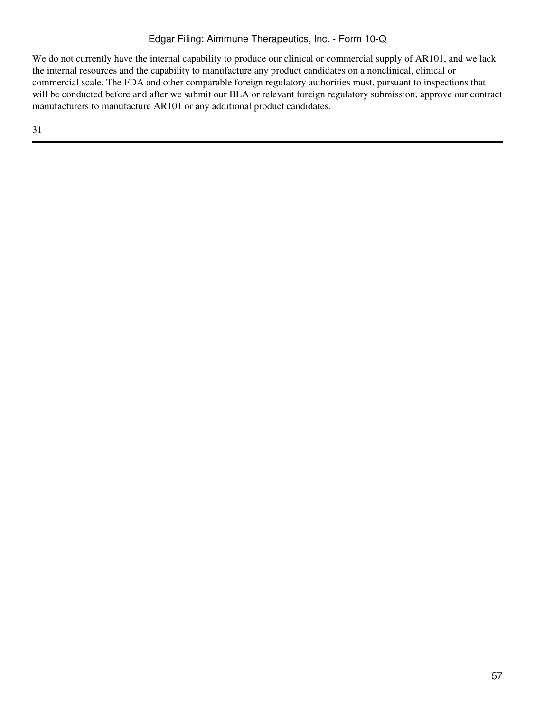We do not currently have the internal capability to produce our clinical or commercial supply of AR101, and we lack the internal resources and the capability to manufacture any product candidates on a nonclinical, clinical or commercial scale. The FDA and other comparable foreign regulatory authorities must, pursuant to inspections that will be conducted before and after we submit our BLA or relevant foreign regulatory submission, approve our contract manufacturers to manufacture AR101 or any additional product candidates.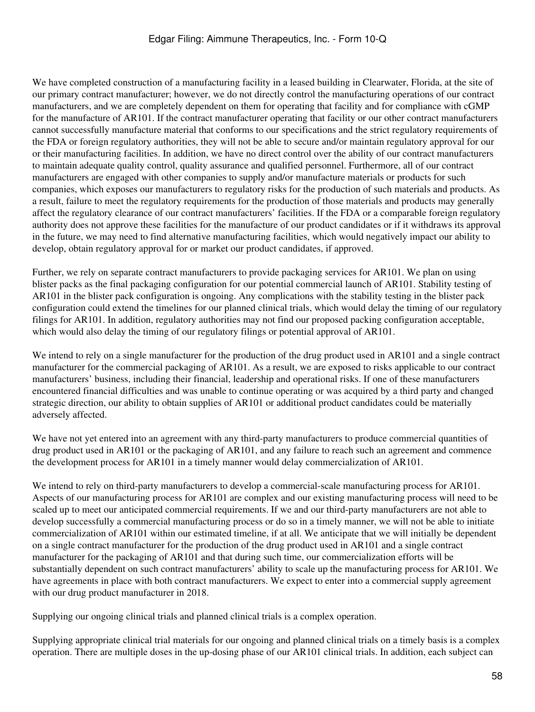We have completed construction of a manufacturing facility in a leased building in Clearwater, Florida, at the site of our primary contract manufacturer; however, we do not directly control the manufacturing operations of our contract manufacturers, and we are completely dependent on them for operating that facility and for compliance with cGMP for the manufacture of AR101. If the contract manufacturer operating that facility or our other contract manufacturers cannot successfully manufacture material that conforms to our specifications and the strict regulatory requirements of the FDA or foreign regulatory authorities, they will not be able to secure and/or maintain regulatory approval for our or their manufacturing facilities. In addition, we have no direct control over the ability of our contract manufacturers to maintain adequate quality control, quality assurance and qualified personnel. Furthermore, all of our contract manufacturers are engaged with other companies to supply and/or manufacture materials or products for such companies, which exposes our manufacturers to regulatory risks for the production of such materials and products. As a result, failure to meet the regulatory requirements for the production of those materials and products may generally affect the regulatory clearance of our contract manufacturers' facilities. If the FDA or a comparable foreign regulatory authority does not approve these facilities for the manufacture of our product candidates or if it withdraws its approval in the future, we may need to find alternative manufacturing facilities, which would negatively impact our ability to develop, obtain regulatory approval for or market our product candidates, if approved.

Further, we rely on separate contract manufacturers to provide packaging services for AR101. We plan on using blister packs as the final packaging configuration for our potential commercial launch of AR101. Stability testing of AR101 in the blister pack configuration is ongoing. Any complications with the stability testing in the blister pack configuration could extend the timelines for our planned clinical trials, which would delay the timing of our regulatory filings for AR101. In addition, regulatory authorities may not find our proposed packing configuration acceptable, which would also delay the timing of our regulatory filings or potential approval of AR101.

We intend to rely on a single manufacturer for the production of the drug product used in AR101 and a single contract manufacturer for the commercial packaging of AR101. As a result, we are exposed to risks applicable to our contract manufacturers' business, including their financial, leadership and operational risks. If one of these manufacturers encountered financial difficulties and was unable to continue operating or was acquired by a third party and changed strategic direction, our ability to obtain supplies of AR101 or additional product candidates could be materially adversely affected.

We have not yet entered into an agreement with any third-party manufacturers to produce commercial quantities of drug product used in AR101 or the packaging of AR101, and any failure to reach such an agreement and commence the development process for AR101 in a timely manner would delay commercialization of AR101.

We intend to rely on third-party manufacturers to develop a commercial-scale manufacturing process for AR101. Aspects of our manufacturing process for AR101 are complex and our existing manufacturing process will need to be scaled up to meet our anticipated commercial requirements. If we and our third-party manufacturers are not able to develop successfully a commercial manufacturing process or do so in a timely manner, we will not be able to initiate commercialization of AR101 within our estimated timeline, if at all. We anticipate that we will initially be dependent on a single contract manufacturer for the production of the drug product used in AR101 and a single contract manufacturer for the packaging of AR101 and that during such time, our commercialization efforts will be substantially dependent on such contract manufacturers' ability to scale up the manufacturing process for AR101. We have agreements in place with both contract manufacturers. We expect to enter into a commercial supply agreement with our drug product manufacturer in 2018.

Supplying our ongoing clinical trials and planned clinical trials is a complex operation.

Supplying appropriate clinical trial materials for our ongoing and planned clinical trials on a timely basis is a complex operation. There are multiple doses in the up-dosing phase of our AR101 clinical trials. In addition, each subject can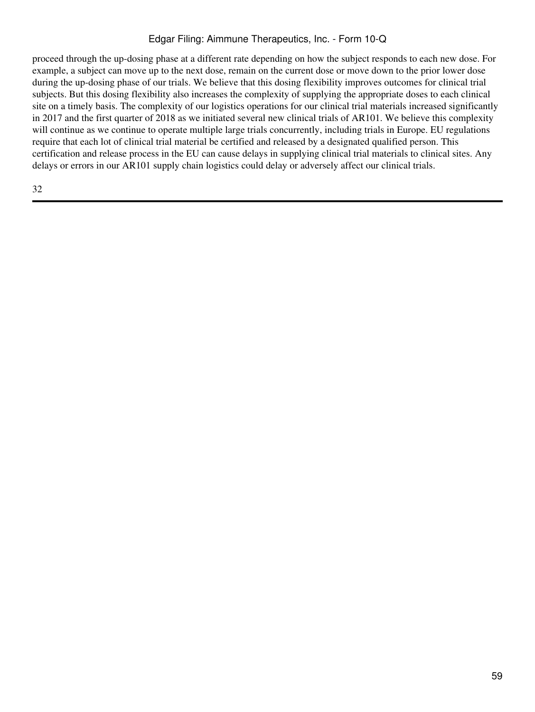proceed through the up-dosing phase at a different rate depending on how the subject responds to each new dose. For example, a subject can move up to the next dose, remain on the current dose or move down to the prior lower dose during the up-dosing phase of our trials. We believe that this dosing flexibility improves outcomes for clinical trial subjects. But this dosing flexibility also increases the complexity of supplying the appropriate doses to each clinical site on a timely basis. The complexity of our logistics operations for our clinical trial materials increased significantly in 2017 and the first quarter of 2018 as we initiated several new clinical trials of AR101. We believe this complexity will continue as we continue to operate multiple large trials concurrently, including trials in Europe. EU regulations require that each lot of clinical trial material be certified and released by a designated qualified person. This certification and release process in the EU can cause delays in supplying clinical trial materials to clinical sites. Any delays or errors in our AR101 supply chain logistics could delay or adversely affect our clinical trials.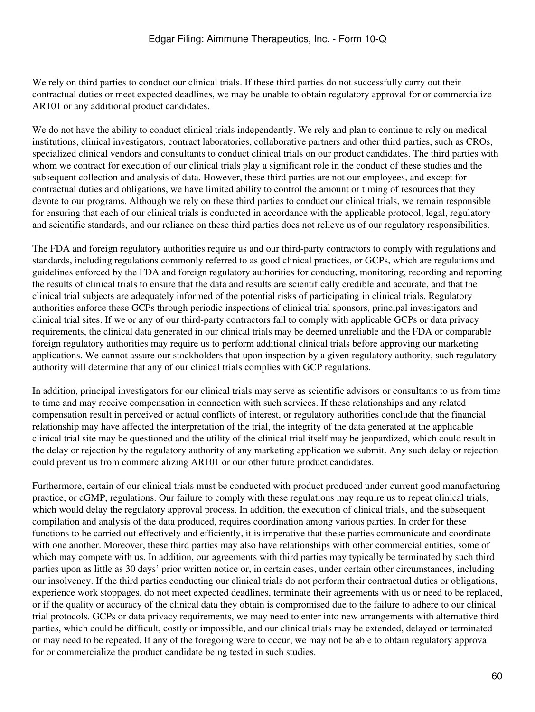We rely on third parties to conduct our clinical trials. If these third parties do not successfully carry out their contractual duties or meet expected deadlines, we may be unable to obtain regulatory approval for or commercialize AR101 or any additional product candidates.

We do not have the ability to conduct clinical trials independently. We rely and plan to continue to rely on medical institutions, clinical investigators, contract laboratories, collaborative partners and other third parties, such as CROs, specialized clinical vendors and consultants to conduct clinical trials on our product candidates. The third parties with whom we contract for execution of our clinical trials play a significant role in the conduct of these studies and the subsequent collection and analysis of data. However, these third parties are not our employees, and except for contractual duties and obligations, we have limited ability to control the amount or timing of resources that they devote to our programs. Although we rely on these third parties to conduct our clinical trials, we remain responsible for ensuring that each of our clinical trials is conducted in accordance with the applicable protocol, legal, regulatory and scientific standards, and our reliance on these third parties does not relieve us of our regulatory responsibilities.

The FDA and foreign regulatory authorities require us and our third-party contractors to comply with regulations and standards, including regulations commonly referred to as good clinical practices, or GCPs, which are regulations and guidelines enforced by the FDA and foreign regulatory authorities for conducting, monitoring, recording and reporting the results of clinical trials to ensure that the data and results are scientifically credible and accurate, and that the clinical trial subjects are adequately informed of the potential risks of participating in clinical trials. Regulatory authorities enforce these GCPs through periodic inspections of clinical trial sponsors, principal investigators and clinical trial sites. If we or any of our third-party contractors fail to comply with applicable GCPs or data privacy requirements, the clinical data generated in our clinical trials may be deemed unreliable and the FDA or comparable foreign regulatory authorities may require us to perform additional clinical trials before approving our marketing applications. We cannot assure our stockholders that upon inspection by a given regulatory authority, such regulatory authority will determine that any of our clinical trials complies with GCP regulations.

In addition, principal investigators for our clinical trials may serve as scientific advisors or consultants to us from time to time and may receive compensation in connection with such services. If these relationships and any related compensation result in perceived or actual conflicts of interest, or regulatory authorities conclude that the financial relationship may have affected the interpretation of the trial, the integrity of the data generated at the applicable clinical trial site may be questioned and the utility of the clinical trial itself may be jeopardized, which could result in the delay or rejection by the regulatory authority of any marketing application we submit. Any such delay or rejection could prevent us from commercializing AR101 or our other future product candidates.

Furthermore, certain of our clinical trials must be conducted with product produced under current good manufacturing practice, or cGMP, regulations. Our failure to comply with these regulations may require us to repeat clinical trials, which would delay the regulatory approval process. In addition, the execution of clinical trials, and the subsequent compilation and analysis of the data produced, requires coordination among various parties. In order for these functions to be carried out effectively and efficiently, it is imperative that these parties communicate and coordinate with one another. Moreover, these third parties may also have relationships with other commercial entities, some of which may compete with us. In addition, our agreements with third parties may typically be terminated by such third parties upon as little as 30 days' prior written notice or, in certain cases, under certain other circumstances, including our insolvency. If the third parties conducting our clinical trials do not perform their contractual duties or obligations, experience work stoppages, do not meet expected deadlines, terminate their agreements with us or need to be replaced, or if the quality or accuracy of the clinical data they obtain is compromised due to the failure to adhere to our clinical trial protocols. GCPs or data privacy requirements, we may need to enter into new arrangements with alternative third parties, which could be difficult, costly or impossible, and our clinical trials may be extended, delayed or terminated or may need to be repeated. If any of the foregoing were to occur, we may not be able to obtain regulatory approval for or commercialize the product candidate being tested in such studies.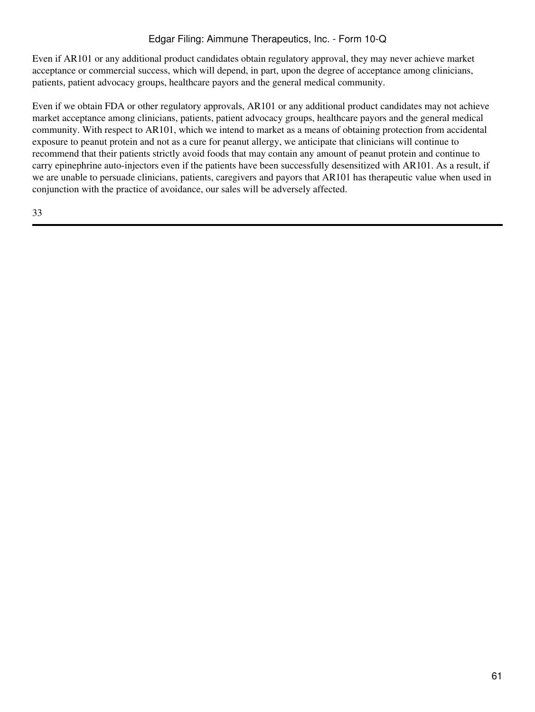Even if AR101 or any additional product candidates obtain regulatory approval, they may never achieve market acceptance or commercial success, which will depend, in part, upon the degree of acceptance among clinicians, patients, patient advocacy groups, healthcare payors and the general medical community.

Even if we obtain FDA or other regulatory approvals, AR101 or any additional product candidates may not achieve market acceptance among clinicians, patients, patient advocacy groups, healthcare payors and the general medical community. With respect to AR101, which we intend to market as a means of obtaining protection from accidental exposure to peanut protein and not as a cure for peanut allergy, we anticipate that clinicians will continue to recommend that their patients strictly avoid foods that may contain any amount of peanut protein and continue to carry epinephrine auto-injectors even if the patients have been successfully desensitized with AR101. As a result, if we are unable to persuade clinicians, patients, caregivers and payors that AR101 has therapeutic value when used in conjunction with the practice of avoidance, our sales will be adversely affected.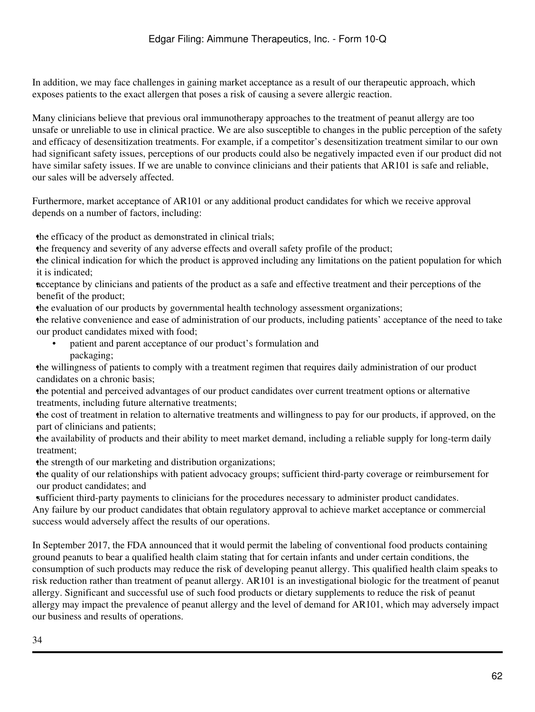In addition, we may face challenges in gaining market acceptance as a result of our therapeutic approach, which exposes patients to the exact allergen that poses a risk of causing a severe allergic reaction.

Many clinicians believe that previous oral immunotherapy approaches to the treatment of peanut allergy are too unsafe or unreliable to use in clinical practice. We are also susceptible to changes in the public perception of the safety and efficacy of desensitization treatments. For example, if a competitor's desensitization treatment similar to our own had significant safety issues, perceptions of our products could also be negatively impacted even if our product did not have similar safety issues. If we are unable to convince clinicians and their patients that AR101 is safe and reliable, our sales will be adversely affected.

Furthermore, market acceptance of AR101 or any additional product candidates for which we receive approval depends on a number of factors, including:

the efficacy of the product as demonstrated in clinical trials;

•the frequency and severity of any adverse effects and overall safety profile of the product;

•the clinical indication for which the product is approved including any limitations on the patient population for which it is indicated;

•acceptance by clinicians and patients of the product as a safe and effective treatment and their perceptions of the benefit of the product;

•the evaluation of our products by governmental health technology assessment organizations;

•the relative convenience and ease of administration of our products, including patients' acceptance of the need to take our product candidates mixed with food;

• patient and parent acceptance of our product's formulation and packaging;

•the willingness of patients to comply with a treatment regimen that requires daily administration of our product candidates on a chronic basis;

•the potential and perceived advantages of our product candidates over current treatment options or alternative treatments, including future alternative treatments;

•the cost of treatment in relation to alternative treatments and willingness to pay for our products, if approved, on the part of clinicians and patients;

•the availability of products and their ability to meet market demand, including a reliable supply for long-term daily treatment;

the strength of our marketing and distribution organizations;

•the quality of our relationships with patient advocacy groups; sufficient third-party coverage or reimbursement for our product candidates; and

•sufficient third-party payments to clinicians for the procedures necessary to administer product candidates.

Any failure by our product candidates that obtain regulatory approval to achieve market acceptance or commercial success would adversely affect the results of our operations.

In September 2017, the FDA announced that it would permit the labeling of conventional food products containing ground peanuts to bear a qualified health claim stating that for certain infants and under certain conditions, the consumption of such products may reduce the risk of developing peanut allergy. This qualified health claim speaks to risk reduction rather than treatment of peanut allergy. AR101 is an investigational biologic for the treatment of peanut allergy. Significant and successful use of such food products or dietary supplements to reduce the risk of peanut allergy may impact the prevalence of peanut allergy and the level of demand for AR101, which may adversely impact our business and results of operations.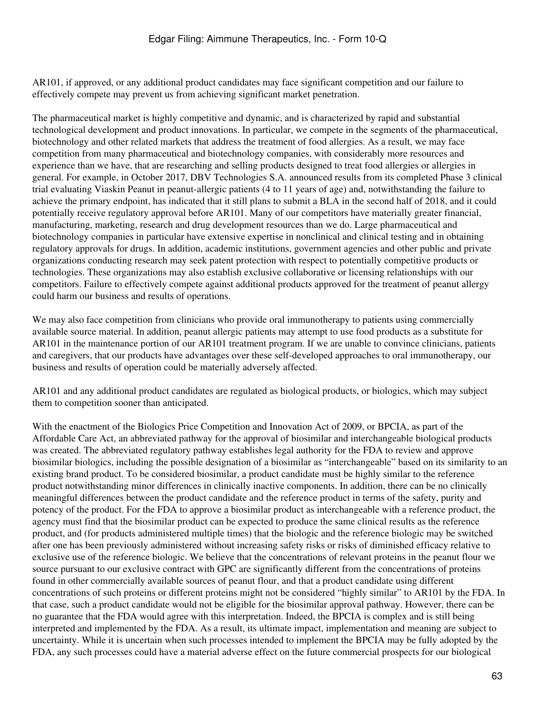AR101, if approved, or any additional product candidates may face significant competition and our failure to effectively compete may prevent us from achieving significant market penetration.

The pharmaceutical market is highly competitive and dynamic, and is characterized by rapid and substantial technological development and product innovations. In particular, we compete in the segments of the pharmaceutical, biotechnology and other related markets that address the treatment of food allergies. As a result, we may face competition from many pharmaceutical and biotechnology companies, with considerably more resources and experience than we have, that are researching and selling products designed to treat food allergies or allergies in general. For example, in October 2017, DBV Technologies S.A. announced results from its completed Phase 3 clinical trial evaluating Viaskin Peanut in peanut-allergic patients (4 to 11 years of age) and, notwithstanding the failure to achieve the primary endpoint, has indicated that it still plans to submit a BLA in the second half of 2018, and it could potentially receive regulatory approval before AR101. Many of our competitors have materially greater financial, manufacturing, marketing, research and drug development resources than we do. Large pharmaceutical and biotechnology companies in particular have extensive expertise in nonclinical and clinical testing and in obtaining regulatory approvals for drugs. In addition, academic institutions, government agencies and other public and private organizations conducting research may seek patent protection with respect to potentially competitive products or technologies. These organizations may also establish exclusive collaborative or licensing relationships with our competitors. Failure to effectively compete against additional products approved for the treatment of peanut allergy could harm our business and results of operations.

We may also face competition from clinicians who provide oral immunotherapy to patients using commercially available source material. In addition, peanut allergic patients may attempt to use food products as a substitute for AR101 in the maintenance portion of our AR101 treatment program. If we are unable to convince clinicians, patients and caregivers, that our products have advantages over these self-developed approaches to oral immunotherapy, our business and results of operation could be materially adversely affected.

AR101 and any additional product candidates are regulated as biological products, or biologics, which may subject them to competition sooner than anticipated.

With the enactment of the Biologics Price Competition and Innovation Act of 2009, or BPCIA, as part of the Affordable Care Act, an abbreviated pathway for the approval of biosimilar and interchangeable biological products was created. The abbreviated regulatory pathway establishes legal authority for the FDA to review and approve biosimilar biologics, including the possible designation of a biosimilar as "interchangeable" based on its similarity to an existing brand product. To be considered biosimilar, a product candidate must be highly similar to the reference product notwithstanding minor differences in clinically inactive components. In addition, there can be no clinically meaningful differences between the product candidate and the reference product in terms of the safety, purity and potency of the product. For the FDA to approve a biosimilar product as interchangeable with a reference product, the agency must find that the biosimilar product can be expected to produce the same clinical results as the reference product, and (for products administered multiple times) that the biologic and the reference biologic may be switched after one has been previously administered without increasing safety risks or risks of diminished efficacy relative to exclusive use of the reference biologic. We believe that the concentrations of relevant proteins in the peanut flour we source pursuant to our exclusive contract with GPC are significantly different from the concentrations of proteins found in other commercially available sources of peanut flour, and that a product candidate using different concentrations of such proteins or different proteins might not be considered "highly similar" to AR101 by the FDA. In that case, such a product candidate would not be eligible for the biosimilar approval pathway. However, there can be no guarantee that the FDA would agree with this interpretation. Indeed, the BPCIA is complex and is still being interpreted and implemented by the FDA. As a result, its ultimate impact, implementation and meaning are subject to uncertainty. While it is uncertain when such processes intended to implement the BPCIA may be fully adopted by the FDA, any such processes could have a material adverse effect on the future commercial prospects for our biological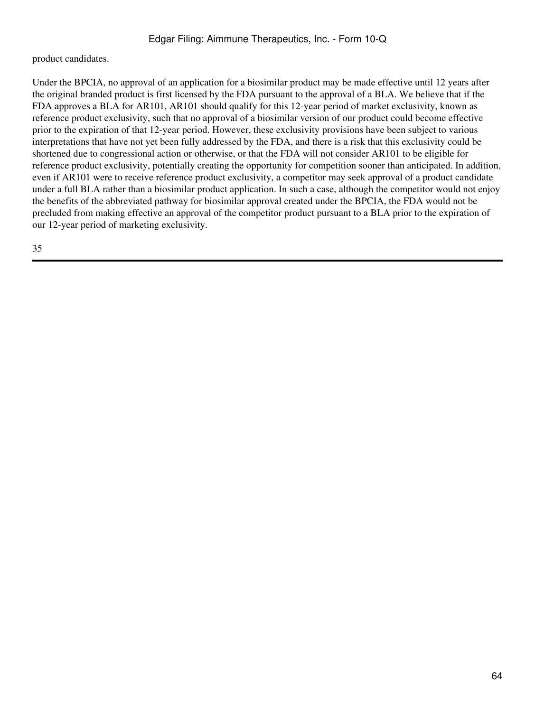product candidates.

Under the BPCIA, no approval of an application for a biosimilar product may be made effective until 12 years after the original branded product is first licensed by the FDA pursuant to the approval of a BLA. We believe that if the FDA approves a BLA for AR101, AR101 should qualify for this 12-year period of market exclusivity, known as reference product exclusivity, such that no approval of a biosimilar version of our product could become effective prior to the expiration of that 12-year period. However, these exclusivity provisions have been subject to various interpretations that have not yet been fully addressed by the FDA, and there is a risk that this exclusivity could be shortened due to congressional action or otherwise, or that the FDA will not consider AR101 to be eligible for reference product exclusivity, potentially creating the opportunity for competition sooner than anticipated. In addition, even if AR101 were to receive reference product exclusivity, a competitor may seek approval of a product candidate under a full BLA rather than a biosimilar product application. In such a case, although the competitor would not enjoy the benefits of the abbreviated pathway for biosimilar approval created under the BPCIA, the FDA would not be precluded from making effective an approval of the competitor product pursuant to a BLA prior to the expiration of our 12-year period of marketing exclusivity.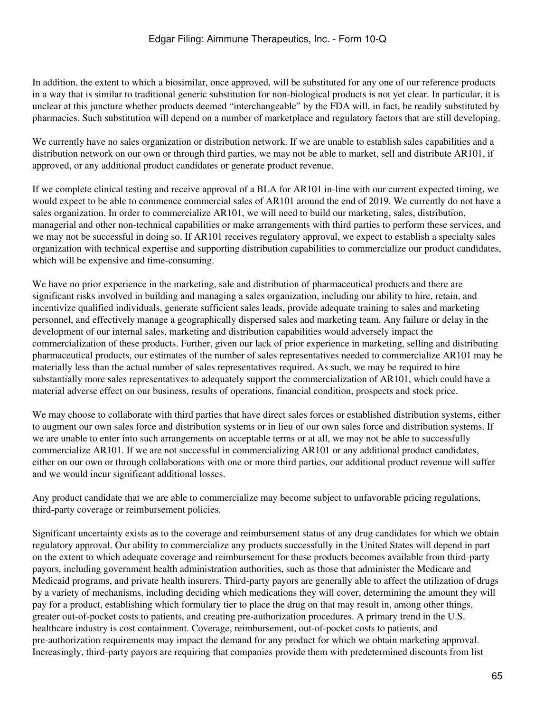In addition, the extent to which a biosimilar, once approved, will be substituted for any one of our reference products in a way that is similar to traditional generic substitution for non-biological products is not yet clear. In particular, it is unclear at this juncture whether products deemed "interchangeable" by the FDA will, in fact, be readily substituted by pharmacies. Such substitution will depend on a number of marketplace and regulatory factors that are still developing.

We currently have no sales organization or distribution network. If we are unable to establish sales capabilities and a distribution network on our own or through third parties, we may not be able to market, sell and distribute AR101, if approved, or any additional product candidates or generate product revenue.

If we complete clinical testing and receive approval of a BLA for AR101 in-line with our current expected timing, we would expect to be able to commence commercial sales of AR101 around the end of 2019. We currently do not have a sales organization. In order to commercialize AR101, we will need to build our marketing, sales, distribution, managerial and other non-technical capabilities or make arrangements with third parties to perform these services, and we may not be successful in doing so. If AR101 receives regulatory approval, we expect to establish a specialty sales organization with technical expertise and supporting distribution capabilities to commercialize our product candidates, which will be expensive and time-consuming.

We have no prior experience in the marketing, sale and distribution of pharmaceutical products and there are significant risks involved in building and managing a sales organization, including our ability to hire, retain, and incentivize qualified individuals, generate sufficient sales leads, provide adequate training to sales and marketing personnel, and effectively manage a geographically dispersed sales and marketing team. Any failure or delay in the development of our internal sales, marketing and distribution capabilities would adversely impact the commercialization of these products. Further, given our lack of prior experience in marketing, selling and distributing pharmaceutical products, our estimates of the number of sales representatives needed to commercialize AR101 may be materially less than the actual number of sales representatives required. As such, we may be required to hire substantially more sales representatives to adequately support the commercialization of AR101, which could have a material adverse effect on our business, results of operations, financial condition, prospects and stock price.

We may choose to collaborate with third parties that have direct sales forces or established distribution systems, either to augment our own sales force and distribution systems or in lieu of our own sales force and distribution systems. If we are unable to enter into such arrangements on acceptable terms or at all, we may not be able to successfully commercialize AR101. If we are not successful in commercializing AR101 or any additional product candidates, either on our own or through collaborations with one or more third parties, our additional product revenue will suffer and we would incur significant additional losses.

Any product candidate that we are able to commercialize may become subject to unfavorable pricing regulations, third-party coverage or reimbursement policies.

Significant uncertainty exists as to the coverage and reimbursement status of any drug candidates for which we obtain regulatory approval. Our ability to commercialize any products successfully in the United States will depend in part on the extent to which adequate coverage and reimbursement for these products becomes available from third-party payors, including government health administration authorities, such as those that administer the Medicare and Medicaid programs, and private health insurers. Third-party payors are generally able to affect the utilization of drugs by a variety of mechanisms, including deciding which medications they will cover, determining the amount they will pay for a product, establishing which formulary tier to place the drug on that may result in, among other things, greater out-of-pocket costs to patients, and creating pre-authorization procedures. A primary trend in the U.S. healthcare industry is cost containment. Coverage, reimbursement, out-of-pocket costs to patients, and pre-authorization requirements may impact the demand for any product for which we obtain marketing approval. Increasingly, third-party payors are requiring that companies provide them with predetermined discounts from list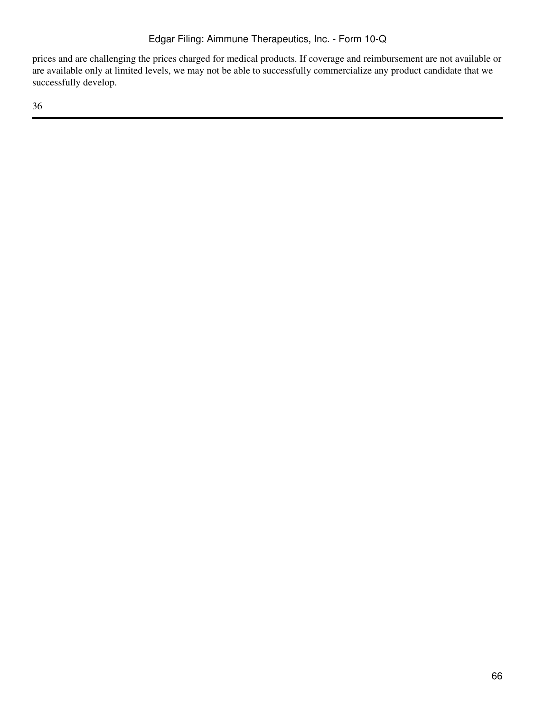prices and are challenging the prices charged for medical products. If coverage and reimbursement are not available or are available only at limited levels, we may not be able to successfully commercialize any product candidate that we successfully develop.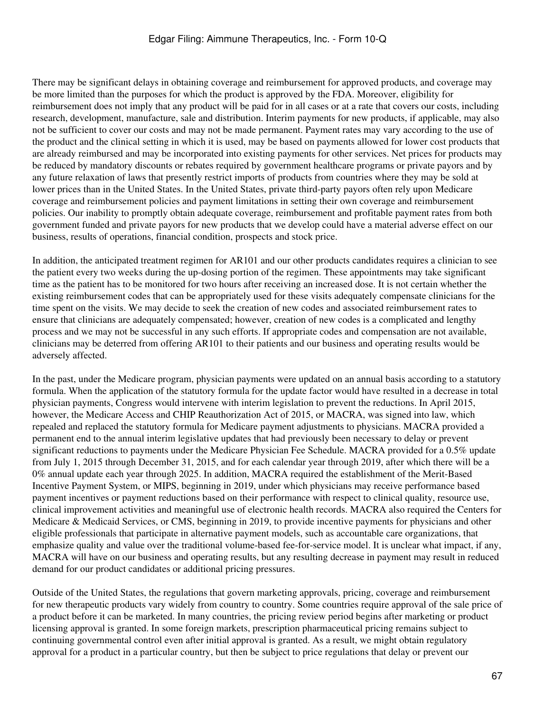There may be significant delays in obtaining coverage and reimbursement for approved products, and coverage may be more limited than the purposes for which the product is approved by the FDA. Moreover, eligibility for reimbursement does not imply that any product will be paid for in all cases or at a rate that covers our costs, including research, development, manufacture, sale and distribution. Interim payments for new products, if applicable, may also not be sufficient to cover our costs and may not be made permanent. Payment rates may vary according to the use of the product and the clinical setting in which it is used, may be based on payments allowed for lower cost products that are already reimbursed and may be incorporated into existing payments for other services. Net prices for products may be reduced by mandatory discounts or rebates required by government healthcare programs or private payors and by any future relaxation of laws that presently restrict imports of products from countries where they may be sold at lower prices than in the United States. In the United States, private third-party payors often rely upon Medicare coverage and reimbursement policies and payment limitations in setting their own coverage and reimbursement policies. Our inability to promptly obtain adequate coverage, reimbursement and profitable payment rates from both government funded and private payors for new products that we develop could have a material adverse effect on our business, results of operations, financial condition, prospects and stock price.

In addition, the anticipated treatment regimen for AR101 and our other products candidates requires a clinician to see the patient every two weeks during the up-dosing portion of the regimen. These appointments may take significant time as the patient has to be monitored for two hours after receiving an increased dose. It is not certain whether the existing reimbursement codes that can be appropriately used for these visits adequately compensate clinicians for the time spent on the visits. We may decide to seek the creation of new codes and associated reimbursement rates to ensure that clinicians are adequately compensated; however, creation of new codes is a complicated and lengthy process and we may not be successful in any such efforts. If appropriate codes and compensation are not available, clinicians may be deterred from offering AR101 to their patients and our business and operating results would be adversely affected.

In the past, under the Medicare program, physician payments were updated on an annual basis according to a statutory formula. When the application of the statutory formula for the update factor would have resulted in a decrease in total physician payments, Congress would intervene with interim legislation to prevent the reductions. In April 2015, however, the Medicare Access and CHIP Reauthorization Act of 2015, or MACRA, was signed into law, which repealed and replaced the statutory formula for Medicare payment adjustments to physicians. MACRA provided a permanent end to the annual interim legislative updates that had previously been necessary to delay or prevent significant reductions to payments under the Medicare Physician Fee Schedule. MACRA provided for a 0.5% update from July 1, 2015 through December 31, 2015, and for each calendar year through 2019, after which there will be a 0% annual update each year through 2025. In addition, MACRA required the establishment of the Merit-Based Incentive Payment System, or MIPS, beginning in 2019, under which physicians may receive performance based payment incentives or payment reductions based on their performance with respect to clinical quality, resource use, clinical improvement activities and meaningful use of electronic health records. MACRA also required the Centers for Medicare & Medicaid Services, or CMS, beginning in 2019, to provide incentive payments for physicians and other eligible professionals that participate in alternative payment models, such as accountable care organizations, that emphasize quality and value over the traditional volume-based fee-for-service model. It is unclear what impact, if any, MACRA will have on our business and operating results, but any resulting decrease in payment may result in reduced demand for our product candidates or additional pricing pressures.

Outside of the United States, the regulations that govern marketing approvals, pricing, coverage and reimbursement for new therapeutic products vary widely from country to country. Some countries require approval of the sale price of a product before it can be marketed. In many countries, the pricing review period begins after marketing or product licensing approval is granted. In some foreign markets, prescription pharmaceutical pricing remains subject to continuing governmental control even after initial approval is granted. As a result, we might obtain regulatory approval for a product in a particular country, but then be subject to price regulations that delay or prevent our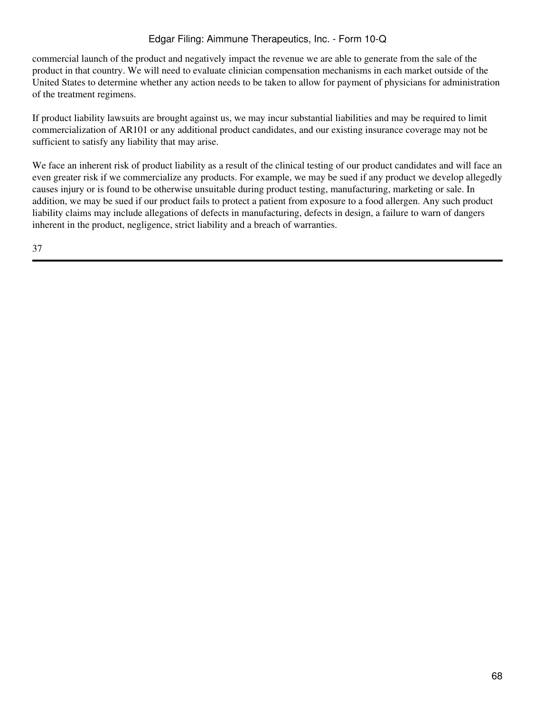commercial launch of the product and negatively impact the revenue we are able to generate from the sale of the product in that country. We will need to evaluate clinician compensation mechanisms in each market outside of the United States to determine whether any action needs to be taken to allow for payment of physicians for administration of the treatment regimens.

If product liability lawsuits are brought against us, we may incur substantial liabilities and may be required to limit commercialization of AR101 or any additional product candidates, and our existing insurance coverage may not be sufficient to satisfy any liability that may arise.

We face an inherent risk of product liability as a result of the clinical testing of our product candidates and will face an even greater risk if we commercialize any products. For example, we may be sued if any product we develop allegedly causes injury or is found to be otherwise unsuitable during product testing, manufacturing, marketing or sale. In addition, we may be sued if our product fails to protect a patient from exposure to a food allergen. Any such product liability claims may include allegations of defects in manufacturing, defects in design, a failure to warn of dangers inherent in the product, negligence, strict liability and a breach of warranties.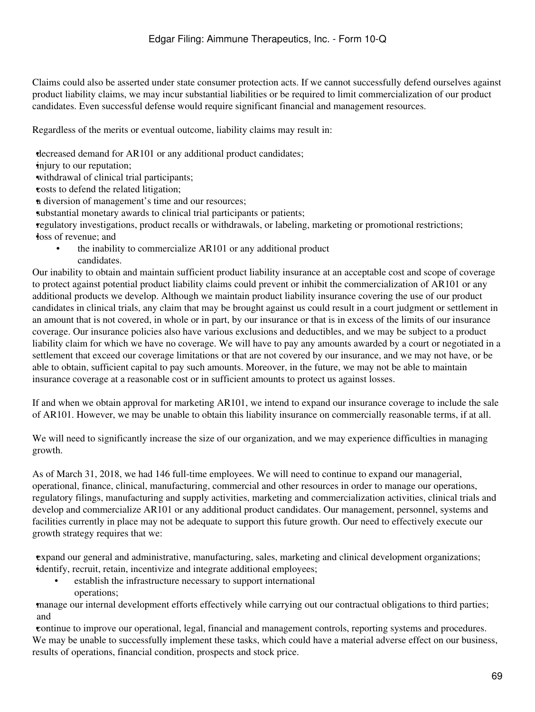Claims could also be asserted under state consumer protection acts. If we cannot successfully defend ourselves against product liability claims, we may incur substantial liabilities or be required to limit commercialization of our product candidates. Even successful defense would require significant financial and management resources.

Regardless of the merits or eventual outcome, liability claims may result in:

•decreased demand for AR101 or any additional product candidates;

injury to our reputation;

•withdrawal of clinical trial participants;

•costs to defend the related litigation;

•a diversion of management's time and our resources;

substantial monetary awards to clinical trial participants or patients;

•regulatory investigations, product recalls or withdrawals, or labeling, marketing or promotional restrictions; **loss** of revenue; and

the inability to commercialize AR101 or any additional product candidates.

Our inability to obtain and maintain sufficient product liability insurance at an acceptable cost and scope of coverage to protect against potential product liability claims could prevent or inhibit the commercialization of AR101 or any additional products we develop. Although we maintain product liability insurance covering the use of our product candidates in clinical trials, any claim that may be brought against us could result in a court judgment or settlement in an amount that is not covered, in whole or in part, by our insurance or that is in excess of the limits of our insurance coverage. Our insurance policies also have various exclusions and deductibles, and we may be subject to a product liability claim for which we have no coverage. We will have to pay any amounts awarded by a court or negotiated in a settlement that exceed our coverage limitations or that are not covered by our insurance, and we may not have, or be able to obtain, sufficient capital to pay such amounts. Moreover, in the future, we may not be able to maintain insurance coverage at a reasonable cost or in sufficient amounts to protect us against losses.

If and when we obtain approval for marketing AR101, we intend to expand our insurance coverage to include the sale of AR101. However, we may be unable to obtain this liability insurance on commercially reasonable terms, if at all.

We will need to significantly increase the size of our organization, and we may experience difficulties in managing growth.

As of March 31, 2018, we had 146 full-time employees. We will need to continue to expand our managerial, operational, finance, clinical, manufacturing, commercial and other resources in order to manage our operations, regulatory filings, manufacturing and supply activities, marketing and commercialization activities, clinical trials and develop and commercialize AR101 or any additional product candidates. Our management, personnel, systems and facilities currently in place may not be adequate to support this future growth. Our need to effectively execute our growth strategy requires that we:

•expand our general and administrative, manufacturing, sales, marketing and clinical development organizations; *identify, recruit, retain, incentivize and integrate additional employees;* 

establish the infrastructure necessary to support international operations;

•manage our internal development efforts effectively while carrying out our contractual obligations to third parties; and

•continue to improve our operational, legal, financial and management controls, reporting systems and procedures. We may be unable to successfully implement these tasks, which could have a material adverse effect on our business, results of operations, financial condition, prospects and stock price.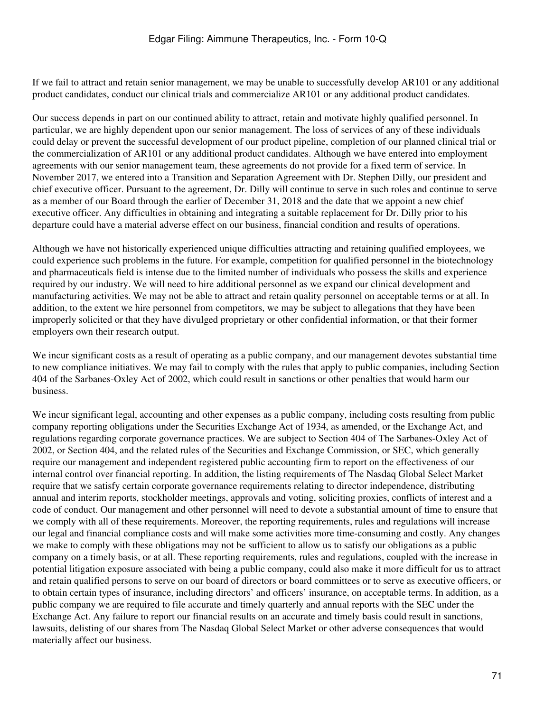If we fail to attract and retain senior management, we may be unable to successfully develop AR101 or any additional product candidates, conduct our clinical trials and commercialize AR101 or any additional product candidates.

Our success depends in part on our continued ability to attract, retain and motivate highly qualified personnel. In particular, we are highly dependent upon our senior management. The loss of services of any of these individuals could delay or prevent the successful development of our product pipeline, completion of our planned clinical trial or the commercialization of AR101 or any additional product candidates. Although we have entered into employment agreements with our senior management team, these agreements do not provide for a fixed term of service. In November 2017, we entered into a Transition and Separation Agreement with Dr. Stephen Dilly, our president and chief executive officer. Pursuant to the agreement, Dr. Dilly will continue to serve in such roles and continue to serve as a member of our Board through the earlier of December 31, 2018 and the date that we appoint a new chief executive officer. Any difficulties in obtaining and integrating a suitable replacement for Dr. Dilly prior to his departure could have a material adverse effect on our business, financial condition and results of operations.

Although we have not historically experienced unique difficulties attracting and retaining qualified employees, we could experience such problems in the future. For example, competition for qualified personnel in the biotechnology and pharmaceuticals field is intense due to the limited number of individuals who possess the skills and experience required by our industry. We will need to hire additional personnel as we expand our clinical development and manufacturing activities. We may not be able to attract and retain quality personnel on acceptable terms or at all. In addition, to the extent we hire personnel from competitors, we may be subject to allegations that they have been improperly solicited or that they have divulged proprietary or other confidential information, or that their former employers own their research output.

We incur significant costs as a result of operating as a public company, and our management devotes substantial time to new compliance initiatives. We may fail to comply with the rules that apply to public companies, including Section 404 of the Sarbanes-Oxley Act of 2002, which could result in sanctions or other penalties that would harm our business.

We incur significant legal, accounting and other expenses as a public company, including costs resulting from public company reporting obligations under the Securities Exchange Act of 1934, as amended, or the Exchange Act, and regulations regarding corporate governance practices. We are subject to Section 404 of The Sarbanes-Oxley Act of 2002, or Section 404, and the related rules of the Securities and Exchange Commission, or SEC, which generally require our management and independent registered public accounting firm to report on the effectiveness of our internal control over financial reporting. In addition, the listing requirements of The Nasdaq Global Select Market require that we satisfy certain corporate governance requirements relating to director independence, distributing annual and interim reports, stockholder meetings, approvals and voting, soliciting proxies, conflicts of interest and a code of conduct. Our management and other personnel will need to devote a substantial amount of time to ensure that we comply with all of these requirements. Moreover, the reporting requirements, rules and regulations will increase our legal and financial compliance costs and will make some activities more time-consuming and costly. Any changes we make to comply with these obligations may not be sufficient to allow us to satisfy our obligations as a public company on a timely basis, or at all. These reporting requirements, rules and regulations, coupled with the increase in potential litigation exposure associated with being a public company, could also make it more difficult for us to attract and retain qualified persons to serve on our board of directors or board committees or to serve as executive officers, or to obtain certain types of insurance, including directors' and officers' insurance, on acceptable terms. In addition, as a public company we are required to file accurate and timely quarterly and annual reports with the SEC under the Exchange Act. Any failure to report our financial results on an accurate and timely basis could result in sanctions, lawsuits, delisting of our shares from The Nasdaq Global Select Market or other adverse consequences that would materially affect our business.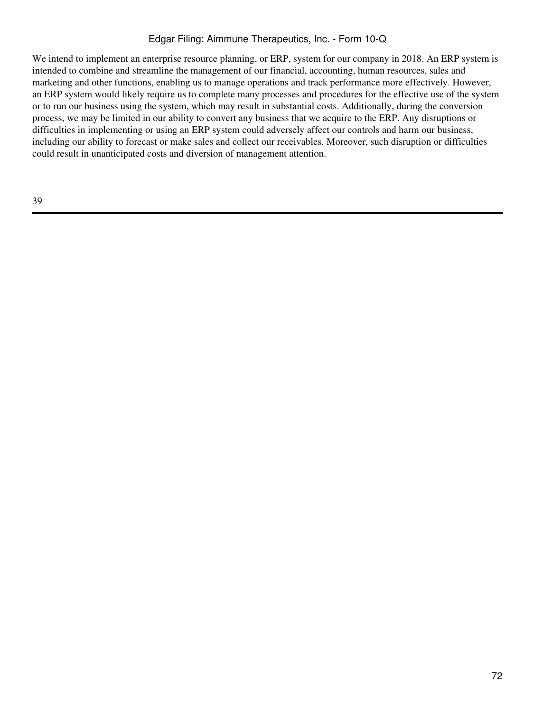We intend to implement an enterprise resource planning, or ERP, system for our company in 2018. An ERP system is intended to combine and streamline the management of our financial, accounting, human resources, sales and marketing and other functions, enabling us to manage operations and track performance more effectively. However, an ERP system would likely require us to complete many processes and procedures for the effective use of the system or to run our business using the system, which may result in substantial costs. Additionally, during the conversion process, we may be limited in our ability to convert any business that we acquire to the ERP. Any disruptions or difficulties in implementing or using an ERP system could adversely affect our controls and harm our business, including our ability to forecast or make sales and collect our receivables. Moreover, such disruption or difficulties could result in unanticipated costs and diversion of management attention.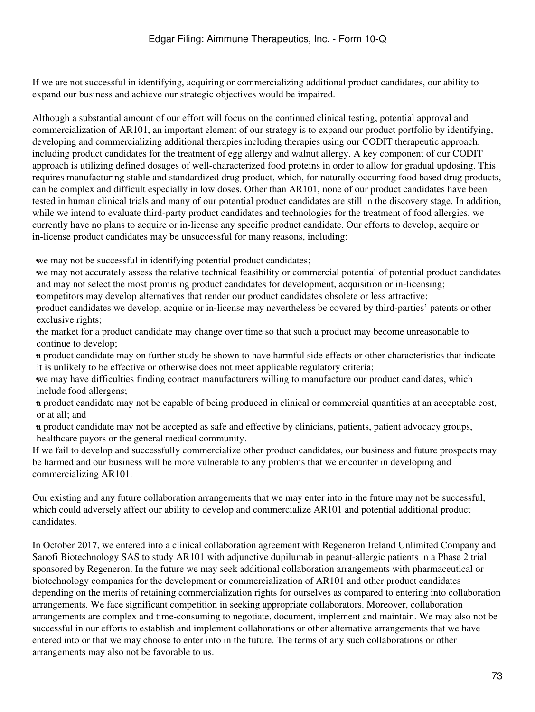If we are not successful in identifying, acquiring or commercializing additional product candidates, our ability to expand our business and achieve our strategic objectives would be impaired.

Although a substantial amount of our effort will focus on the continued clinical testing, potential approval and commercialization of AR101, an important element of our strategy is to expand our product portfolio by identifying, developing and commercializing additional therapies including therapies using our CODIT therapeutic approach, including product candidates for the treatment of egg allergy and walnut allergy. A key component of our CODIT approach is utilizing defined dosages of well-characterized food proteins in order to allow for gradual updosing. This requires manufacturing stable and standardized drug product, which, for naturally occurring food based drug products, can be complex and difficult especially in low doses. Other than AR101, none of our product candidates have been tested in human clinical trials and many of our potential product candidates are still in the discovery stage. In addition, while we intend to evaluate third-party product candidates and technologies for the treatment of food allergies, we currently have no plans to acquire or in-license any specific product candidate. Our efforts to develop, acquire or in-license product candidates may be unsuccessful for many reasons, including:

•we may not be successful in identifying potential product candidates;

•we may not accurately assess the relative technical feasibility or commercial potential of potential product candidates and may not select the most promising product candidates for development, acquisition or in-licensing;

•competitors may develop alternatives that render our product candidates obsolete or less attractive;

•product candidates we develop, acquire or in-license may nevertheless be covered by third-parties' patents or other exclusive rights;

•the market for a product candidate may change over time so that such a product may become unreasonable to continue to develop;

•a product candidate may on further study be shown to have harmful side effects or other characteristics that indicate it is unlikely to be effective or otherwise does not meet applicable regulatory criteria;

•we may have difficulties finding contract manufacturers willing to manufacture our product candidates, which include food allergens;

•a product candidate may not be capable of being produced in clinical or commercial quantities at an acceptable cost, or at all; and

•a product candidate may not be accepted as safe and effective by clinicians, patients, patient advocacy groups, healthcare payors or the general medical community.

If we fail to develop and successfully commercialize other product candidates, our business and future prospects may be harmed and our business will be more vulnerable to any problems that we encounter in developing and commercializing AR101.

Our existing and any future collaboration arrangements that we may enter into in the future may not be successful, which could adversely affect our ability to develop and commercialize AR101 and potential additional product candidates.

In October 2017, we entered into a clinical collaboration agreement with Regeneron Ireland Unlimited Company and Sanofi Biotechnology SAS to study AR101 with adjunctive dupilumab in peanut-allergic patients in a Phase 2 trial sponsored by Regeneron. In the future we may seek additional collaboration arrangements with pharmaceutical or biotechnology companies for the development or commercialization of AR101 and other product candidates depending on the merits of retaining commercialization rights for ourselves as compared to entering into collaboration arrangements. We face significant competition in seeking appropriate collaborators. Moreover, collaboration arrangements are complex and time-consuming to negotiate, document, implement and maintain. We may also not be successful in our efforts to establish and implement collaborations or other alternative arrangements that we have entered into or that we may choose to enter into in the future. The terms of any such collaborations or other arrangements may also not be favorable to us.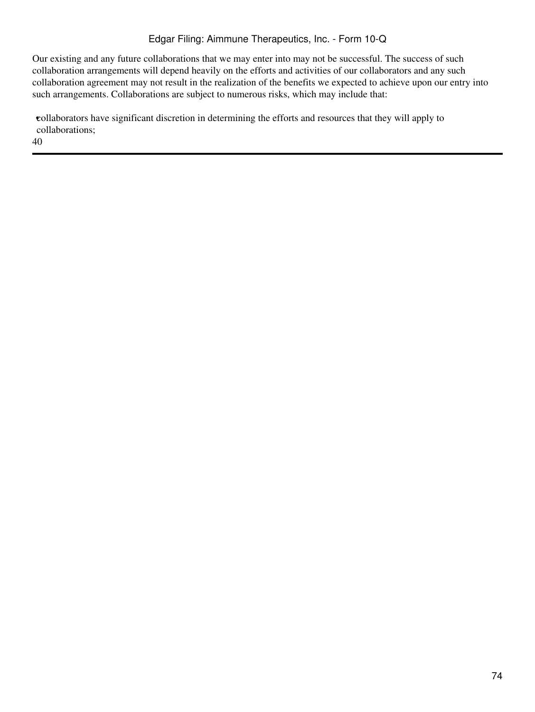Our existing and any future collaborations that we may enter into may not be successful. The success of such collaboration arrangements will depend heavily on the efforts and activities of our collaborators and any such collaboration agreement may not result in the realization of the benefits we expected to achieve upon our entry into such arrangements. Collaborations are subject to numerous risks, which may include that:

•collaborators have significant discretion in determining the efforts and resources that they will apply to collaborations;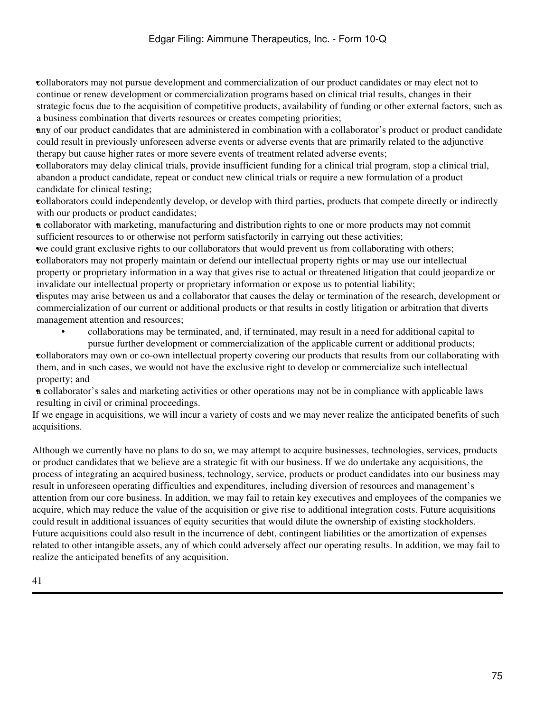•collaborators may not pursue development and commercialization of our product candidates or may elect not to continue or renew development or commercialization programs based on clinical trial results, changes in their strategic focus due to the acquisition of competitive products, availability of funding or other external factors, such as a business combination that diverts resources or creates competing priorities;

•any of our product candidates that are administered in combination with a collaborator's product or product candidate could result in previously unforeseen adverse events or adverse events that are primarily related to the adjunctive therapy but cause higher rates or more severe events of treatment related adverse events;

•collaborators may delay clinical trials, provide insufficient funding for a clinical trial program, stop a clinical trial, abandon a product candidate, repeat or conduct new clinical trials or require a new formulation of a product candidate for clinical testing;

•collaborators could independently develop, or develop with third parties, products that compete directly or indirectly with our products or product candidates;

•a collaborator with marketing, manufacturing and distribution rights to one or more products may not commit sufficient resources to or otherwise not perform satisfactorily in carrying out these activities;

•we could grant exclusive rights to our collaborators that would prevent us from collaborating with others; •collaborators may not properly maintain or defend our intellectual property rights or may use our intellectual property or proprietary information in a way that gives rise to actual or threatened litigation that could jeopardize or invalidate our intellectual property or proprietary information or expose us to potential liability;

•disputes may arise between us and a collaborator that causes the delay or termination of the research, development or commercialization of our current or additional products or that results in costly litigation or arbitration that diverts management attention and resources;

• collaborations may be terminated, and, if terminated, may result in a need for additional capital to pursue further development or commercialization of the applicable current or additional products;

•collaborators may own or co-own intellectual property covering our products that results from our collaborating with them, and in such cases, we would not have the exclusive right to develop or commercialize such intellectual property; and

•a collaborator's sales and marketing activities or other operations may not be in compliance with applicable laws resulting in civil or criminal proceedings.

If we engage in acquisitions, we will incur a variety of costs and we may never realize the anticipated benefits of such acquisitions.

Although we currently have no plans to do so, we may attempt to acquire businesses, technologies, services, products or product candidates that we believe are a strategic fit with our business. If we do undertake any acquisitions, the process of integrating an acquired business, technology, service, products or product candidates into our business may result in unforeseen operating difficulties and expenditures, including diversion of resources and management's attention from our core business. In addition, we may fail to retain key executives and employees of the companies we acquire, which may reduce the value of the acquisition or give rise to additional integration costs. Future acquisitions could result in additional issuances of equity securities that would dilute the ownership of existing stockholders. Future acquisitions could also result in the incurrence of debt, contingent liabilities or the amortization of expenses related to other intangible assets, any of which could adversely affect our operating results. In addition, we may fail to realize the anticipated benefits of any acquisition.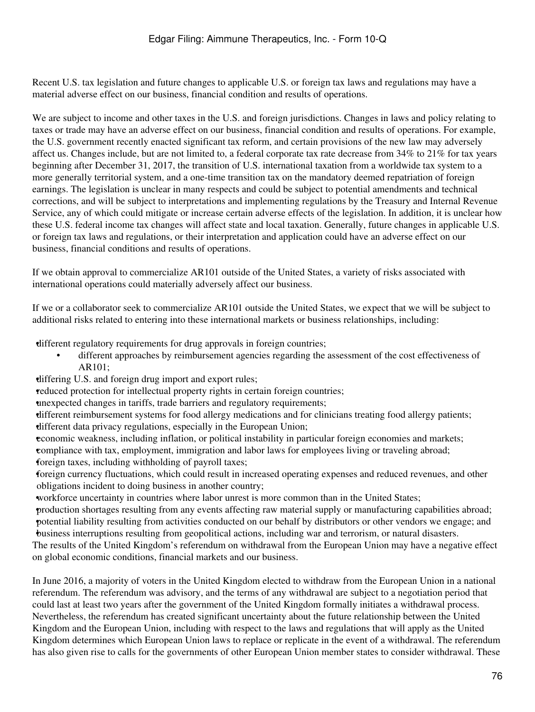Recent U.S. tax legislation and future changes to applicable U.S. or foreign tax laws and regulations may have a material adverse effect on our business, financial condition and results of operations.

We are subject to income and other taxes in the U.S. and foreign jurisdictions. Changes in laws and policy relating to taxes or trade may have an adverse effect on our business, financial condition and results of operations. For example, the U.S. government recently enacted significant tax reform, and certain provisions of the new law may adversely affect us. Changes include, but are not limited to, a federal corporate tax rate decrease from 34% to 21% for tax years beginning after December 31, 2017, the transition of U.S. international taxation from a worldwide tax system to a more generally territorial system, and a one-time transition tax on the mandatory deemed repatriation of foreign earnings. The legislation is unclear in many respects and could be subject to potential amendments and technical corrections, and will be subject to interpretations and implementing regulations by the Treasury and Internal Revenue Service, any of which could mitigate or increase certain adverse effects of the legislation. In addition, it is unclear how these U.S. federal income tax changes will affect state and local taxation. Generally, future changes in applicable U.S. or foreign tax laws and regulations, or their interpretation and application could have an adverse effect on our business, financial conditions and results of operations.

If we obtain approval to commercialize AR101 outside of the United States, a variety of risks associated with international operations could materially adversely affect our business.

If we or a collaborator seek to commercialize AR101 outside the United States, we expect that we will be subject to additional risks related to entering into these international markets or business relationships, including:

•different regulatory requirements for drug approvals in foreign countries;

- different approaches by reimbursement agencies regarding the assessment of the cost effectiveness of AR101;
- •differing U.S. and foreign drug import and export rules;

•reduced protection for intellectual property rights in certain foreign countries;

•unexpected changes in tariffs, trade barriers and regulatory requirements;

•different reimbursement systems for food allergy medications and for clinicians treating food allergy patients; •different data privacy regulations, especially in the European Union;

•economic weakness, including inflation, or political instability in particular foreign economies and markets; •compliance with tax, employment, immigration and labor laws for employees living or traveling abroad; •foreign taxes, including withholding of payroll taxes;

•foreign currency fluctuations, which could result in increased operating expenses and reduced revenues, and other obligations incident to doing business in another country;

•workforce uncertainty in countries where labor unrest is more common than in the United States;

•production shortages resulting from any events affecting raw material supply or manufacturing capabilities abroad; •potential liability resulting from activities conducted on our behalf by distributors or other vendors we engage; and •business interruptions resulting from geopolitical actions, including war and terrorism, or natural disasters.

The results of the United Kingdom's referendum on withdrawal from the European Union may have a negative effect on global economic conditions, financial markets and our business.

In June 2016, a majority of voters in the United Kingdom elected to withdraw from the European Union in a national referendum. The referendum was advisory, and the terms of any withdrawal are subject to a negotiation period that could last at least two years after the government of the United Kingdom formally initiates a withdrawal process. Nevertheless, the referendum has created significant uncertainty about the future relationship between the United Kingdom and the European Union, including with respect to the laws and regulations that will apply as the United Kingdom determines which European Union laws to replace or replicate in the event of a withdrawal. The referendum has also given rise to calls for the governments of other European Union member states to consider withdrawal. These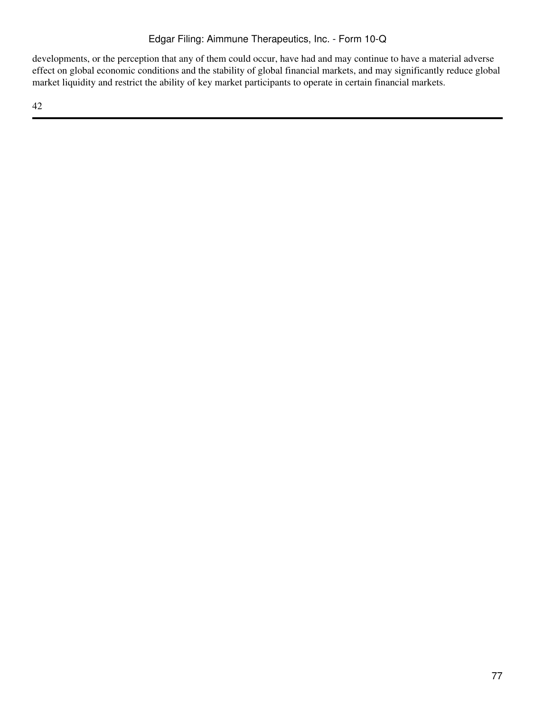developments, or the perception that any of them could occur, have had and may continue to have a material adverse effect on global economic conditions and the stability of global financial markets, and may significantly reduce global market liquidity and restrict the ability of key market participants to operate in certain financial markets.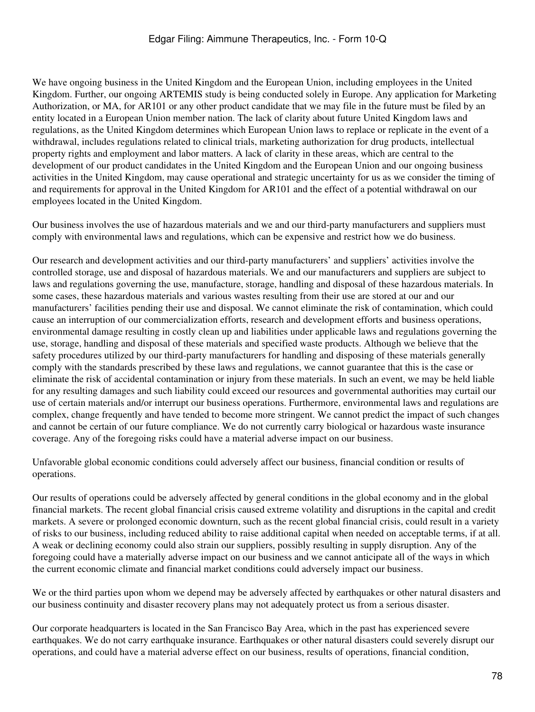We have ongoing business in the United Kingdom and the European Union, including employees in the United Kingdom. Further, our ongoing ARTEMIS study is being conducted solely in Europe. Any application for Marketing Authorization, or MA, for AR101 or any other product candidate that we may file in the future must be filed by an entity located in a European Union member nation. The lack of clarity about future United Kingdom laws and regulations, as the United Kingdom determines which European Union laws to replace or replicate in the event of a withdrawal, includes regulations related to clinical trials, marketing authorization for drug products, intellectual property rights and employment and labor matters. A lack of clarity in these areas, which are central to the development of our product candidates in the United Kingdom and the European Union and our ongoing business activities in the United Kingdom, may cause operational and strategic uncertainty for us as we consider the timing of and requirements for approval in the United Kingdom for AR101 and the effect of a potential withdrawal on our employees located in the United Kingdom.

Our business involves the use of hazardous materials and we and our third-party manufacturers and suppliers must comply with environmental laws and regulations, which can be expensive and restrict how we do business.

Our research and development activities and our third-party manufacturers' and suppliers' activities involve the controlled storage, use and disposal of hazardous materials. We and our manufacturers and suppliers are subject to laws and regulations governing the use, manufacture, storage, handling and disposal of these hazardous materials. In some cases, these hazardous materials and various wastes resulting from their use are stored at our and our manufacturers' facilities pending their use and disposal. We cannot eliminate the risk of contamination, which could cause an interruption of our commercialization efforts, research and development efforts and business operations, environmental damage resulting in costly clean up and liabilities under applicable laws and regulations governing the use, storage, handling and disposal of these materials and specified waste products. Although we believe that the safety procedures utilized by our third-party manufacturers for handling and disposing of these materials generally comply with the standards prescribed by these laws and regulations, we cannot guarantee that this is the case or eliminate the risk of accidental contamination or injury from these materials. In such an event, we may be held liable for any resulting damages and such liability could exceed our resources and governmental authorities may curtail our use of certain materials and/or interrupt our business operations. Furthermore, environmental laws and regulations are complex, change frequently and have tended to become more stringent. We cannot predict the impact of such changes and cannot be certain of our future compliance. We do not currently carry biological or hazardous waste insurance coverage. Any of the foregoing risks could have a material adverse impact on our business.

Unfavorable global economic conditions could adversely affect our business, financial condition or results of operations.

Our results of operations could be adversely affected by general conditions in the global economy and in the global financial markets. The recent global financial crisis caused extreme volatility and disruptions in the capital and credit markets. A severe or prolonged economic downturn, such as the recent global financial crisis, could result in a variety of risks to our business, including reduced ability to raise additional capital when needed on acceptable terms, if at all. A weak or declining economy could also strain our suppliers, possibly resulting in supply disruption. Any of the foregoing could have a materially adverse impact on our business and we cannot anticipate all of the ways in which the current economic climate and financial market conditions could adversely impact our business.

We or the third parties upon whom we depend may be adversely affected by earthquakes or other natural disasters and our business continuity and disaster recovery plans may not adequately protect us from a serious disaster.

Our corporate headquarters is located in the San Francisco Bay Area, which in the past has experienced severe earthquakes. We do not carry earthquake insurance. Earthquakes or other natural disasters could severely disrupt our operations, and could have a material adverse effect on our business, results of operations, financial condition,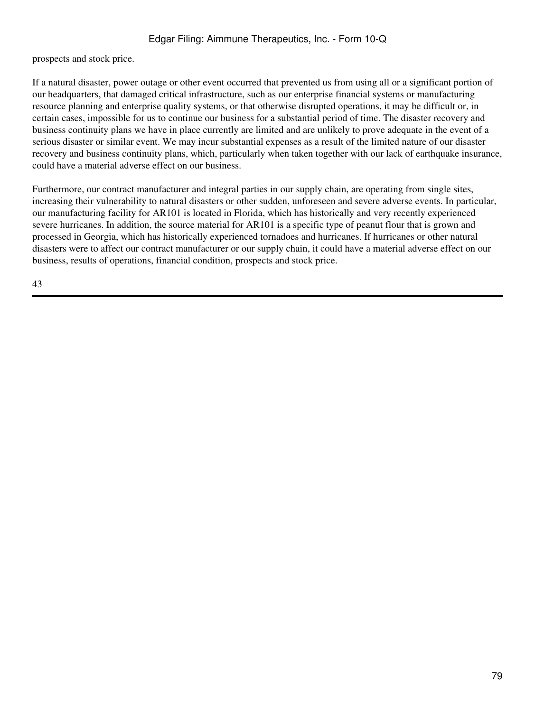prospects and stock price.

If a natural disaster, power outage or other event occurred that prevented us from using all or a significant portion of our headquarters, that damaged critical infrastructure, such as our enterprise financial systems or manufacturing resource planning and enterprise quality systems, or that otherwise disrupted operations, it may be difficult or, in certain cases, impossible for us to continue our business for a substantial period of time. The disaster recovery and business continuity plans we have in place currently are limited and are unlikely to prove adequate in the event of a serious disaster or similar event. We may incur substantial expenses as a result of the limited nature of our disaster recovery and business continuity plans, which, particularly when taken together with our lack of earthquake insurance, could have a material adverse effect on our business.

Furthermore, our contract manufacturer and integral parties in our supply chain, are operating from single sites, increasing their vulnerability to natural disasters or other sudden, unforeseen and severe adverse events. In particular, our manufacturing facility for AR101 is located in Florida, which has historically and very recently experienced severe hurricanes. In addition, the source material for AR101 is a specific type of peanut flour that is grown and processed in Georgia, which has historically experienced tornadoes and hurricanes. If hurricanes or other natural disasters were to affect our contract manufacturer or our supply chain, it could have a material adverse effect on our business, results of operations, financial condition, prospects and stock price.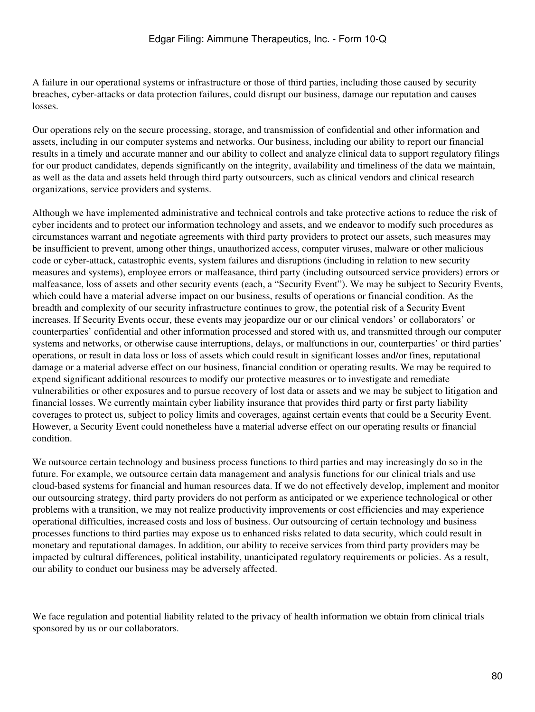A failure in our operational systems or infrastructure or those of third parties, including those caused by security breaches, cyber-attacks or data protection failures, could disrupt our business, damage our reputation and causes losses.

Our operations rely on the secure processing, storage, and transmission of confidential and other information and assets, including in our computer systems and networks. Our business, including our ability to report our financial results in a timely and accurate manner and our ability to collect and analyze clinical data to support regulatory filings for our product candidates, depends significantly on the integrity, availability and timeliness of the data we maintain, as well as the data and assets held through third party outsourcers, such as clinical vendors and clinical research organizations, service providers and systems.

Although we have implemented administrative and technical controls and take protective actions to reduce the risk of cyber incidents and to protect our information technology and assets, and we endeavor to modify such procedures as circumstances warrant and negotiate agreements with third party providers to protect our assets, such measures may be insufficient to prevent, among other things, unauthorized access, computer viruses, malware or other malicious code or cyber-attack, catastrophic events, system failures and disruptions (including in relation to new security measures and systems), employee errors or malfeasance, third party (including outsourced service providers) errors or malfeasance, loss of assets and other security events (each, a "Security Event"). We may be subject to Security Events, which could have a material adverse impact on our business, results of operations or financial condition. As the breadth and complexity of our security infrastructure continues to grow, the potential risk of a Security Event increases. If Security Events occur, these events may jeopardize our or our clinical vendors' or collaborators' or counterparties' confidential and other information processed and stored with us, and transmitted through our computer systems and networks, or otherwise cause interruptions, delays, or malfunctions in our, counterparties' or third parties' operations, or result in data loss or loss of assets which could result in significant losses and/or fines, reputational damage or a material adverse effect on our business, financial condition or operating results. We may be required to expend significant additional resources to modify our protective measures or to investigate and remediate vulnerabilities or other exposures and to pursue recovery of lost data or assets and we may be subject to litigation and financial losses. We currently maintain cyber liability insurance that provides third party or first party liability coverages to protect us, subject to policy limits and coverages, against certain events that could be a Security Event. However, a Security Event could nonetheless have a material adverse effect on our operating results or financial condition.

We outsource certain technology and business process functions to third parties and may increasingly do so in the future. For example, we outsource certain data management and analysis functions for our clinical trials and use cloud-based systems for financial and human resources data. If we do not effectively develop, implement and monitor our outsourcing strategy, third party providers do not perform as anticipated or we experience technological or other problems with a transition, we may not realize productivity improvements or cost efficiencies and may experience operational difficulties, increased costs and loss of business. Our outsourcing of certain technology and business processes functions to third parties may expose us to enhanced risks related to data security, which could result in monetary and reputational damages. In addition, our ability to receive services from third party providers may be impacted by cultural differences, political instability, unanticipated regulatory requirements or policies. As a result, our ability to conduct our business may be adversely affected.

We face regulation and potential liability related to the privacy of health information we obtain from clinical trials sponsored by us or our collaborators.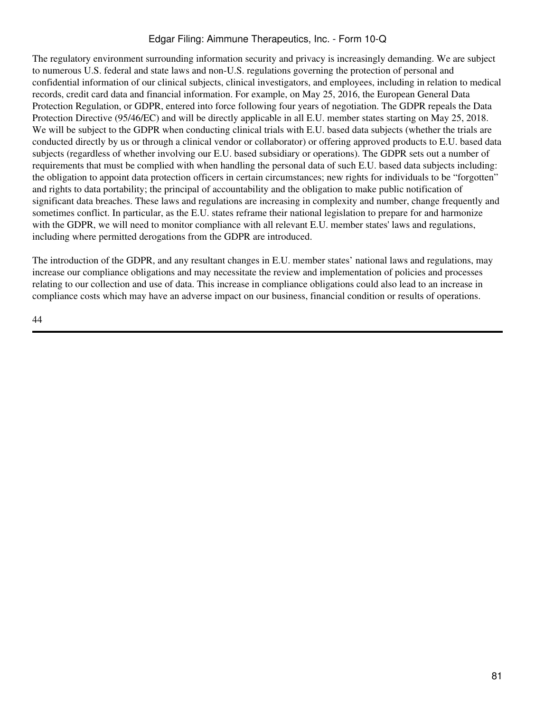The regulatory environment surrounding information security and privacy is increasingly demanding. We are subject to numerous U.S. federal and state laws and non-U.S. regulations governing the protection of personal and confidential information of our clinical subjects, clinical investigators, and employees, including in relation to medical records, credit card data and financial information. For example, on May 25, 2016, the European General Data Protection Regulation, or GDPR, entered into force following four years of negotiation. The GDPR repeals the Data Protection Directive (95/46/EC) and will be directly applicable in all E.U. member states starting on May 25, 2018. We will be subject to the GDPR when conducting clinical trials with E.U. based data subjects (whether the trials are conducted directly by us or through a clinical vendor or collaborator) or offering approved products to E.U. based data subjects (regardless of whether involving our E.U. based subsidiary or operations). The GDPR sets out a number of requirements that must be complied with when handling the personal data of such E.U. based data subjects including: the obligation to appoint data protection officers in certain circumstances; new rights for individuals to be "forgotten" and rights to data portability; the principal of accountability and the obligation to make public notification of significant data breaches. These laws and regulations are increasing in complexity and number, change frequently and sometimes conflict. In particular, as the E.U. states reframe their national legislation to prepare for and harmonize with the GDPR, we will need to monitor compliance with all relevant E.U. member states' laws and regulations, including where permitted derogations from the GDPR are introduced.

The introduction of the GDPR, and any resultant changes in E.U. member states' national laws and regulations, may increase our compliance obligations and may necessitate the review and implementation of policies and processes relating to our collection and use of data. This increase in compliance obligations could also lead to an increase in compliance costs which may have an adverse impact on our business, financial condition or results of operations.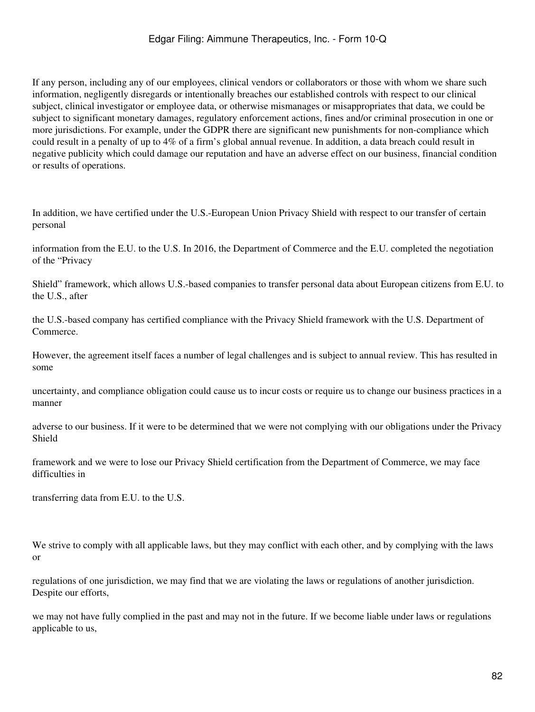If any person, including any of our employees, clinical vendors or collaborators or those with whom we share such information, negligently disregards or intentionally breaches our established controls with respect to our clinical subject, clinical investigator or employee data, or otherwise mismanages or misappropriates that data, we could be subject to significant monetary damages, regulatory enforcement actions, fines and/or criminal prosecution in one or more jurisdictions. For example, under the GDPR there are significant new punishments for non-compliance which could result in a penalty of up to 4% of a firm's global annual revenue. In addition, a data breach could result in negative publicity which could damage our reputation and have an adverse effect on our business, financial condition or results of operations.

In addition, we have certified under the U.S.-European Union Privacy Shield with respect to our transfer of certain personal

information from the E.U. to the U.S. In 2016, the Department of Commerce and the E.U. completed the negotiation of the "Privacy

Shield" framework, which allows U.S.-based companies to transfer personal data about European citizens from E.U. to the U.S., after

the U.S.-based company has certified compliance with the Privacy Shield framework with the U.S. Department of Commerce.

However, the agreement itself faces a number of legal challenges and is subject to annual review. This has resulted in some

uncertainty, and compliance obligation could cause us to incur costs or require us to change our business practices in a manner

adverse to our business. If it were to be determined that we were not complying with our obligations under the Privacy Shield

framework and we were to lose our Privacy Shield certification from the Department of Commerce, we may face difficulties in

transferring data from E.U. to the U.S.

We strive to comply with all applicable laws, but they may conflict with each other, and by complying with the laws or

regulations of one jurisdiction, we may find that we are violating the laws or regulations of another jurisdiction. Despite our efforts,

we may not have fully complied in the past and may not in the future. If we become liable under laws or regulations applicable to us,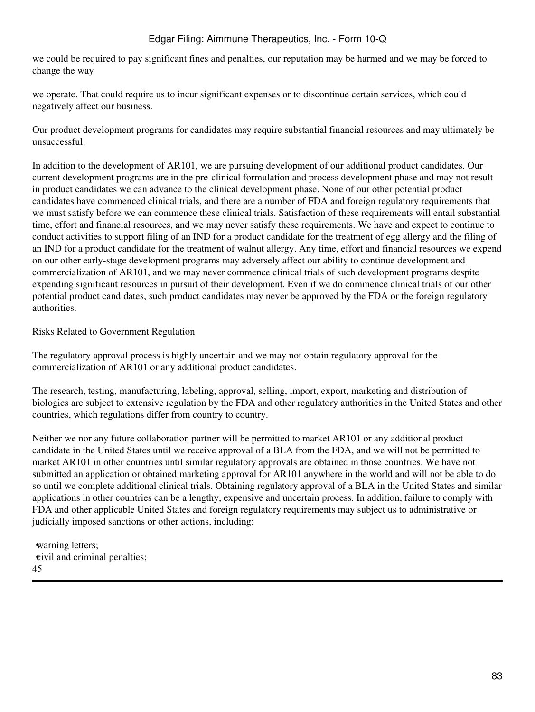we could be required to pay significant fines and penalties, our reputation may be harmed and we may be forced to change the way

we operate. That could require us to incur significant expenses or to discontinue certain services, which could negatively affect our business.

Our product development programs for candidates may require substantial financial resources and may ultimately be unsuccessful.

In addition to the development of AR101, we are pursuing development of our additional product candidates. Our current development programs are in the pre-clinical formulation and process development phase and may not result in product candidates we can advance to the clinical development phase. None of our other potential product candidates have commenced clinical trials, and there are a number of FDA and foreign regulatory requirements that we must satisfy before we can commence these clinical trials. Satisfaction of these requirements will entail substantial time, effort and financial resources, and we may never satisfy these requirements. We have and expect to continue to conduct activities to support filing of an IND for a product candidate for the treatment of egg allergy and the filing of an IND for a product candidate for the treatment of walnut allergy. Any time, effort and financial resources we expend on our other early-stage development programs may adversely affect our ability to continue development and commercialization of AR101, and we may never commence clinical trials of such development programs despite expending significant resources in pursuit of their development. Even if we do commence clinical trials of our other potential product candidates, such product candidates may never be approved by the FDA or the foreign regulatory authorities.

Risks Related to Government Regulation

The regulatory approval process is highly uncertain and we may not obtain regulatory approval for the commercialization of AR101 or any additional product candidates.

The research, testing, manufacturing, labeling, approval, selling, import, export, marketing and distribution of biologics are subject to extensive regulation by the FDA and other regulatory authorities in the United States and other countries, which regulations differ from country to country.

Neither we nor any future collaboration partner will be permitted to market AR101 or any additional product candidate in the United States until we receive approval of a BLA from the FDA, and we will not be permitted to market AR101 in other countries until similar regulatory approvals are obtained in those countries. We have not submitted an application or obtained marketing approval for AR101 anywhere in the world and will not be able to do so until we complete additional clinical trials. Obtaining regulatory approval of a BLA in the United States and similar applications in other countries can be a lengthy, expensive and uncertain process. In addition, failure to comply with FDA and other applicable United States and foreign regulatory requirements may subject us to administrative or judicially imposed sanctions or other actions, including:

•warning letters; •civil and criminal penalties; 45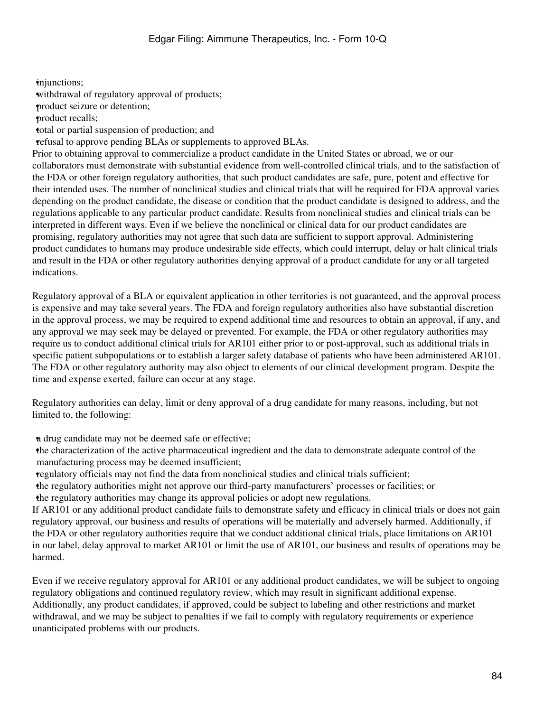•injunctions; withdrawal of regulatory approval of products; •product seizure or detention; •product recalls; •total or partial suspension of production; and •refusal to approve pending BLAs or supplements to approved BLAs. Prior to obtaining approval to commercialize a product candidate in the United States or abroad, we or our collaborators must demonstrate with substantial evidence from well-controlled clinical trials, and to the satisfaction of the FDA or other foreign regulatory authorities, that such product candidates are safe, pure, potent and effective for their intended uses. The number of nonclinical studies and clinical trials that will be required for FDA approval varies depending on the product candidate, the disease or condition that the product candidate is designed to address, and the regulations applicable to any particular product candidate. Results from nonclinical studies and clinical trials can be interpreted in different ways. Even if we believe the nonclinical or clinical data for our product candidates are promising, regulatory authorities may not agree that such data are sufficient to support approval. Administering product candidates to humans may produce undesirable side effects, which could interrupt, delay or halt clinical trials and result in the FDA or other regulatory authorities denying approval of a product candidate for any or all targeted indications.

Regulatory approval of a BLA or equivalent application in other territories is not guaranteed, and the approval process is expensive and may take several years. The FDA and foreign regulatory authorities also have substantial discretion in the approval process, we may be required to expend additional time and resources to obtain an approval, if any, and any approval we may seek may be delayed or prevented. For example, the FDA or other regulatory authorities may require us to conduct additional clinical trials for AR101 either prior to or post-approval, such as additional trials in specific patient subpopulations or to establish a larger safety database of patients who have been administered AR101. The FDA or other regulatory authority may also object to elements of our clinical development program. Despite the time and expense exerted, failure can occur at any stage.

Regulatory authorities can delay, limit or deny approval of a drug candidate for many reasons, including, but not limited to, the following:

•a drug candidate may not be deemed safe or effective;

•the characterization of the active pharmaceutical ingredient and the data to demonstrate adequate control of the manufacturing process may be deemed insufficient;

•regulatory officials may not find the data from nonclinical studies and clinical trials sufficient;

•the regulatory authorities might not approve our third-party manufacturers' processes or facilities; or •the regulatory authorities may change its approval policies or adopt new regulations.

If AR101 or any additional product candidate fails to demonstrate safety and efficacy in clinical trials or does not gain regulatory approval, our business and results of operations will be materially and adversely harmed. Additionally, if the FDA or other regulatory authorities require that we conduct additional clinical trials, place limitations on AR101 in our label, delay approval to market AR101 or limit the use of AR101, our business and results of operations may be harmed.

Even if we receive regulatory approval for AR101 or any additional product candidates, we will be subject to ongoing regulatory obligations and continued regulatory review, which may result in significant additional expense. Additionally, any product candidates, if approved, could be subject to labeling and other restrictions and market withdrawal, and we may be subject to penalties if we fail to comply with regulatory requirements or experience unanticipated problems with our products.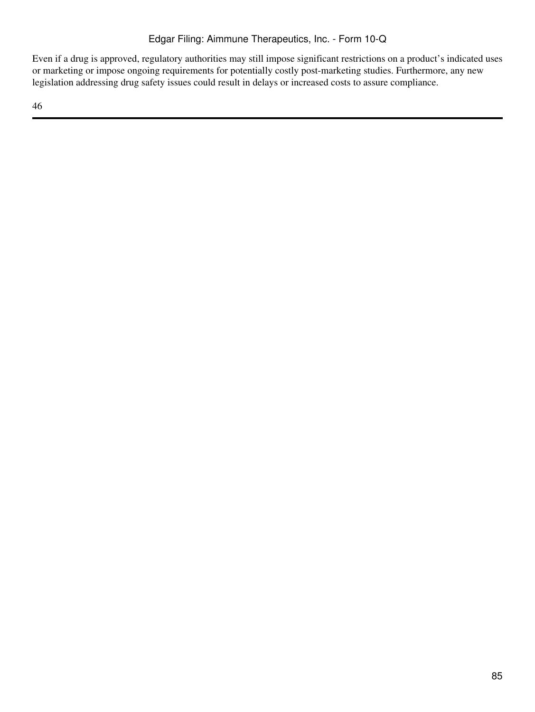Even if a drug is approved, regulatory authorities may still impose significant restrictions on a product's indicated uses or marketing or impose ongoing requirements for potentially costly post-marketing studies. Furthermore, any new legislation addressing drug safety issues could result in delays or increased costs to assure compliance.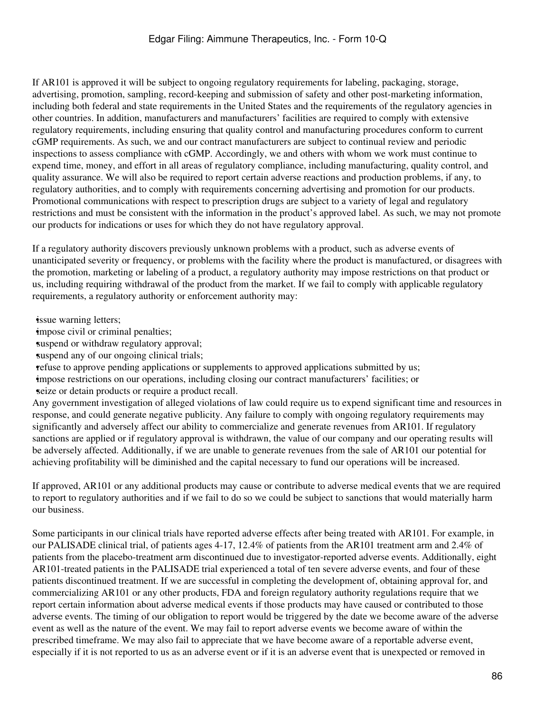If AR101 is approved it will be subject to ongoing regulatory requirements for labeling, packaging, storage, advertising, promotion, sampling, record-keeping and submission of safety and other post-marketing information, including both federal and state requirements in the United States and the requirements of the regulatory agencies in other countries. In addition, manufacturers and manufacturers' facilities are required to comply with extensive regulatory requirements, including ensuring that quality control and manufacturing procedures conform to current cGMP requirements. As such, we and our contract manufacturers are subject to continual review and periodic inspections to assess compliance with cGMP. Accordingly, we and others with whom we work must continue to expend time, money, and effort in all areas of regulatory compliance, including manufacturing, quality control, and quality assurance. We will also be required to report certain adverse reactions and production problems, if any, to regulatory authorities, and to comply with requirements concerning advertising and promotion for our products. Promotional communications with respect to prescription drugs are subject to a variety of legal and regulatory restrictions and must be consistent with the information in the product's approved label. As such, we may not promote our products for indications or uses for which they do not have regulatory approval.

If a regulatory authority discovers previously unknown problems with a product, such as adverse events of unanticipated severity or frequency, or problems with the facility where the product is manufactured, or disagrees with the promotion, marketing or labeling of a product, a regulatory authority may impose restrictions on that product or us, including requiring withdrawal of the product from the market. If we fail to comply with applicable regulatory requirements, a regulatory authority or enforcement authority may:

**issue** warning letters;

impose civil or criminal penalties;

suspend or withdraw regulatory approval;

suspend any of our ongoing clinical trials;

•refuse to approve pending applications or supplements to approved applications submitted by us; •impose restrictions on our operations, including closing our contract manufacturers' facilities; or seize or detain products or require a product recall.

Any government investigation of alleged violations of law could require us to expend significant time and resources in response, and could generate negative publicity. Any failure to comply with ongoing regulatory requirements may significantly and adversely affect our ability to commercialize and generate revenues from AR101. If regulatory sanctions are applied or if regulatory approval is withdrawn, the value of our company and our operating results will be adversely affected. Additionally, if we are unable to generate revenues from the sale of AR101 our potential for achieving profitability will be diminished and the capital necessary to fund our operations will be increased.

If approved, AR101 or any additional products may cause or contribute to adverse medical events that we are required to report to regulatory authorities and if we fail to do so we could be subject to sanctions that would materially harm our business.

Some participants in our clinical trials have reported adverse effects after being treated with AR101. For example, in our PALISADE clinical trial, of patients ages 4-17, 12.4% of patients from the AR101 treatment arm and 2.4% of patients from the placebo-treatment arm discontinued due to investigator-reported adverse events. Additionally, eight AR101-treated patients in the PALISADE trial experienced a total of ten severe adverse events, and four of these patients discontinued treatment. If we are successful in completing the development of, obtaining approval for, and commercializing AR101 or any other products, FDA and foreign regulatory authority regulations require that we report certain information about adverse medical events if those products may have caused or contributed to those adverse events. The timing of our obligation to report would be triggered by the date we become aware of the adverse event as well as the nature of the event. We may fail to report adverse events we become aware of within the prescribed timeframe. We may also fail to appreciate that we have become aware of a reportable adverse event, especially if it is not reported to us as an adverse event or if it is an adverse event that is unexpected or removed in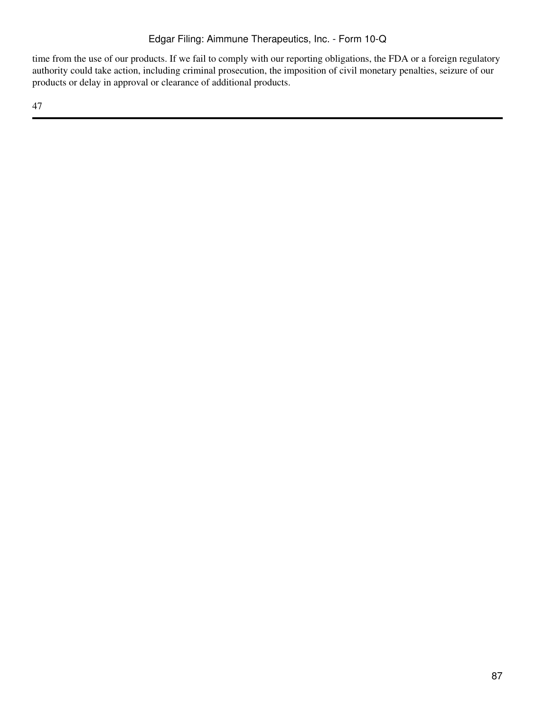time from the use of our products. If we fail to comply with our reporting obligations, the FDA or a foreign regulatory authority could take action, including criminal prosecution, the imposition of civil monetary penalties, seizure of our products or delay in approval or clearance of additional products.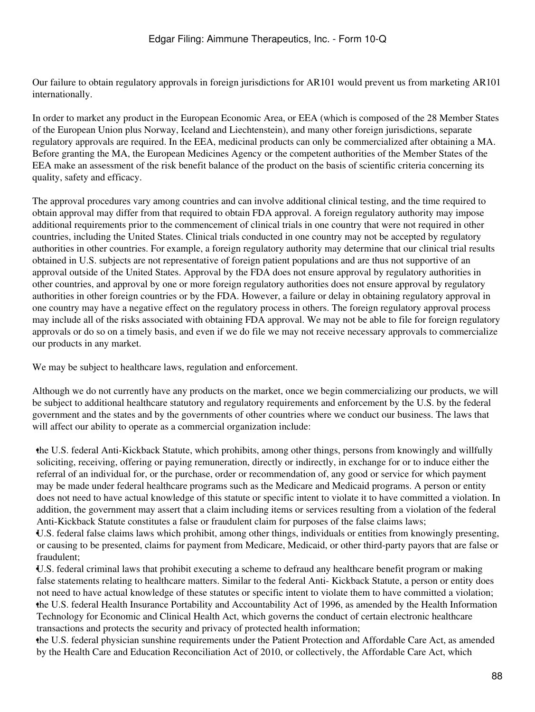Our failure to obtain regulatory approvals in foreign jurisdictions for AR101 would prevent us from marketing AR101 internationally.

In order to market any product in the European Economic Area, or EEA (which is composed of the 28 Member States of the European Union plus Norway, Iceland and Liechtenstein), and many other foreign jurisdictions, separate regulatory approvals are required. In the EEA, medicinal products can only be commercialized after obtaining a MA. Before granting the MA, the European Medicines Agency or the competent authorities of the Member States of the EEA make an assessment of the risk benefit balance of the product on the basis of scientific criteria concerning its quality, safety and efficacy.

The approval procedures vary among countries and can involve additional clinical testing, and the time required to obtain approval may differ from that required to obtain FDA approval. A foreign regulatory authority may impose additional requirements prior to the commencement of clinical trials in one country that were not required in other countries, including the United States. Clinical trials conducted in one country may not be accepted by regulatory authorities in other countries. For example, a foreign regulatory authority may determine that our clinical trial results obtained in U.S. subjects are not representative of foreign patient populations and are thus not supportive of an approval outside of the United States. Approval by the FDA does not ensure approval by regulatory authorities in other countries, and approval by one or more foreign regulatory authorities does not ensure approval by regulatory authorities in other foreign countries or by the FDA. However, a failure or delay in obtaining regulatory approval in one country may have a negative effect on the regulatory process in others. The foreign regulatory approval process may include all of the risks associated with obtaining FDA approval. We may not be able to file for foreign regulatory approvals or do so on a timely basis, and even if we do file we may not receive necessary approvals to commercialize our products in any market.

We may be subject to healthcare laws, regulation and enforcement.

Although we do not currently have any products on the market, once we begin commercializing our products, we will be subject to additional healthcare statutory and regulatory requirements and enforcement by the U.S. by the federal government and the states and by the governments of other countries where we conduct our business. The laws that will affect our ability to operate as a commercial organization include:

•the U.S. federal Anti-Kickback Statute, which prohibits, among other things, persons from knowingly and willfully soliciting, receiving, offering or paying remuneration, directly or indirectly, in exchange for or to induce either the referral of an individual for, or the purchase, order or recommendation of, any good or service for which payment may be made under federal healthcare programs such as the Medicare and Medicaid programs. A person or entity does not need to have actual knowledge of this statute or specific intent to violate it to have committed a violation. In addition, the government may assert that a claim including items or services resulting from a violation of the federal Anti-Kickback Statute constitutes a false or fraudulent claim for purposes of the false claims laws;

•U.S. federal false claims laws which prohibit, among other things, individuals or entities from knowingly presenting, or causing to be presented, claims for payment from Medicare, Medicaid, or other third-party payors that are false or fraudulent;

•U.S. federal criminal laws that prohibit executing a scheme to defraud any healthcare benefit program or making false statements relating to healthcare matters. Similar to the federal Anti- Kickback Statute, a person or entity does not need to have actual knowledge of these statutes or specific intent to violate them to have committed a violation; •the U.S. federal Health Insurance Portability and Accountability Act of 1996, as amended by the Health Information Technology for Economic and Clinical Health Act, which governs the conduct of certain electronic healthcare transactions and protects the security and privacy of protected health information;

•the U.S. federal physician sunshine requirements under the Patient Protection and Affordable Care Act, as amended by the Health Care and Education Reconciliation Act of 2010, or collectively, the Affordable Care Act, which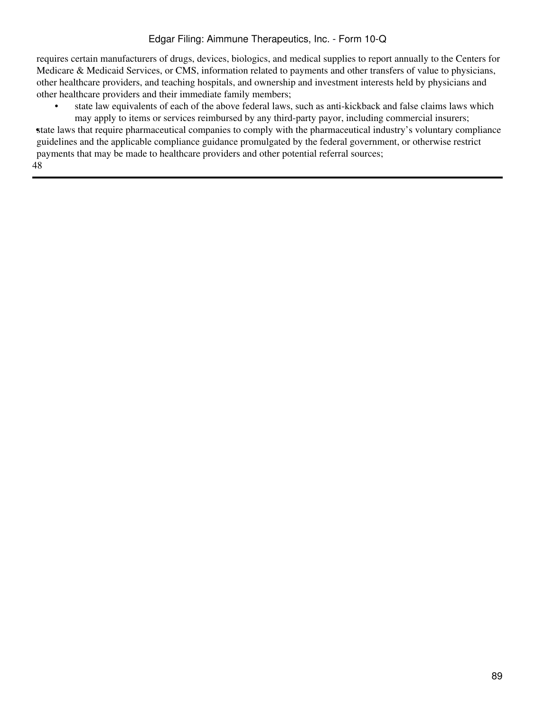requires certain manufacturers of drugs, devices, biologics, and medical supplies to report annually to the Centers for Medicare & Medicaid Services, or CMS, information related to payments and other transfers of value to physicians, other healthcare providers, and teaching hospitals, and ownership and investment interests held by physicians and other healthcare providers and their immediate family members;

state law equivalents of each of the above federal laws, such as anti-kickback and false claims laws which may apply to items or services reimbursed by any third-party payor, including commercial insurers;

•state laws that require pharmaceutical companies to comply with the pharmaceutical industry's voluntary compliance guidelines and the applicable compliance guidance promulgated by the federal government, or otherwise restrict payments that may be made to healthcare providers and other potential referral sources; 48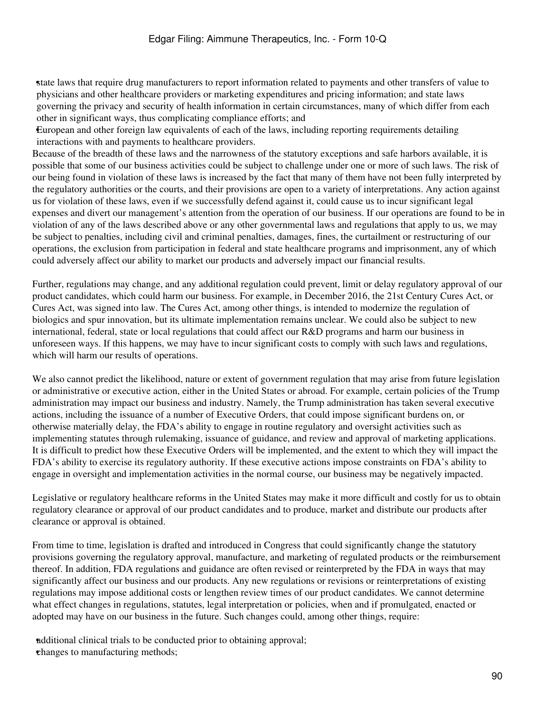•state laws that require drug manufacturers to report information related to payments and other transfers of value to physicians and other healthcare providers or marketing expenditures and pricing information; and state laws governing the privacy and security of health information in certain circumstances, many of which differ from each other in significant ways, thus complicating compliance efforts; and

•European and other foreign law equivalents of each of the laws, including reporting requirements detailing interactions with and payments to healthcare providers.

Because of the breadth of these laws and the narrowness of the statutory exceptions and safe harbors available, it is possible that some of our business activities could be subject to challenge under one or more of such laws. The risk of our being found in violation of these laws is increased by the fact that many of them have not been fully interpreted by the regulatory authorities or the courts, and their provisions are open to a variety of interpretations. Any action against us for violation of these laws, even if we successfully defend against it, could cause us to incur significant legal expenses and divert our management's attention from the operation of our business. If our operations are found to be in violation of any of the laws described above or any other governmental laws and regulations that apply to us, we may be subject to penalties, including civil and criminal penalties, damages, fines, the curtailment or restructuring of our operations, the exclusion from participation in federal and state healthcare programs and imprisonment, any of which could adversely affect our ability to market our products and adversely impact our financial results.

Further, regulations may change, and any additional regulation could prevent, limit or delay regulatory approval of our product candidates, which could harm our business. For example, in December 2016, the 21st Century Cures Act, or Cures Act, was signed into law. The Cures Act, among other things, is intended to modernize the regulation of biologics and spur innovation, but its ultimate implementation remains unclear. We could also be subject to new international, federal, state or local regulations that could affect our R&D programs and harm our business in unforeseen ways. If this happens, we may have to incur significant costs to comply with such laws and regulations, which will harm our results of operations.

We also cannot predict the likelihood, nature or extent of government regulation that may arise from future legislation or administrative or executive action, either in the United States or abroad. For example, certain policies of the Trump administration may impact our business and industry. Namely, the Trump administration has taken several executive actions, including the issuance of a number of Executive Orders, that could impose significant burdens on, or otherwise materially delay, the FDA's ability to engage in routine regulatory and oversight activities such as implementing statutes through rulemaking, issuance of guidance, and review and approval of marketing applications. It is difficult to predict how these Executive Orders will be implemented, and the extent to which they will impact the FDA's ability to exercise its regulatory authority. If these executive actions impose constraints on FDA's ability to engage in oversight and implementation activities in the normal course, our business may be negatively impacted.

Legislative or regulatory healthcare reforms in the United States may make it more difficult and costly for us to obtain regulatory clearance or approval of our product candidates and to produce, market and distribute our products after clearance or approval is obtained.

From time to time, legislation is drafted and introduced in Congress that could significantly change the statutory provisions governing the regulatory approval, manufacture, and marketing of regulated products or the reimbursement thereof. In addition, FDA regulations and guidance are often revised or reinterpreted by the FDA in ways that may significantly affect our business and our products. Any new regulations or revisions or reinterpretations of existing regulations may impose additional costs or lengthen review times of our product candidates. We cannot determine what effect changes in regulations, statutes, legal interpretation or policies, when and if promulgated, enacted or adopted may have on our business in the future. Such changes could, among other things, require:

•additional clinical trials to be conducted prior to obtaining approval; •changes to manufacturing methods;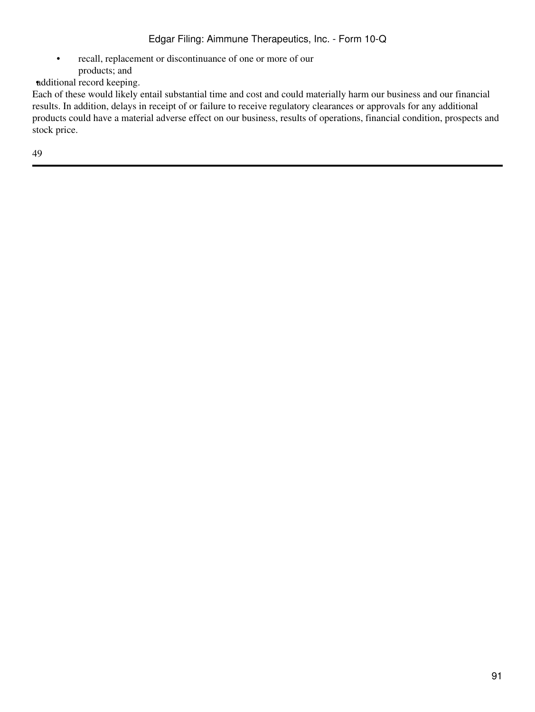• recall, replacement or discontinuance of one or more of our products; and

•additional record keeping.

Each of these would likely entail substantial time and cost and could materially harm our business and our financial results. In addition, delays in receipt of or failure to receive regulatory clearances or approvals for any additional products could have a material adverse effect on our business, results of operations, financial condition, prospects and stock price.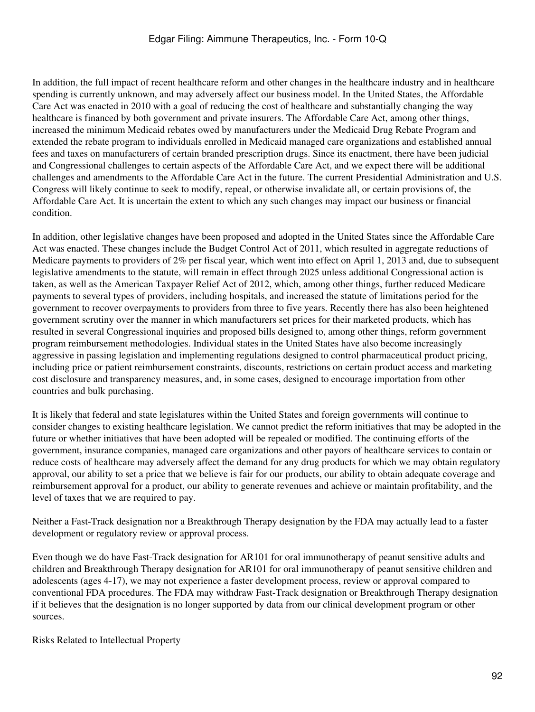In addition, the full impact of recent healthcare reform and other changes in the healthcare industry and in healthcare spending is currently unknown, and may adversely affect our business model. In the United States, the Affordable Care Act was enacted in 2010 with a goal of reducing the cost of healthcare and substantially changing the way healthcare is financed by both government and private insurers. The Affordable Care Act, among other things, increased the minimum Medicaid rebates owed by manufacturers under the Medicaid Drug Rebate Program and extended the rebate program to individuals enrolled in Medicaid managed care organizations and established annual fees and taxes on manufacturers of certain branded prescription drugs. Since its enactment, there have been judicial and Congressional challenges to certain aspects of the Affordable Care Act, and we expect there will be additional challenges and amendments to the Affordable Care Act in the future. The current Presidential Administration and U.S. Congress will likely continue to seek to modify, repeal, or otherwise invalidate all, or certain provisions of, the Affordable Care Act. It is uncertain the extent to which any such changes may impact our business or financial condition.

In addition, other legislative changes have been proposed and adopted in the United States since the Affordable Care Act was enacted. These changes include the Budget Control Act of 2011, which resulted in aggregate reductions of Medicare payments to providers of 2% per fiscal year, which went into effect on April 1, 2013 and, due to subsequent legislative amendments to the statute, will remain in effect through 2025 unless additional Congressional action is taken, as well as the American Taxpayer Relief Act of 2012, which, among other things, further reduced Medicare payments to several types of providers, including hospitals, and increased the statute of limitations period for the government to recover overpayments to providers from three to five years. Recently there has also been heightened government scrutiny over the manner in which manufacturers set prices for their marketed products, which has resulted in several Congressional inquiries and proposed bills designed to, among other things, reform government program reimbursement methodologies. Individual states in the United States have also become increasingly aggressive in passing legislation and implementing regulations designed to control pharmaceutical product pricing, including price or patient reimbursement constraints, discounts, restrictions on certain product access and marketing cost disclosure and transparency measures, and, in some cases, designed to encourage importation from other countries and bulk purchasing.

It is likely that federal and state legislatures within the United States and foreign governments will continue to consider changes to existing healthcare legislation. We cannot predict the reform initiatives that may be adopted in the future or whether initiatives that have been adopted will be repealed or modified. The continuing efforts of the government, insurance companies, managed care organizations and other payors of healthcare services to contain or reduce costs of healthcare may adversely affect the demand for any drug products for which we may obtain regulatory approval, our ability to set a price that we believe is fair for our products, our ability to obtain adequate coverage and reimbursement approval for a product, our ability to generate revenues and achieve or maintain profitability, and the level of taxes that we are required to pay.

Neither a Fast-Track designation nor a Breakthrough Therapy designation by the FDA may actually lead to a faster development or regulatory review or approval process.

Even though we do have Fast-Track designation for AR101 for oral immunotherapy of peanut sensitive adults and children and Breakthrough Therapy designation for AR101 for oral immunotherapy of peanut sensitive children and adolescents (ages 4-17), we may not experience a faster development process, review or approval compared to conventional FDA procedures. The FDA may withdraw Fast-Track designation or Breakthrough Therapy designation if it believes that the designation is no longer supported by data from our clinical development program or other sources.

Risks Related to Intellectual Property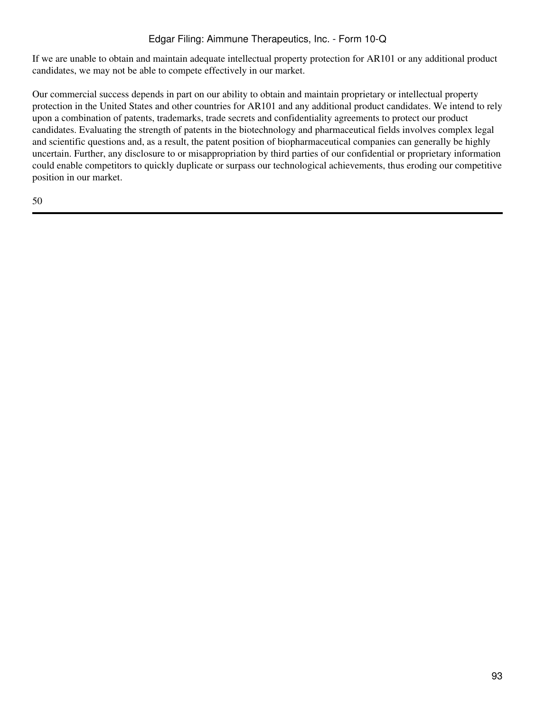If we are unable to obtain and maintain adequate intellectual property protection for AR101 or any additional product candidates, we may not be able to compete effectively in our market.

Our commercial success depends in part on our ability to obtain and maintain proprietary or intellectual property protection in the United States and other countries for AR101 and any additional product candidates. We intend to rely upon a combination of patents, trademarks, trade secrets and confidentiality agreements to protect our product candidates. Evaluating the strength of patents in the biotechnology and pharmaceutical fields involves complex legal and scientific questions and, as a result, the patent position of biopharmaceutical companies can generally be highly uncertain. Further, any disclosure to or misappropriation by third parties of our confidential or proprietary information could enable competitors to quickly duplicate or surpass our technological achievements, thus eroding our competitive position in our market.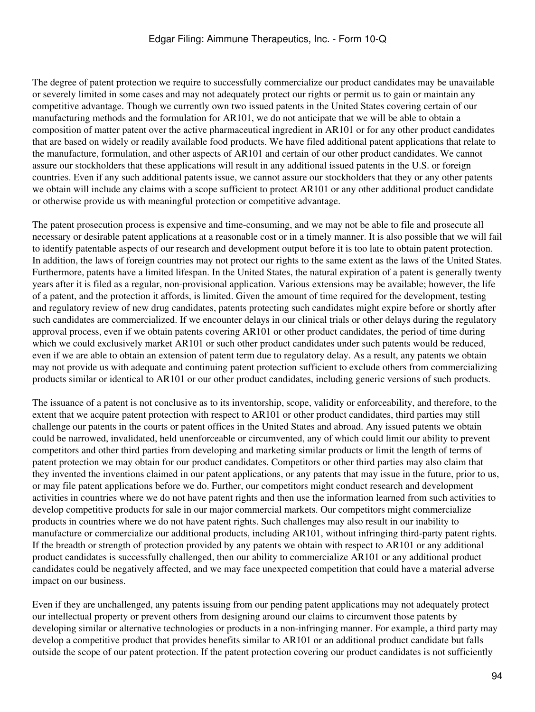The degree of patent protection we require to successfully commercialize our product candidates may be unavailable or severely limited in some cases and may not adequately protect our rights or permit us to gain or maintain any competitive advantage. Though we currently own two issued patents in the United States covering certain of our manufacturing methods and the formulation for AR101, we do not anticipate that we will be able to obtain a composition of matter patent over the active pharmaceutical ingredient in AR101 or for any other product candidates that are based on widely or readily available food products. We have filed additional patent applications that relate to the manufacture, formulation, and other aspects of AR101 and certain of our other product candidates. We cannot assure our stockholders that these applications will result in any additional issued patents in the U.S. or foreign countries. Even if any such additional patents issue, we cannot assure our stockholders that they or any other patents we obtain will include any claims with a scope sufficient to protect AR101 or any other additional product candidate or otherwise provide us with meaningful protection or competitive advantage.

The patent prosecution process is expensive and time-consuming, and we may not be able to file and prosecute all necessary or desirable patent applications at a reasonable cost or in a timely manner. It is also possible that we will fail to identify patentable aspects of our research and development output before it is too late to obtain patent protection. In addition, the laws of foreign countries may not protect our rights to the same extent as the laws of the United States. Furthermore, patents have a limited lifespan. In the United States, the natural expiration of a patent is generally twenty years after it is filed as a regular, non-provisional application. Various extensions may be available; however, the life of a patent, and the protection it affords, is limited. Given the amount of time required for the development, testing and regulatory review of new drug candidates, patents protecting such candidates might expire before or shortly after such candidates are commercialized. If we encounter delays in our clinical trials or other delays during the regulatory approval process, even if we obtain patents covering AR101 or other product candidates, the period of time during which we could exclusively market AR101 or such other product candidates under such patents would be reduced, even if we are able to obtain an extension of patent term due to regulatory delay. As a result, any patents we obtain may not provide us with adequate and continuing patent protection sufficient to exclude others from commercializing products similar or identical to AR101 or our other product candidates, including generic versions of such products.

The issuance of a patent is not conclusive as to its inventorship, scope, validity or enforceability, and therefore, to the extent that we acquire patent protection with respect to AR101 or other product candidates, third parties may still challenge our patents in the courts or patent offices in the United States and abroad. Any issued patents we obtain could be narrowed, invalidated, held unenforceable or circumvented, any of which could limit our ability to prevent competitors and other third parties from developing and marketing similar products or limit the length of terms of patent protection we may obtain for our product candidates. Competitors or other third parties may also claim that they invented the inventions claimed in our patent applications, or any patents that may issue in the future, prior to us, or may file patent applications before we do. Further, our competitors might conduct research and development activities in countries where we do not have patent rights and then use the information learned from such activities to develop competitive products for sale in our major commercial markets. Our competitors might commercialize products in countries where we do not have patent rights. Such challenges may also result in our inability to manufacture or commercialize our additional products, including AR101, without infringing third-party patent rights. If the breadth or strength of protection provided by any patents we obtain with respect to AR101 or any additional product candidates is successfully challenged, then our ability to commercialize AR101 or any additional product candidates could be negatively affected, and we may face unexpected competition that could have a material adverse impact on our business.

Even if they are unchallenged, any patents issuing from our pending patent applications may not adequately protect our intellectual property or prevent others from designing around our claims to circumvent those patents by developing similar or alternative technologies or products in a non-infringing manner. For example, a third party may develop a competitive product that provides benefits similar to AR101 or an additional product candidate but falls outside the scope of our patent protection. If the patent protection covering our product candidates is not sufficiently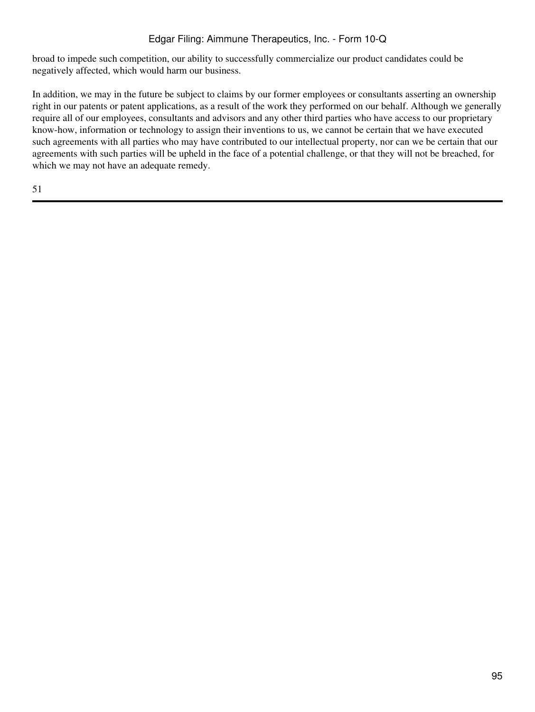broad to impede such competition, our ability to successfully commercialize our product candidates could be negatively affected, which would harm our business.

In addition, we may in the future be subject to claims by our former employees or consultants asserting an ownership right in our patents or patent applications, as a result of the work they performed on our behalf. Although we generally require all of our employees, consultants and advisors and any other third parties who have access to our proprietary know-how, information or technology to assign their inventions to us, we cannot be certain that we have executed such agreements with all parties who may have contributed to our intellectual property, nor can we be certain that our agreements with such parties will be upheld in the face of a potential challenge, or that they will not be breached, for which we may not have an adequate remedy.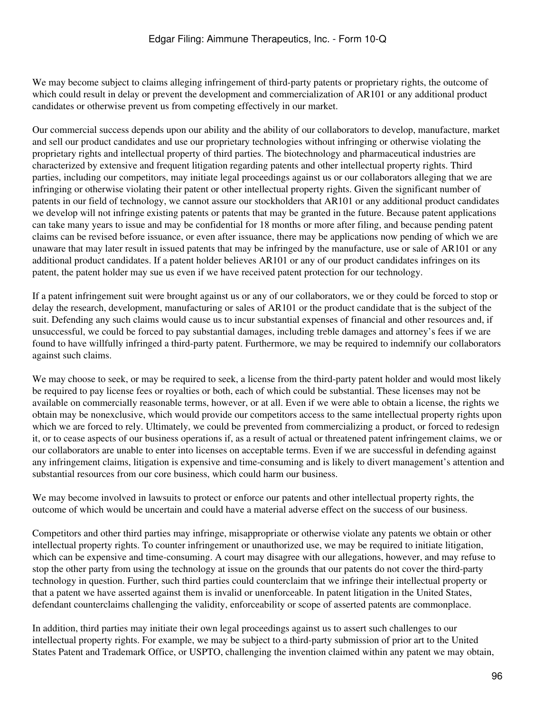We may become subject to claims alleging infringement of third-party patents or proprietary rights, the outcome of which could result in delay or prevent the development and commercialization of AR101 or any additional product candidates or otherwise prevent us from competing effectively in our market.

Our commercial success depends upon our ability and the ability of our collaborators to develop, manufacture, market and sell our product candidates and use our proprietary technologies without infringing or otherwise violating the proprietary rights and intellectual property of third parties. The biotechnology and pharmaceutical industries are characterized by extensive and frequent litigation regarding patents and other intellectual property rights. Third parties, including our competitors, may initiate legal proceedings against us or our collaborators alleging that we are infringing or otherwise violating their patent or other intellectual property rights. Given the significant number of patents in our field of technology, we cannot assure our stockholders that AR101 or any additional product candidates we develop will not infringe existing patents or patents that may be granted in the future. Because patent applications can take many years to issue and may be confidential for 18 months or more after filing, and because pending patent claims can be revised before issuance, or even after issuance, there may be applications now pending of which we are unaware that may later result in issued patents that may be infringed by the manufacture, use or sale of AR101 or any additional product candidates. If a patent holder believes AR101 or any of our product candidates infringes on its patent, the patent holder may sue us even if we have received patent protection for our technology.

If a patent infringement suit were brought against us or any of our collaborators, we or they could be forced to stop or delay the research, development, manufacturing or sales of AR101 or the product candidate that is the subject of the suit. Defending any such claims would cause us to incur substantial expenses of financial and other resources and, if unsuccessful, we could be forced to pay substantial damages, including treble damages and attorney's fees if we are found to have willfully infringed a third-party patent. Furthermore, we may be required to indemnify our collaborators against such claims.

We may choose to seek, or may be required to seek, a license from the third-party patent holder and would most likely be required to pay license fees or royalties or both, each of which could be substantial. These licenses may not be available on commercially reasonable terms, however, or at all. Even if we were able to obtain a license, the rights we obtain may be nonexclusive, which would provide our competitors access to the same intellectual property rights upon which we are forced to rely. Ultimately, we could be prevented from commercializing a product, or forced to redesign it, or to cease aspects of our business operations if, as a result of actual or threatened patent infringement claims, we or our collaborators are unable to enter into licenses on acceptable terms. Even if we are successful in defending against any infringement claims, litigation is expensive and time-consuming and is likely to divert management's attention and substantial resources from our core business, which could harm our business.

We may become involved in lawsuits to protect or enforce our patents and other intellectual property rights, the outcome of which would be uncertain and could have a material adverse effect on the success of our business.

Competitors and other third parties may infringe, misappropriate or otherwise violate any patents we obtain or other intellectual property rights. To counter infringement or unauthorized use, we may be required to initiate litigation, which can be expensive and time-consuming. A court may disagree with our allegations, however, and may refuse to stop the other party from using the technology at issue on the grounds that our patents do not cover the third-party technology in question. Further, such third parties could counterclaim that we infringe their intellectual property or that a patent we have asserted against them is invalid or unenforceable. In patent litigation in the United States, defendant counterclaims challenging the validity, enforceability or scope of asserted patents are commonplace.

In addition, third parties may initiate their own legal proceedings against us to assert such challenges to our intellectual property rights. For example, we may be subject to a third-party submission of prior art to the United States Patent and Trademark Office, or USPTO, challenging the invention claimed within any patent we may obtain,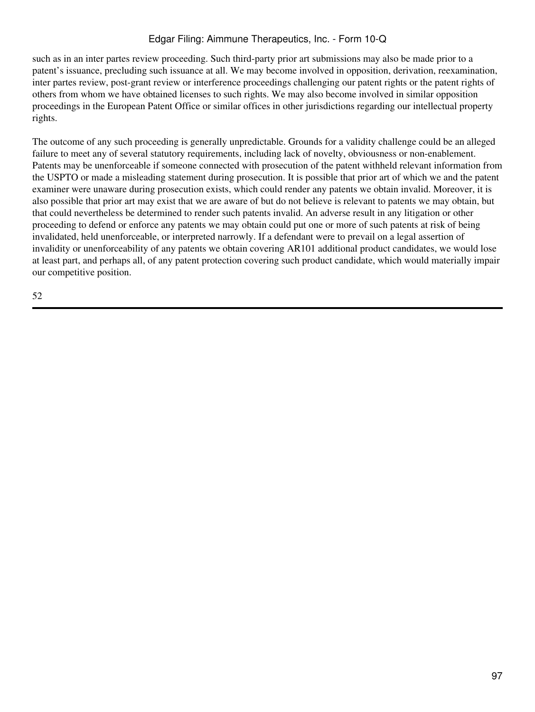such as in an inter partes review proceeding. Such third-party prior art submissions may also be made prior to a patent's issuance, precluding such issuance at all. We may become involved in opposition, derivation, reexamination, inter partes review, post-grant review or interference proceedings challenging our patent rights or the patent rights of others from whom we have obtained licenses to such rights. We may also become involved in similar opposition proceedings in the European Patent Office or similar offices in other jurisdictions regarding our intellectual property rights.

The outcome of any such proceeding is generally unpredictable. Grounds for a validity challenge could be an alleged failure to meet any of several statutory requirements, including lack of novelty, obviousness or non-enablement. Patents may be unenforceable if someone connected with prosecution of the patent withheld relevant information from the USPTO or made a misleading statement during prosecution. It is possible that prior art of which we and the patent examiner were unaware during prosecution exists, which could render any patents we obtain invalid. Moreover, it is also possible that prior art may exist that we are aware of but do not believe is relevant to patents we may obtain, but that could nevertheless be determined to render such patents invalid. An adverse result in any litigation or other proceeding to defend or enforce any patents we may obtain could put one or more of such patents at risk of being invalidated, held unenforceable, or interpreted narrowly. If a defendant were to prevail on a legal assertion of invalidity or unenforceability of any patents we obtain covering AR101 additional product candidates, we would lose at least part, and perhaps all, of any patent protection covering such product candidate, which would materially impair our competitive position.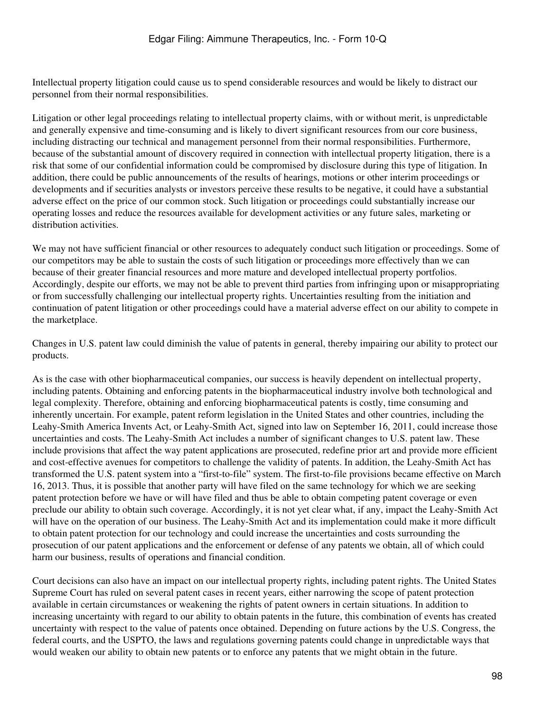Intellectual property litigation could cause us to spend considerable resources and would be likely to distract our personnel from their normal responsibilities.

Litigation or other legal proceedings relating to intellectual property claims, with or without merit, is unpredictable and generally expensive and time-consuming and is likely to divert significant resources from our core business, including distracting our technical and management personnel from their normal responsibilities. Furthermore, because of the substantial amount of discovery required in connection with intellectual property litigation, there is a risk that some of our confidential information could be compromised by disclosure during this type of litigation. In addition, there could be public announcements of the results of hearings, motions or other interim proceedings or developments and if securities analysts or investors perceive these results to be negative, it could have a substantial adverse effect on the price of our common stock. Such litigation or proceedings could substantially increase our operating losses and reduce the resources available for development activities or any future sales, marketing or distribution activities.

We may not have sufficient financial or other resources to adequately conduct such litigation or proceedings. Some of our competitors may be able to sustain the costs of such litigation or proceedings more effectively than we can because of their greater financial resources and more mature and developed intellectual property portfolios. Accordingly, despite our efforts, we may not be able to prevent third parties from infringing upon or misappropriating or from successfully challenging our intellectual property rights. Uncertainties resulting from the initiation and continuation of patent litigation or other proceedings could have a material adverse effect on our ability to compete in the marketplace.

Changes in U.S. patent law could diminish the value of patents in general, thereby impairing our ability to protect our products.

As is the case with other biopharmaceutical companies, our success is heavily dependent on intellectual property, including patents. Obtaining and enforcing patents in the biopharmaceutical industry involve both technological and legal complexity. Therefore, obtaining and enforcing biopharmaceutical patents is costly, time consuming and inherently uncertain. For example, patent reform legislation in the United States and other countries, including the Leahy-Smith America Invents Act, or Leahy-Smith Act, signed into law on September 16, 2011, could increase those uncertainties and costs. The Leahy-Smith Act includes a number of significant changes to U.S. patent law. These include provisions that affect the way patent applications are prosecuted, redefine prior art and provide more efficient and cost-effective avenues for competitors to challenge the validity of patents. In addition, the Leahy-Smith Act has transformed the U.S. patent system into a "first-to-file" system. The first-to-file provisions became effective on March 16, 2013. Thus, it is possible that another party will have filed on the same technology for which we are seeking patent protection before we have or will have filed and thus be able to obtain competing patent coverage or even preclude our ability to obtain such coverage. Accordingly, it is not yet clear what, if any, impact the Leahy-Smith Act will have on the operation of our business. The Leahy-Smith Act and its implementation could make it more difficult to obtain patent protection for our technology and could increase the uncertainties and costs surrounding the prosecution of our patent applications and the enforcement or defense of any patents we obtain, all of which could harm our business, results of operations and financial condition.

Court decisions can also have an impact on our intellectual property rights, including patent rights. The United States Supreme Court has ruled on several patent cases in recent years, either narrowing the scope of patent protection available in certain circumstances or weakening the rights of patent owners in certain situations. In addition to increasing uncertainty with regard to our ability to obtain patents in the future, this combination of events has created uncertainty with respect to the value of patents once obtained. Depending on future actions by the U.S. Congress, the federal courts, and the USPTO, the laws and regulations governing patents could change in unpredictable ways that would weaken our ability to obtain new patents or to enforce any patents that we might obtain in the future.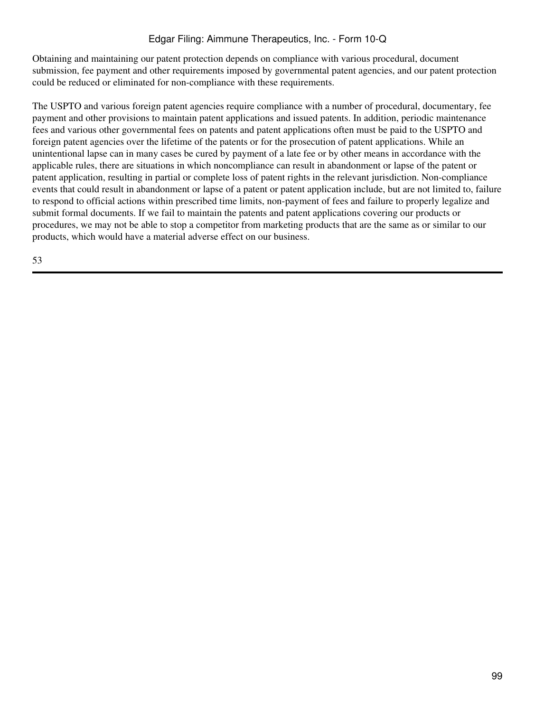Obtaining and maintaining our patent protection depends on compliance with various procedural, document submission, fee payment and other requirements imposed by governmental patent agencies, and our patent protection could be reduced or eliminated for non-compliance with these requirements.

The USPTO and various foreign patent agencies require compliance with a number of procedural, documentary, fee payment and other provisions to maintain patent applications and issued patents. In addition, periodic maintenance fees and various other governmental fees on patents and patent applications often must be paid to the USPTO and foreign patent agencies over the lifetime of the patents or for the prosecution of patent applications. While an unintentional lapse can in many cases be cured by payment of a late fee or by other means in accordance with the applicable rules, there are situations in which noncompliance can result in abandonment or lapse of the patent or patent application, resulting in partial or complete loss of patent rights in the relevant jurisdiction. Non-compliance events that could result in abandonment or lapse of a patent or patent application include, but are not limited to, failure to respond to official actions within prescribed time limits, non-payment of fees and failure to properly legalize and submit formal documents. If we fail to maintain the patents and patent applications covering our products or procedures, we may not be able to stop a competitor from marketing products that are the same as or similar to our products, which would have a material adverse effect on our business.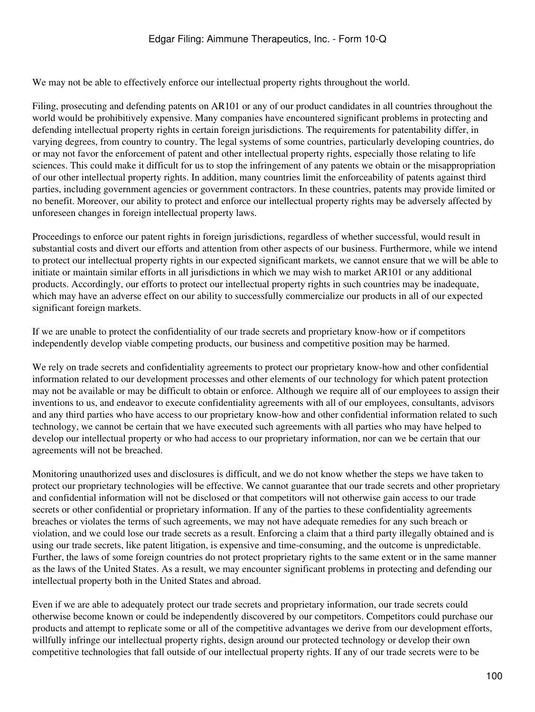We may not be able to effectively enforce our intellectual property rights throughout the world.

Filing, prosecuting and defending patents on AR101 or any of our product candidates in all countries throughout the world would be prohibitively expensive. Many companies have encountered significant problems in protecting and defending intellectual property rights in certain foreign jurisdictions. The requirements for patentability differ, in varying degrees, from country to country. The legal systems of some countries, particularly developing countries, do or may not favor the enforcement of patent and other intellectual property rights, especially those relating to life sciences. This could make it difficult for us to stop the infringement of any patents we obtain or the misappropriation of our other intellectual property rights. In addition, many countries limit the enforceability of patents against third parties, including government agencies or government contractors. In these countries, patents may provide limited or no benefit. Moreover, our ability to protect and enforce our intellectual property rights may be adversely affected by unforeseen changes in foreign intellectual property laws.

Proceedings to enforce our patent rights in foreign jurisdictions, regardless of whether successful, would result in substantial costs and divert our efforts and attention from other aspects of our business. Furthermore, while we intend to protect our intellectual property rights in our expected significant markets, we cannot ensure that we will be able to initiate or maintain similar efforts in all jurisdictions in which we may wish to market AR101 or any additional products. Accordingly, our efforts to protect our intellectual property rights in such countries may be inadequate, which may have an adverse effect on our ability to successfully commercialize our products in all of our expected significant foreign markets.

If we are unable to protect the confidentiality of our trade secrets and proprietary know-how or if competitors independently develop viable competing products, our business and competitive position may be harmed.

We rely on trade secrets and confidentiality agreements to protect our proprietary know-how and other confidential information related to our development processes and other elements of our technology for which patent protection may not be available or may be difficult to obtain or enforce. Although we require all of our employees to assign their inventions to us, and endeavor to execute confidentiality agreements with all of our employees, consultants, advisors and any third parties who have access to our proprietary know-how and other confidential information related to such technology, we cannot be certain that we have executed such agreements with all parties who may have helped to develop our intellectual property or who had access to our proprietary information, nor can we be certain that our agreements will not be breached.

Monitoring unauthorized uses and disclosures is difficult, and we do not know whether the steps we have taken to protect our proprietary technologies will be effective. We cannot guarantee that our trade secrets and other proprietary and confidential information will not be disclosed or that competitors will not otherwise gain access to our trade secrets or other confidential or proprietary information. If any of the parties to these confidentiality agreements breaches or violates the terms of such agreements, we may not have adequate remedies for any such breach or violation, and we could lose our trade secrets as a result. Enforcing a claim that a third party illegally obtained and is using our trade secrets, like patent litigation, is expensive and time-consuming, and the outcome is unpredictable. Further, the laws of some foreign countries do not protect proprietary rights to the same extent or in the same manner as the laws of the United States. As a result, we may encounter significant problems in protecting and defending our intellectual property both in the United States and abroad.

Even if we are able to adequately protect our trade secrets and proprietary information, our trade secrets could otherwise become known or could be independently discovered by our competitors. Competitors could purchase our products and attempt to replicate some or all of the competitive advantages we derive from our development efforts, willfully infringe our intellectual property rights, design around our protected technology or develop their own competitive technologies that fall outside of our intellectual property rights. If any of our trade secrets were to be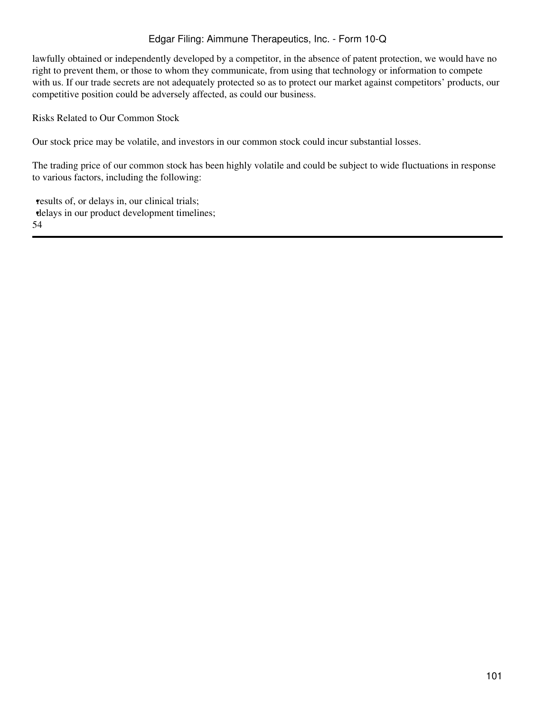lawfully obtained or independently developed by a competitor, in the absence of patent protection, we would have no right to prevent them, or those to whom they communicate, from using that technology or information to compete with us. If our trade secrets are not adequately protected so as to protect our market against competitors' products, our competitive position could be adversely affected, as could our business.

Risks Related to Our Common Stock

Our stock price may be volatile, and investors in our common stock could incur substantial losses.

The trading price of our common stock has been highly volatile and could be subject to wide fluctuations in response to various factors, including the following:

results of, or delays in, our clinical trials; •delays in our product development timelines; 54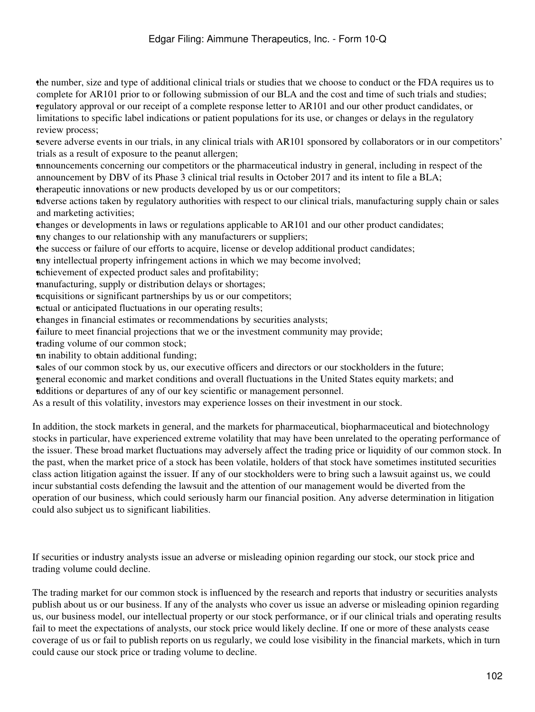•the number, size and type of additional clinical trials or studies that we choose to conduct or the FDA requires us to complete for AR101 prior to or following submission of our BLA and the cost and time of such trials and studies; •regulatory approval or our receipt of a complete response letter to AR101 and our other product candidates, or limitations to specific label indications or patient populations for its use, or changes or delays in the regulatory review process;

•severe adverse events in our trials, in any clinical trials with AR101 sponsored by collaborators or in our competitors' trials as a result of exposure to the peanut allergen;

•announcements concerning our competitors or the pharmaceutical industry in general, including in respect of the announcement by DBV of its Phase 3 clinical trial results in October 2017 and its intent to file a BLA;

•therapeutic innovations or new products developed by us or our competitors;

•adverse actions taken by regulatory authorities with respect to our clinical trials, manufacturing supply chain or sales and marketing activities;

•changes or developments in laws or regulations applicable to AR101 and our other product candidates;

•any changes to our relationship with any manufacturers or suppliers;

•the success or failure of our efforts to acquire, license or develop additional product candidates;

•any intellectual property infringement actions in which we may become involved;

•achievement of expected product sales and profitability;

•manufacturing, supply or distribution delays or shortages;

•acquisitions or significant partnerships by us or our competitors;

•actual or anticipated fluctuations in our operating results;

•changes in financial estimates or recommendations by securities analysts;

failure to meet financial projections that we or the investment community may provide;

trading volume of our common stock;

•an inability to obtain additional funding;

sales of our common stock by us, our executive officers and directors or our stockholders in the future;

•general economic and market conditions and overall fluctuations in the United States equity markets; and

•additions or departures of any of our key scientific or management personnel.

As a result of this volatility, investors may experience losses on their investment in our stock.

In addition, the stock markets in general, and the markets for pharmaceutical, biopharmaceutical and biotechnology stocks in particular, have experienced extreme volatility that may have been unrelated to the operating performance of the issuer. These broad market fluctuations may adversely affect the trading price or liquidity of our common stock. In the past, when the market price of a stock has been volatile, holders of that stock have sometimes instituted securities class action litigation against the issuer. If any of our stockholders were to bring such a lawsuit against us, we could incur substantial costs defending the lawsuit and the attention of our management would be diverted from the operation of our business, which could seriously harm our financial position. Any adverse determination in litigation could also subject us to significant liabilities.

If securities or industry analysts issue an adverse or misleading opinion regarding our stock, our stock price and trading volume could decline.

The trading market for our common stock is influenced by the research and reports that industry or securities analysts publish about us or our business. If any of the analysts who cover us issue an adverse or misleading opinion regarding us, our business model, our intellectual property or our stock performance, or if our clinical trials and operating results fail to meet the expectations of analysts, our stock price would likely decline. If one or more of these analysts cease coverage of us or fail to publish reports on us regularly, we could lose visibility in the financial markets, which in turn could cause our stock price or trading volume to decline.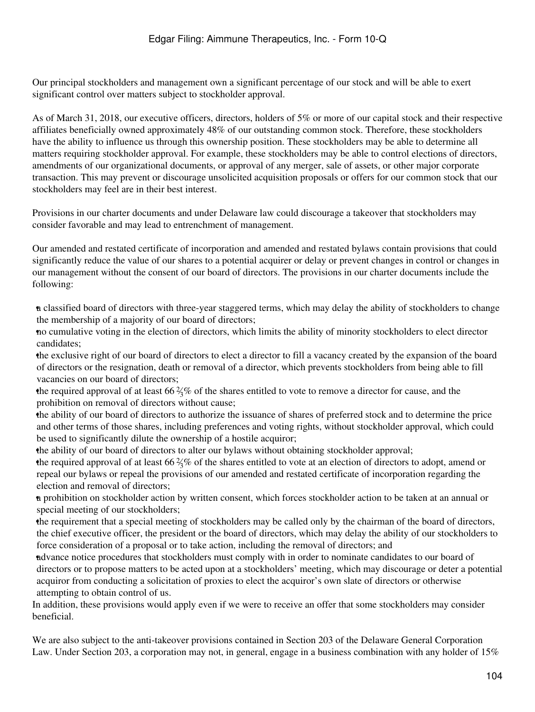Our principal stockholders and management own a significant percentage of our stock and will be able to exert significant control over matters subject to stockholder approval.

As of March 31, 2018, our executive officers, directors, holders of 5% or more of our capital stock and their respective affiliates beneficially owned approximately 48% of our outstanding common stock. Therefore, these stockholders have the ability to influence us through this ownership position. These stockholders may be able to determine all matters requiring stockholder approval. For example, these stockholders may be able to control elections of directors, amendments of our organizational documents, or approval of any merger, sale of assets, or other major corporate transaction. This may prevent or discourage unsolicited acquisition proposals or offers for our common stock that our stockholders may feel are in their best interest.

Provisions in our charter documents and under Delaware law could discourage a takeover that stockholders may consider favorable and may lead to entrenchment of management.

Our amended and restated certificate of incorporation and amended and restated bylaws contain provisions that could significantly reduce the value of our shares to a potential acquirer or delay or prevent changes in control or changes in our management without the consent of our board of directors. The provisions in our charter documents include the following:

•a classified board of directors with three-year staggered terms, which may delay the ability of stockholders to change the membership of a majority of our board of directors;

•no cumulative voting in the election of directors, which limits the ability of minority stockholders to elect director candidates;

•the exclusive right of our board of directors to elect a director to fill a vacancy created by the expansion of the board of directors or the resignation, death or removal of a director, which prevents stockholders from being able to fill vacancies on our board of directors;

the required approval of at least  $66\frac{2}{3}\%$  of the shares entitled to vote to remove a director for cause, and the prohibition on removal of directors without cause;

•the ability of our board of directors to authorize the issuance of shares of preferred stock and to determine the price and other terms of those shares, including preferences and voting rights, without stockholder approval, which could be used to significantly dilute the ownership of a hostile acquiror;

•the ability of our board of directors to alter our bylaws without obtaining stockholder approval;

the required approval of at least  $66\frac{2}{3}\%$  of the shares entitled to vote at an election of directors to adopt, amend or repeal our bylaws or repeal the provisions of our amended and restated certificate of incorporation regarding the election and removal of directors;

•a prohibition on stockholder action by written consent, which forces stockholder action to be taken at an annual or special meeting of our stockholders;

•the requirement that a special meeting of stockholders may be called only by the chairman of the board of directors, the chief executive officer, the president or the board of directors, which may delay the ability of our stockholders to force consideration of a proposal or to take action, including the removal of directors; and

•advance notice procedures that stockholders must comply with in order to nominate candidates to our board of directors or to propose matters to be acted upon at a stockholders' meeting, which may discourage or deter a potential acquiror from conducting a solicitation of proxies to elect the acquiror's own slate of directors or otherwise attempting to obtain control of us.

In addition, these provisions would apply even if we were to receive an offer that some stockholders may consider beneficial.

We are also subject to the anti-takeover provisions contained in Section 203 of the Delaware General Corporation Law. Under Section 203, a corporation may not, in general, engage in a business combination with any holder of 15%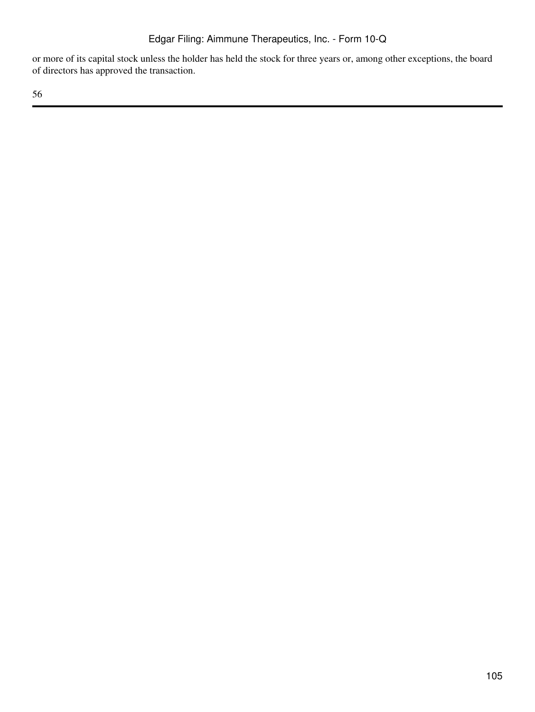or more of its capital stock unless the holder has held the stock for three years or, among other exceptions, the board of directors has approved the transaction.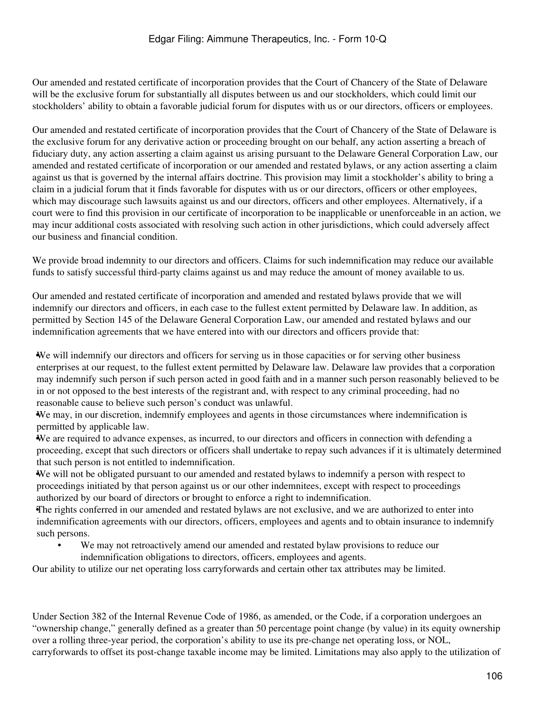Our amended and restated certificate of incorporation provides that the Court of Chancery of the State of Delaware will be the exclusive forum for substantially all disputes between us and our stockholders, which could limit our stockholders' ability to obtain a favorable judicial forum for disputes with us or our directors, officers or employees.

Our amended and restated certificate of incorporation provides that the Court of Chancery of the State of Delaware is the exclusive forum for any derivative action or proceeding brought on our behalf, any action asserting a breach of fiduciary duty, any action asserting a claim against us arising pursuant to the Delaware General Corporation Law, our amended and restated certificate of incorporation or our amended and restated bylaws, or any action asserting a claim against us that is governed by the internal affairs doctrine. This provision may limit a stockholder's ability to bring a claim in a judicial forum that it finds favorable for disputes with us or our directors, officers or other employees, which may discourage such lawsuits against us and our directors, officers and other employees. Alternatively, if a court were to find this provision in our certificate of incorporation to be inapplicable or unenforceable in an action, we may incur additional costs associated with resolving such action in other jurisdictions, which could adversely affect our business and financial condition.

We provide broad indemnity to our directors and officers. Claims for such indemnification may reduce our available funds to satisfy successful third-party claims against us and may reduce the amount of money available to us.

Our amended and restated certificate of incorporation and amended and restated bylaws provide that we will indemnify our directors and officers, in each case to the fullest extent permitted by Delaware law. In addition, as permitted by Section 145 of the Delaware General Corporation Law, our amended and restated bylaws and our indemnification agreements that we have entered into with our directors and officers provide that:

•We will indemnify our directors and officers for serving us in those capacities or for serving other business enterprises at our request, to the fullest extent permitted by Delaware law. Delaware law provides that a corporation may indemnify such person if such person acted in good faith and in a manner such person reasonably believed to be in or not opposed to the best interests of the registrant and, with respect to any criminal proceeding, had no reasonable cause to believe such person's conduct was unlawful.

•We may, in our discretion, indemnify employees and agents in those circumstances where indemnification is permitted by applicable law.

•We are required to advance expenses, as incurred, to our directors and officers in connection with defending a proceeding, except that such directors or officers shall undertake to repay such advances if it is ultimately determined that such person is not entitled to indemnification.

•We will not be obligated pursuant to our amended and restated bylaws to indemnify a person with respect to proceedings initiated by that person against us or our other indemnitees, except with respect to proceedings authorized by our board of directors or brought to enforce a right to indemnification.

•The rights conferred in our amended and restated bylaws are not exclusive, and we are authorized to enter into indemnification agreements with our directors, officers, employees and agents and to obtain insurance to indemnify such persons.

We may not retroactively amend our amended and restated bylaw provisions to reduce our indemnification obligations to directors, officers, employees and agents.

Our ability to utilize our net operating loss carryforwards and certain other tax attributes may be limited.

Under Section 382 of the Internal Revenue Code of 1986, as amended, or the Code, if a corporation undergoes an "ownership change," generally defined as a greater than 50 percentage point change (by value) in its equity ownership over a rolling three-year period, the corporation's ability to use its pre-change net operating loss, or NOL, carryforwards to offset its post-change taxable income may be limited. Limitations may also apply to the utilization of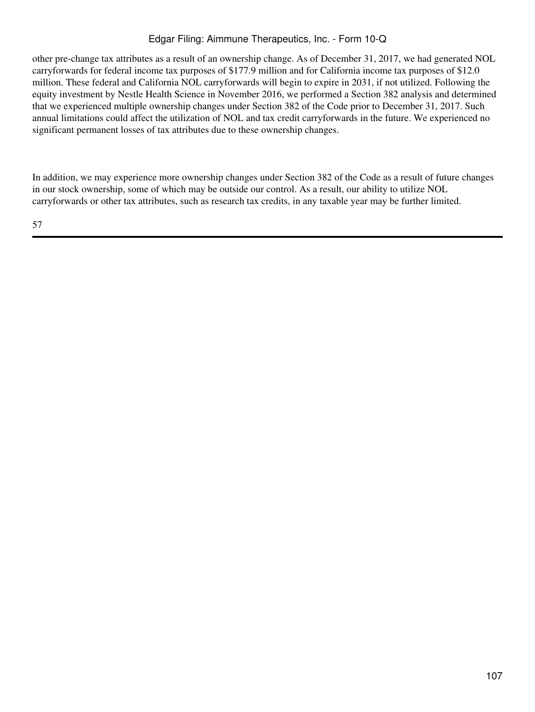other pre-change tax attributes as a result of an ownership change. As of December 31, 2017, we had generated NOL carryforwards for federal income tax purposes of \$177.9 million and for California income tax purposes of \$12.0 million. These federal and California NOL carryforwards will begin to expire in 2031, if not utilized. Following the equity investment by Nestle Health Science in November 2016, we performed a Section 382 analysis and determined that we experienced multiple ownership changes under Section 382 of the Code prior to December 31, 2017. Such annual limitations could affect the utilization of NOL and tax credit carryforwards in the future. We experienced no significant permanent losses of tax attributes due to these ownership changes.

In addition, we may experience more ownership changes under Section 382 of the Code as a result of future changes in our stock ownership, some of which may be outside our control. As a result, our ability to utilize NOL carryforwards or other tax attributes, such as research tax credits, in any taxable year may be further limited.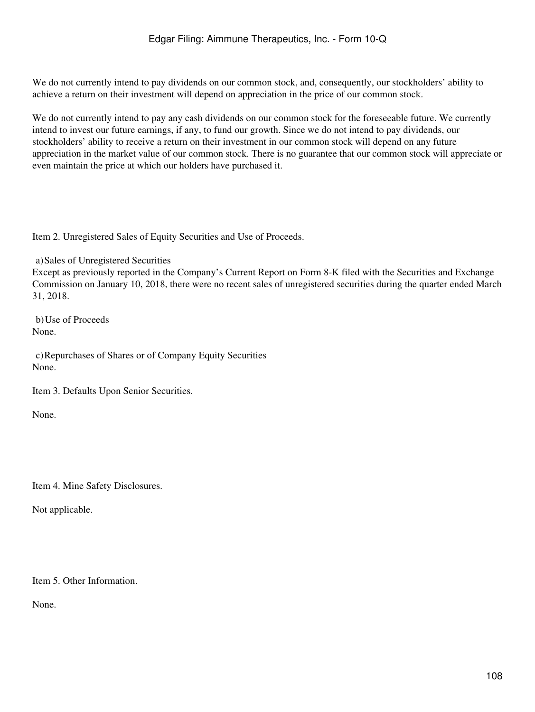We do not currently intend to pay dividends on our common stock, and, consequently, our stockholders' ability to achieve a return on their investment will depend on appreciation in the price of our common stock.

We do not currently intend to pay any cash dividends on our common stock for the foreseeable future. We currently intend to invest our future earnings, if any, to fund our growth. Since we do not intend to pay dividends, our stockholders' ability to receive a return on their investment in our common stock will depend on any future appreciation in the market value of our common stock. There is no guarantee that our common stock will appreciate or even maintain the price at which our holders have purchased it.

Item 2. Unregistered Sales of Equity Securities and Use of Proceeds.

a)Sales of Unregistered Securities

Except as previously reported in the Company's Current Report on Form 8-K filed with the Securities and Exchange Commission on January 10, 2018, there were no recent sales of unregistered securities during the quarter ended March 31, 2018.

b)Use of Proceeds None.

c)Repurchases of Shares or of Company Equity Securities None.

Item 3. Defaults Upon Senior Securities.

None.

Item 4. Mine Safety Disclosures.

Not applicable.

Item 5. Other Information.

None.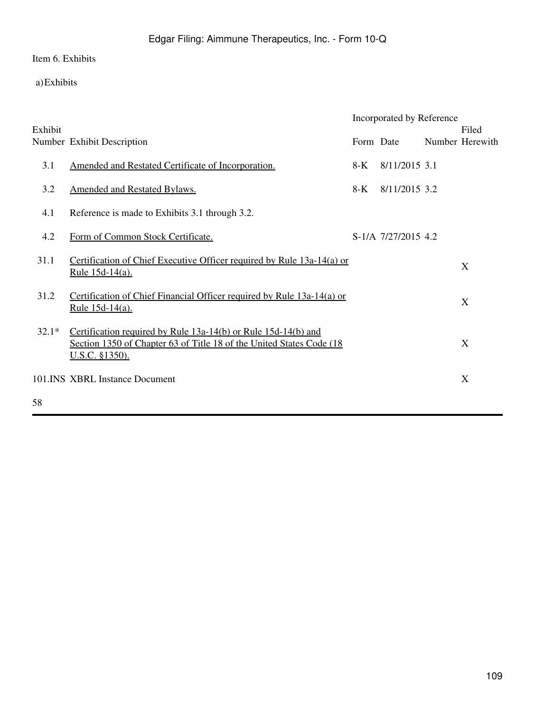Item 6. Exhibits

a)Exhibits

|         |                                                                                                                                                                  | Incorporated by Reference |                     |  |                          |
|---------|------------------------------------------------------------------------------------------------------------------------------------------------------------------|---------------------------|---------------------|--|--------------------------|
| Exhibit | Number Exhibit Description                                                                                                                                       | Form Date                 |                     |  | Filed<br>Number Herewith |
| 3.1     | Amended and Restated Certificate of Incorporation.                                                                                                               | $8-K$                     | 8/11/2015 3.1       |  |                          |
| 3.2     | <b>Amended and Restated Bylaws.</b>                                                                                                                              | 8-K                       | 8/11/2015 3.2       |  |                          |
| 4.1     | Reference is made to Exhibits 3.1 through 3.2.                                                                                                                   |                           |                     |  |                          |
| 4.2     | Form of Common Stock Certificate.                                                                                                                                |                           | S-1/A 7/27/2015 4.2 |  |                          |
| 31.1    | Certification of Chief Executive Officer required by Rule 13a-14(a) or<br><u>Rule 15d-14(a).</u>                                                                 |                           |                     |  | X                        |
| 31.2    | Certification of Chief Financial Officer required by Rule 13a-14(a) or<br><u>Rule 15d-14(a).</u>                                                                 |                           |                     |  | X                        |
| $32.1*$ | Certification required by Rule 13a-14(b) or Rule 15d-14(b) and<br>Section 1350 of Chapter 63 of Title 18 of the United States Code (18)<br><u>U.S.C. §1350).</u> |                           |                     |  | X                        |
|         | 101.INS XBRL Instance Document                                                                                                                                   |                           |                     |  | X                        |
| 58      |                                                                                                                                                                  |                           |                     |  |                          |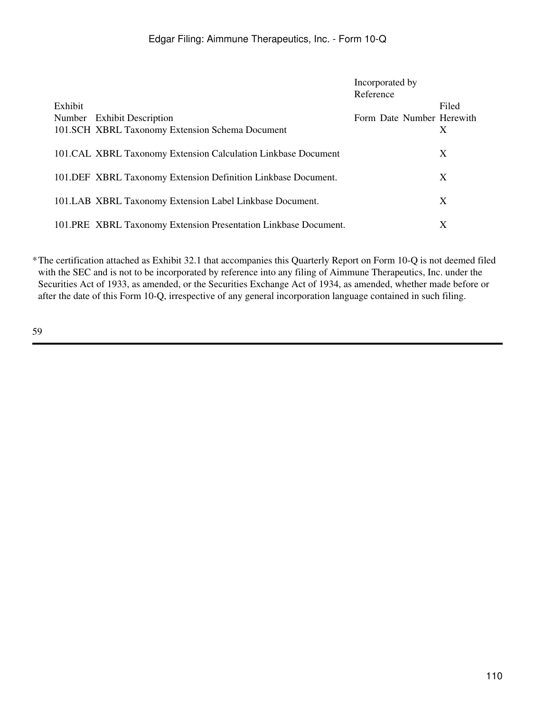|                                                                 | Incorporated by           |
|-----------------------------------------------------------------|---------------------------|
|                                                                 | Reference                 |
| Exhibit                                                         | Filed                     |
| Number Exhibit Description                                      | Form Date Number Herewith |
| 101.SCH XBRL Taxonomy Extension Schema Document                 | X                         |
|                                                                 |                           |
| 101.CAL XBRL Taxonomy Extension Calculation Linkbase Document   | X                         |
| 101. DEF XBRL Taxonomy Extension Definition Linkbase Document.  | X                         |
|                                                                 |                           |
| 101.LAB XBRL Taxonomy Extension Label Linkbase Document.        | X                         |
|                                                                 |                           |
| 101.PRE XBRL Taxonomy Extension Presentation Linkbase Document. | X                         |

\*The certification attached as Exhibit 32.1 that accompanies this Quarterly Report on Form 10-Q is not deemed filed with the SEC and is not to be incorporated by reference into any filing of Aimmune Therapeutics, Inc. under the Securities Act of 1933, as amended, or the Securities Exchange Act of 1934, as amended, whether made before or after the date of this Form 10-Q, irrespective of any general incorporation language contained in such filing.

59